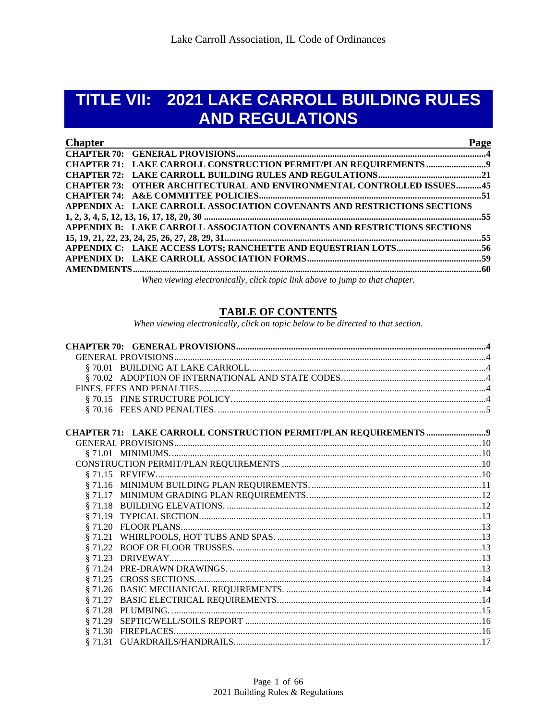# TITLE VII: 2021 LAKE CARROLL BUILDING RULES **AND REGULATIONS**

| <b>Chapter</b>                                                           | Page |
|--------------------------------------------------------------------------|------|
|                                                                          |      |
|                                                                          |      |
|                                                                          |      |
| CHAPTER 73: OTHER ARCHITECTURAL AND ENVIRONMENTAL CONTROLLED ISSUES45    |      |
|                                                                          |      |
| APPENDIX A: LAKE CARROLL ASSOCIATION COVENANTS AND RESTRICTIONS SECTIONS |      |
|                                                                          |      |
| APPENDIX B: LAKE CARROLL ASSOCIATION COVENANTS AND RESTRICTIONS SECTIONS |      |
|                                                                          |      |
|                                                                          |      |
|                                                                          |      |
|                                                                          |      |
|                                                                          |      |

When viewing electronically, click topic link above to jump to that chapter.

## **TABLE OF CONTENTS**

When viewing electronically, click on topic below to be directed to that section.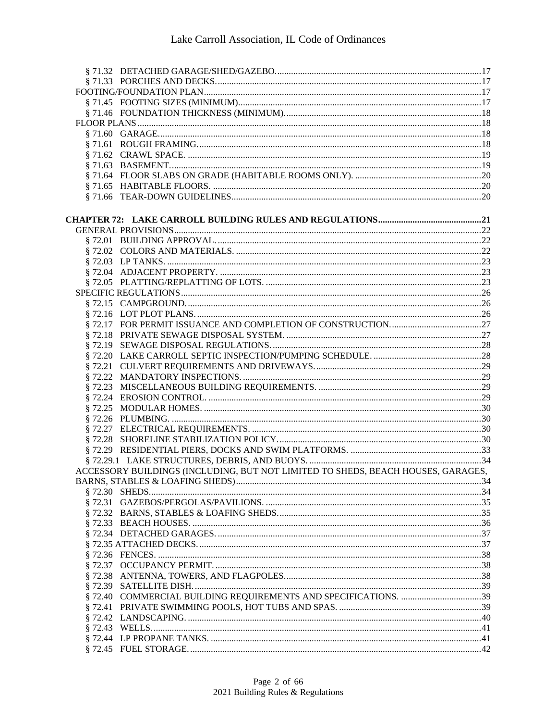| ACCESSORY BUILDINGS (INCLUDING, BUT NOT LIMITED TO SHEDS, BEACH HOUSES, GARAGES, |  |
|----------------------------------------------------------------------------------|--|
|                                                                                  |  |
|                                                                                  |  |
|                                                                                  |  |
|                                                                                  |  |
|                                                                                  |  |
|                                                                                  |  |
|                                                                                  |  |
|                                                                                  |  |
|                                                                                  |  |
|                                                                                  |  |
|                                                                                  |  |
|                                                                                  |  |
|                                                                                  |  |
|                                                                                  |  |
|                                                                                  |  |
|                                                                                  |  |
|                                                                                  |  |
|                                                                                  |  |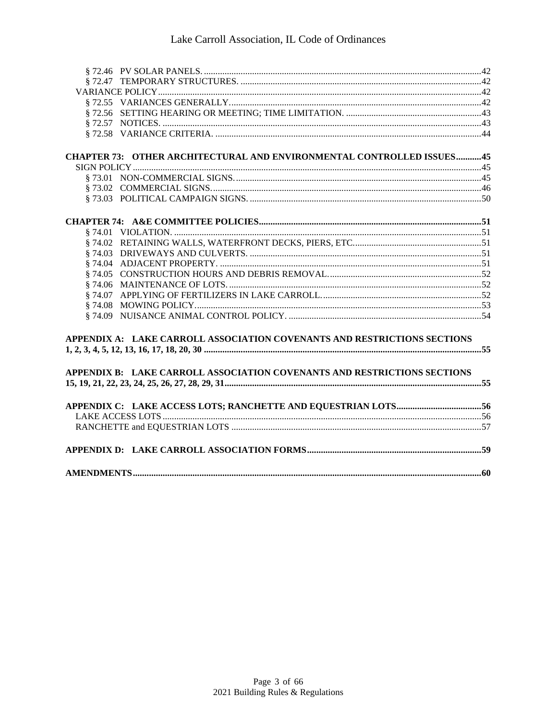| CHAPTER 73: OTHER ARCHITECTURAL AND ENVIRONMENTAL CONTROLLED ISSUES45    |  |
|--------------------------------------------------------------------------|--|
|                                                                          |  |
|                                                                          |  |
|                                                                          |  |
|                                                                          |  |
|                                                                          |  |
|                                                                          |  |
|                                                                          |  |
|                                                                          |  |
|                                                                          |  |
|                                                                          |  |
|                                                                          |  |
|                                                                          |  |
|                                                                          |  |
|                                                                          |  |
| APPENDIX A: LAKE CARROLL ASSOCIATION COVENANTS AND RESTRICTIONS SECTIONS |  |
|                                                                          |  |
|                                                                          |  |
| APPENDIX B: LAKE CARROLL ASSOCIATION COVENANTS AND RESTRICTIONS SECTIONS |  |
|                                                                          |  |
|                                                                          |  |
|                                                                          |  |
|                                                                          |  |
|                                                                          |  |
|                                                                          |  |
|                                                                          |  |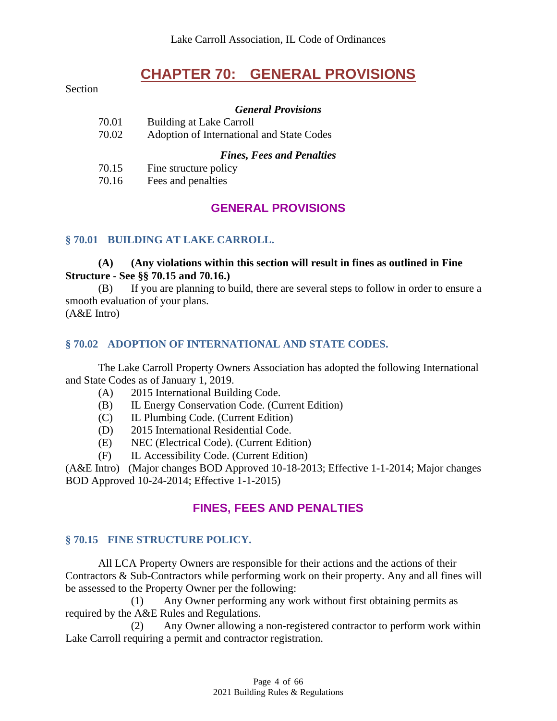# **CHAPTER 70: GENERAL PROVISIONS**

<span id="page-3-0"></span>Section

#### *General Provisions*

| 70.01 | Building at Lake Carroll                  |
|-------|-------------------------------------------|
| 70.02 | Adoption of International and State Codes |
|       | <b>Fines, Fees and Penalties</b>          |
| 70.15 | Fine structure policy                     |
|       |                                           |

#### <span id="page-3-1"></span>70.16 Fees and penalties

# **GENERAL PROVISIONS**

#### <span id="page-3-2"></span>**§ 70.01 BUILDING AT LAKE CARROLL.**

#### **(A) (Any violations within this section will result in fines as outlined in Fine Structure - See §§ 70.15 and 70.16.)**

(B) If you are planning to build, there are several steps to follow in order to ensure a smooth evaluation of your plans.

<span id="page-3-3"></span>(A&E Intro)

#### **§ 70.02 ADOPTION OF INTERNATIONAL AND STATE CODES.**

The Lake Carroll Property Owners Association has adopted the following International and State Codes as of January 1, 2019.

- (A) 2015 International Building Code.
- (B) IL Energy Conservation Code. (Current Edition)
- (C) IL Plumbing Code. (Current Edition)
- (D) 2015 International Residential Code.
- (E) NEC (Electrical Code). (Current Edition)
- (F) IL Accessibility Code. (Current Edition)

<span id="page-3-4"></span>(A&E Intro) (Major changes BOD Approved 10-18-2013; Effective 1-1-2014; Major changes BOD Approved 10-24-2014; Effective 1-1-2015)

# **FINES, FEES AND PENALTIES**

#### <span id="page-3-5"></span>**§ 70.15 FINE STRUCTURE POLICY.**

All LCA Property Owners are responsible for their actions and the actions of their Contractors & Sub-Contractors while performing work on their property. Any and all fines will be assessed to the Property Owner per the following:

(1) Any Owner performing any work without first obtaining permits as required by the A&E Rules and Regulations.

(2) Any Owner allowing a non-registered contractor to perform work within Lake Carroll requiring a permit and contractor registration.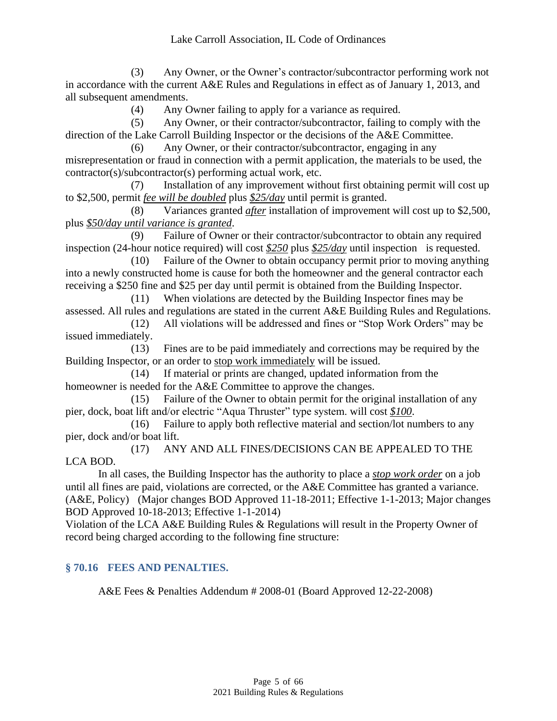(3) Any Owner, or the Owner's contractor/subcontractor performing work not in accordance with the current A&E Rules and Regulations in effect as of January 1, 2013, and all subsequent amendments.

(4) Any Owner failing to apply for a variance as required.

(5) Any Owner, or their contractor/subcontractor, failing to comply with the direction of the Lake Carroll Building Inspector or the decisions of the A&E Committee.

(6) Any Owner, or their contractor/subcontractor, engaging in any misrepresentation or fraud in connection with a permit application, the materials to be used, the contractor(s)/subcontractor(s) performing actual work, etc.

(7) Installation of any improvement without first obtaining permit will cost up to \$2,500, permit *fee will be doubled* plus *\$25/day* until permit is granted.

(8) Variances granted *after* installation of improvement will cost up to \$2,500, plus *\$50/day until variance is granted*.

(9) Failure of Owner or their contractor/subcontractor to obtain any required inspection (24-hour notice required) will cost *\$250* plus *\$25/day* until inspection is requested.

(10) Failure of the Owner to obtain occupancy permit prior to moving anything into a newly constructed home is cause for both the homeowner and the general contractor each receiving a \$250 fine and \$25 per day until permit is obtained from the Building Inspector.

(11) When violations are detected by the Building Inspector fines may be assessed. All rules and regulations are stated in the current A&E Building Rules and Regulations.

(12) All violations will be addressed and fines or "Stop Work Orders" may be issued immediately.

(13) Fines are to be paid immediately and corrections may be required by the Building Inspector, or an order to stop work immediately will be issued.

(14) If material or prints are changed, updated information from the homeowner is needed for the A&E Committee to approve the changes.

(15) Failure of the Owner to obtain permit for the original installation of any pier, dock, boat lift and/or electric "Aqua Thruster" type system. will cost *\$100*.

(16) Failure to apply both reflective material and section/lot numbers to any pier, dock and/or boat lift.

(17) ANY AND ALL FINES/DECISIONS CAN BE APPEALED TO THE LCA BOD.

In all cases, the Building Inspector has the authority to place a *stop work order* on a job until all fines are paid, violations are corrected, or the A&E Committee has granted a variance. (A&E, Policy) (Major changes BOD Approved 11-18-2011; Effective 1-1-2013; Major changes BOD Approved 10-18-2013; Effective 1-1-2014)

Violation of the LCA A&E Building Rules & Regulations will result in the Property Owner of record being charged according to the following fine structure:

#### <span id="page-4-0"></span>**§ 70.16 FEES AND PENALTIES.**

A&E Fees & Penalties Addendum # 2008-01 (Board Approved 12-22-2008)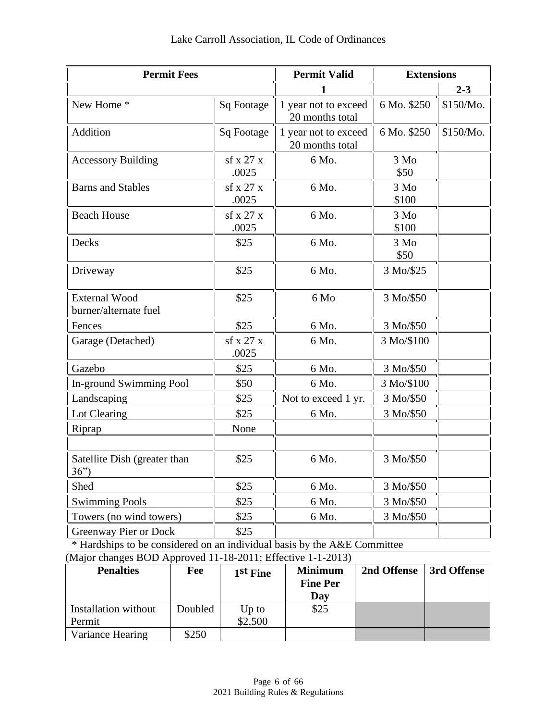| <b>Permit Fees</b>                                                                                                                      |                    | <b>Permit Valid</b>                     | <b>Extensions</b>     |           |
|-----------------------------------------------------------------------------------------------------------------------------------------|--------------------|-----------------------------------------|-----------------------|-----------|
|                                                                                                                                         |                    |                                         |                       | $2 - 3$   |
| New Home *                                                                                                                              | Sq Footage         | 1 year not to exceed<br>20 months total | 6 Mo. \$250           | \$150/Mo. |
| Addition                                                                                                                                | Sq Footage         | 1 year not to exceed<br>20 months total | 6 Mo. \$250           | \$150/Mo. |
| <b>Accessory Building</b>                                                                                                               | sf x 27 x<br>.0025 | 6 Mo.                                   | $3\text{ Mo}$<br>\$50 |           |
| <b>Barns and Stables</b>                                                                                                                | sf x 27 x<br>.0025 | 6 Mo.                                   | 3 Mo<br>\$100         |           |
| <b>Beach House</b>                                                                                                                      | sf x 27 x<br>.0025 | 6 Mo.                                   | 3 Mo<br>\$100         |           |
| Decks                                                                                                                                   | \$25               | 6 Mo.                                   | 3 Mo<br>\$50          |           |
| Driveway                                                                                                                                | \$25               | 6 Mo.                                   | 3 Mo/\$25             |           |
| <b>External Wood</b><br>burner/alternate fuel                                                                                           | \$25               | $6\text{ Mo}$                           | 3 Mo/\$50             |           |
| Fences                                                                                                                                  | \$25               | 6 Mo.                                   | 3 Mo/\$50             |           |
| Garage (Detached)                                                                                                                       | sf x 27 x<br>.0025 | 6 Mo.                                   | 3 Mo/\$100            |           |
| Gazebo                                                                                                                                  | \$25               | 6 Mo.                                   | 3 Mo/\$50             |           |
| In-ground Swimming Pool                                                                                                                 | \$50               | 6 Mo.                                   | 3 Mo/\$100            |           |
| Landscaping                                                                                                                             | \$25               | Not to exceed 1 yr.                     | 3 Mo/\$50             |           |
| Lot Clearing                                                                                                                            | \$25               | 6 Mo.                                   | 3 Mo/\$50             |           |
| Riprap                                                                                                                                  | None               |                                         |                       |           |
| Satellite Dish (greater than<br>36")                                                                                                    | \$25               | 6 Mo.                                   | 3 Mo/\$50             |           |
| Shed                                                                                                                                    | \$25               | 6 Mo.                                   | 3 Mo/\$50             |           |
| <b>Swimming Pools</b>                                                                                                                   | \$25               | 6 Mo.                                   | 3 Mo/\$50             |           |
| Towers (no wind towers)                                                                                                                 | \$25               | 6 Mo.                                   | 3 Mo/\$50             |           |
| <b>Greenway Pier or Dock</b>                                                                                                            | \$25               |                                         |                       |           |
| * Hardships to be considered on an individual basis by the A&E Committee<br>(Major changes BOD Approved 11-18-2011; Effective 1-1-2013) |                    |                                         |                       |           |

| <b>Penalties</b>     | Fee     | 1st Fine | <b>Minimum</b><br><b>Fine Per</b><br>Day | 2nd Offense | 3rd Offense |
|----------------------|---------|----------|------------------------------------------|-------------|-------------|
| Installation without | Doubled | $Up$ to  | \$25                                     |             |             |
| Permit               |         | \$2,500  |                                          |             |             |
| Variance Hearing     | \$250   |          |                                          |             |             |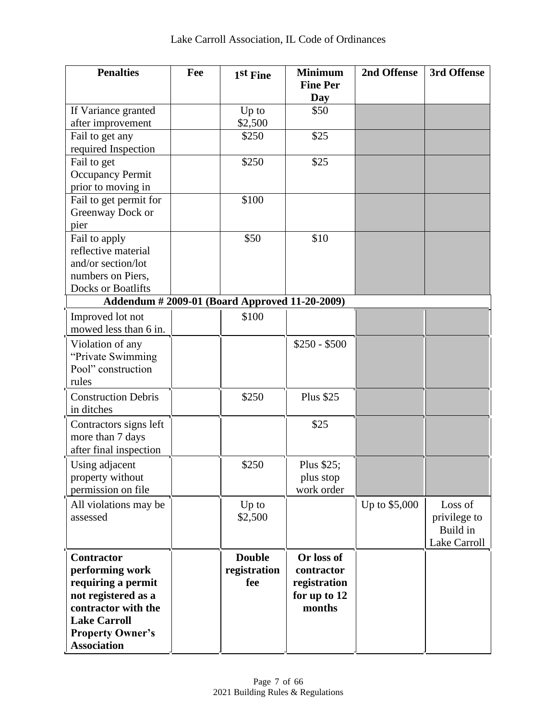| <b>Penalties</b>                               | Fee | 1st Fine      | <b>Minimum</b><br><b>Fine Per</b> | 2nd Offense   | 3rd Offense  |
|------------------------------------------------|-----|---------------|-----------------------------------|---------------|--------------|
|                                                |     |               | Day                               |               |              |
| If Variance granted                            |     | Up to         | \$50                              |               |              |
| after improvement                              |     | \$2,500       |                                   |               |              |
| Fail to get any                                |     | \$250         | \$25                              |               |              |
| required Inspection                            |     |               |                                   |               |              |
| Fail to get                                    |     | \$250         | \$25                              |               |              |
| <b>Occupancy Permit</b>                        |     |               |                                   |               |              |
| prior to moving in                             |     |               |                                   |               |              |
| Fail to get permit for                         |     | \$100         |                                   |               |              |
| Greenway Dock or                               |     |               |                                   |               |              |
| pier                                           |     | \$50          | \$10                              |               |              |
| Fail to apply<br>reflective material           |     |               |                                   |               |              |
| and/or section/lot                             |     |               |                                   |               |              |
| numbers on Piers,                              |     |               |                                   |               |              |
| Docks or Boatlifts                             |     |               |                                   |               |              |
| Addendum # 2009-01 (Board Approved 11-20-2009) |     |               |                                   |               |              |
| Improved lot not                               |     | \$100         |                                   |               |              |
| mowed less than 6 in.                          |     |               |                                   |               |              |
| Violation of any                               |     |               | $$250 - $500$                     |               |              |
| "Private Swimming                              |     |               |                                   |               |              |
| Pool" construction                             |     |               |                                   |               |              |
| rules                                          |     |               |                                   |               |              |
| <b>Construction Debris</b>                     |     | \$250         | <b>Plus \$25</b>                  |               |              |
| in ditches                                     |     |               |                                   |               |              |
| Contractors signs left                         |     |               | \$25                              |               |              |
| more than 7 days                               |     |               |                                   |               |              |
| after final inspection                         |     |               |                                   |               |              |
| Using adjacent                                 |     | \$250         | Plus \$25;                        |               |              |
| property without                               |     |               | plus stop                         |               |              |
| permission on file                             |     |               | work order                        |               |              |
| All violations may be                          |     | Up to         |                                   | Up to \$5,000 | Loss of      |
| assessed                                       |     | \$2,500       |                                   |               | privilege to |
|                                                |     |               |                                   |               | Build in     |
|                                                |     |               |                                   |               | Lake Carroll |
| Contractor                                     |     | <b>Double</b> | Or loss of                        |               |              |
| performing work                                |     | registration  | contractor                        |               |              |
| requiring a permit                             |     | fee           | registration                      |               |              |
| not registered as a                            |     |               | for up to 12                      |               |              |
| contractor with the                            |     |               | months                            |               |              |
| <b>Lake Carroll</b>                            |     |               |                                   |               |              |
| <b>Property Owner's</b>                        |     |               |                                   |               |              |
| <b>Association</b>                             |     |               |                                   |               |              |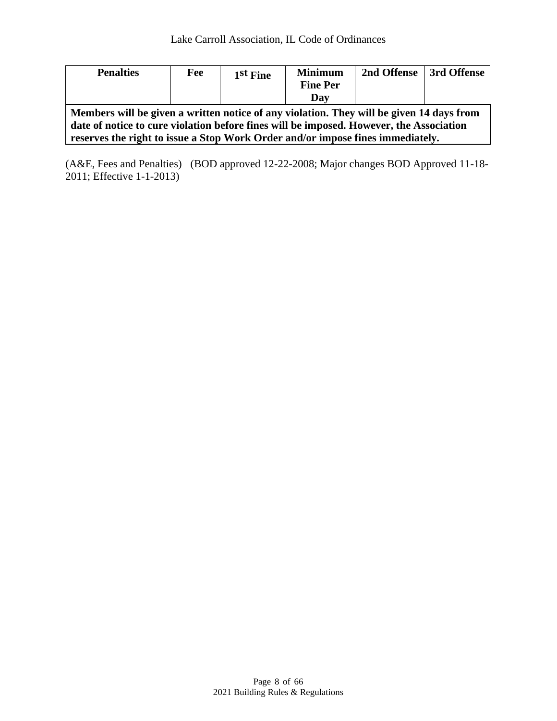| <b>Penalties</b>                                                                         | Fee | 1st Fine | <b>Minimum</b><br><b>Fine Per</b> | 2nd Offense | 3rd Offense |
|------------------------------------------------------------------------------------------|-----|----------|-----------------------------------|-------------|-------------|
|                                                                                          |     |          | Day                               |             |             |
| Members will be given a written notice of any violation. They will be given 14 days from |     |          |                                   |             |             |
| date of notice to cure violation before fines will be imposed. However, the Association  |     |          |                                   |             |             |
| reserves the right to issue a Stop Work Order and/or impose fines immediately.           |     |          |                                   |             |             |

(A&E, Fees and Penalties) (BOD approved 12-22-2008; Major changes BOD Approved 11-18- 2011; Effective 1-1-2013)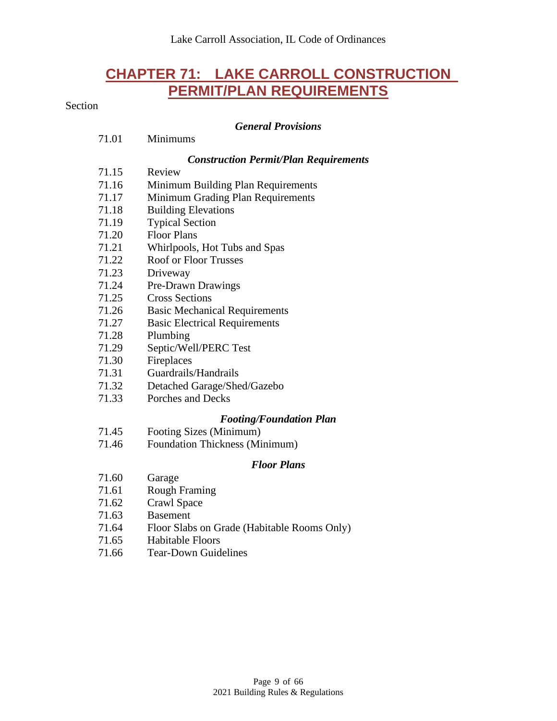# **CHAPTER 71: LAKE CARROLL CONSTRUCTION PERMIT/PLAN REQUIREMENTS**

### <span id="page-8-0"></span>Section

#### *General Provisions*

*Construction Permit/Plan Requirements*

| 71.01 | Minimums                                    |
|-------|---------------------------------------------|
|       | <b>Construction Permit/Plan Requireme</b>   |
| 71.15 | Review                                      |
| 71.16 | Minimum Building Plan Requirements          |
| 71.17 | Minimum Grading Plan Requirements           |
| 71.18 | <b>Building Elevations</b>                  |
| 71.19 | <b>Typical Section</b>                      |
| 71.20 | <b>Floor Plans</b>                          |
| 71.21 | Whirlpools, Hot Tubs and Spas               |
| 71.22 | <b>Roof or Floor Trusses</b>                |
| 71.23 | Driveway                                    |
| 71.24 | Pre-Drawn Drawings                          |
| 71.25 | <b>Cross Sections</b>                       |
| 71.26 | <b>Basic Mechanical Requirements</b>        |
| 71.27 | <b>Basic Electrical Requirements</b>        |
| 71.28 | Plumbing                                    |
| 71.29 | Septic/Well/PERC Test                       |
| 71.30 | Fireplaces                                  |
| 71.31 | Guardrails/Handrails                        |
| 71.32 | Detached Garage/Shed/Gazebo                 |
| 71.33 | Porches and Decks                           |
|       | <b>Footing/Foundation Plan</b>              |
| 71.45 | Footing Sizes (Minimum)                     |
| 71.46 | Foundation Thickness (Minimum)              |
|       | <b>Floor Plans</b>                          |
| 71.60 | Garage                                      |
| 71.61 | <b>Rough Framing</b>                        |
| 71.62 | Crawl Space                                 |
| 71.63 | <b>Basement</b>                             |
| 71.64 | Floor Slabs on Grade (Habitable Rooms Only) |
| 71.65 | <b>Habitable Floors</b>                     |
| 71.66 | <b>Tear-Down Guidelines</b>                 |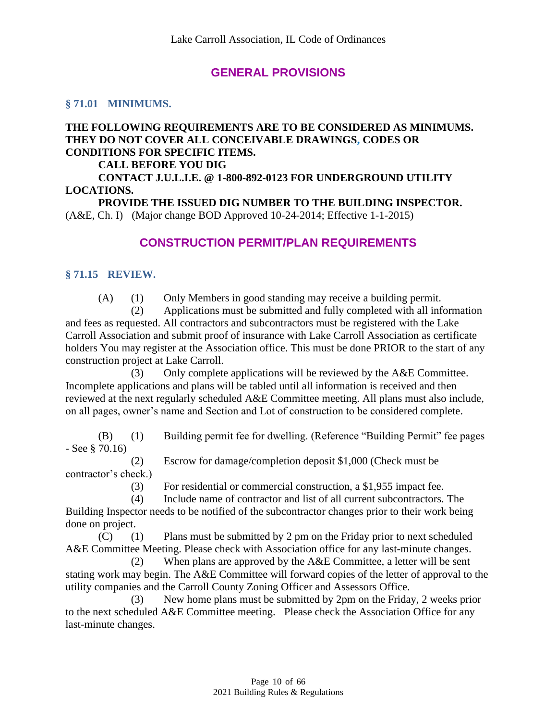# **GENERAL PROVISIONS**

#### <span id="page-9-1"></span><span id="page-9-0"></span>**§ 71.01 MINIMUMS.**

#### **THE FOLLOWING REQUIREMENTS ARE TO BE CONSIDERED AS MINIMUMS. THEY DO NOT COVER ALL CONCEIVABLE DRAWINGS, CODES OR CONDITIONS FOR SPECIFIC ITEMS.**

#### **CALL BEFORE YOU DIG**

**CONTACT J.U.L.I.E. @ 1-800-892-0123 FOR UNDERGROUND UTILITY LOCATIONS.**

<span id="page-9-2"></span>**PROVIDE THE ISSUED DIG NUMBER TO THE BUILDING INSPECTOR.** (A&E, Ch. I) (Major change BOD Approved 10-24-2014; Effective 1-1-2015)

## **CONSTRUCTION PERMIT/PLAN REQUIREMENTS**

#### <span id="page-9-3"></span>**§ 71.15 REVIEW.**

(A) (1) Only Members in good standing may receive a building permit.

(2) Applications must be submitted and fully completed with all information and fees as requested. All contractors and subcontractors must be registered with the Lake Carroll Association and submit proof of insurance with Lake Carroll Association as certificate holders You may register at the Association office. This must be done PRIOR to the start of any construction project at Lake Carroll.

(3) Only complete applications will be reviewed by the A&E Committee. Incomplete applications and plans will be tabled until all information is received and then reviewed at the next regularly scheduled A&E Committee meeting. All plans must also include, on all pages, owner's name and Section and Lot of construction to be considered complete.

(B) (1) Building permit fee for dwelling. (Reference "Building Permit" fee pages - See § 70.16)

(2) Escrow for damage/completion deposit \$1,000 (Check must be contractor's check.)

(3) For residential or commercial construction, a \$1,955 impact fee.

(4) Include name of contractor and list of all current subcontractors. The

Building Inspector needs to be notified of the subcontractor changes prior to their work being done on project.

(C) (1) Plans must be submitted by 2 pm on the Friday prior to next scheduled A&E Committee Meeting. Please check with Association office for any last-minute changes.

(2) When plans are approved by the  $A \& E$  Committee, a letter will be sent stating work may begin. The A&E Committee will forward copies of the letter of approval to the utility companies and the Carroll County Zoning Officer and Assessors Office.

(3) New home plans must be submitted by 2pm on the Friday, 2 weeks prior to the next scheduled A&E Committee meeting. Please check the Association Office for any last-minute changes.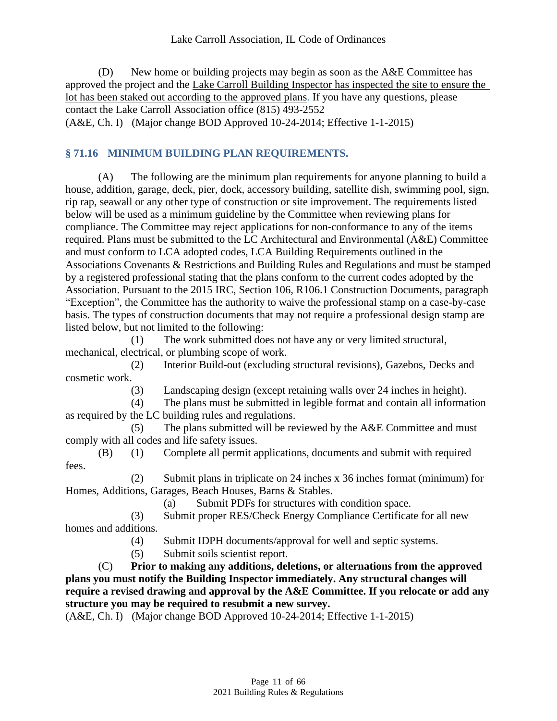(D) New home or building projects may begin as soon as the A&E Committee has approved the project and the Lake Carroll Building Inspector has inspected the site to ensure the lot has been staked out according to the approved plans. If you have any questions, please contact the Lake Carroll Association office (815) 493-2552 (A&E, Ch. I) (Major change BOD Approved 10-24-2014; Effective 1-1-2015)

# <span id="page-10-0"></span>**§ 71.16 MINIMUM BUILDING PLAN REQUIREMENTS.**

(A) The following are the minimum plan requirements for anyone planning to build a house, addition, garage, deck, pier, dock, accessory building, satellite dish, swimming pool, sign, rip rap, seawall or any other type of construction or site improvement. The requirements listed below will be used as a minimum guideline by the Committee when reviewing plans for compliance. The Committee may reject applications for non-conformance to any of the items required. Plans must be submitted to the LC Architectural and Environmental (A&E) Committee and must conform to LCA adopted codes, LCA Building Requirements outlined in the Associations Covenants & Restrictions and Building Rules and Regulations and must be stamped by a registered professional stating that the plans conform to the current codes adopted by the Association. Pursuant to the 2015 IRC, Section 106, R106.1 Construction Documents, paragraph "Exception", the Committee has the authority to waive the professional stamp on a case-by-case basis. The types of construction documents that may not require a professional design stamp are listed below, but not limited to the following:

(1) The work submitted does not have any or very limited structural, mechanical, electrical, or plumbing scope of work.

(2) Interior Build-out (excluding structural revisions), Gazebos, Decks and cosmetic work.

(3) Landscaping design (except retaining walls over 24 inches in height).

(4) The plans must be submitted in legible format and contain all information as required by the LC building rules and regulations.

(5) The plans submitted will be reviewed by the A&E Committee and must comply with all codes and life safety issues.

(B) (1) Complete all permit applications, documents and submit with required fees.

(2) Submit plans in triplicate on 24 inches x 36 inches format (minimum) for Homes, Additions, Garages, Beach Houses, Barns & Stables.

(a) Submit PDFs for structures with condition space.

(3) Submit proper RES/Check Energy Compliance Certificate for all new homes and additions.

(4) Submit IDPH documents/approval for well and septic systems.

(5) Submit soils scientist report.

(C) **Prior to making any additions, deletions, or alternations from the approved plans you must notify the Building Inspector immediately. Any structural changes will require a revised drawing and approval by the A&E Committee. If you relocate or add any structure you may be required to resubmit a new survey.**

(A&E, Ch. I) (Major change BOD Approved 10-24-2014; Effective 1-1-2015)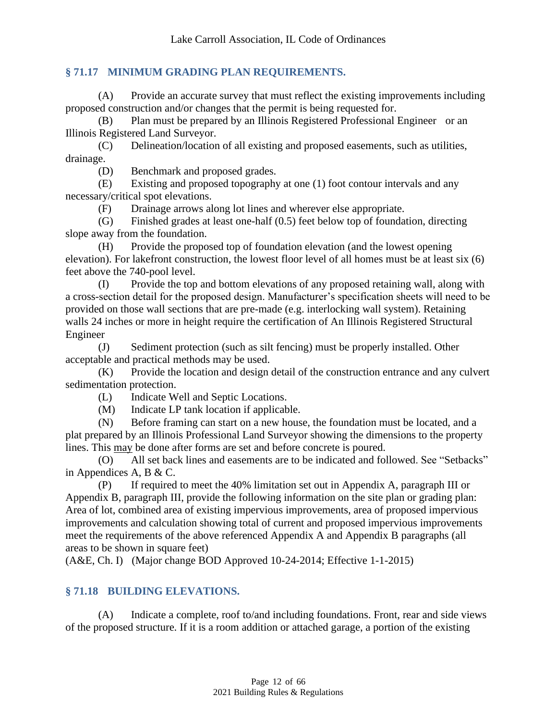#### <span id="page-11-0"></span>**§ 71.17 MINIMUM GRADING PLAN REQUIREMENTS.**

(A) Provide an accurate survey that must reflect the existing improvements including proposed construction and/or changes that the permit is being requested for.

(B) Plan must be prepared by an Illinois Registered Professional Engineer or an Illinois Registered Land Surveyor.

(C) Delineation/location of all existing and proposed easements, such as utilities, drainage.

(D) Benchmark and proposed grades.

(E) Existing and proposed topography at one (1) foot contour intervals and any necessary/critical spot elevations.

(F) Drainage arrows along lot lines and wherever else appropriate.

(G) Finished grades at least one-half (0.5) feet below top of foundation, directing slope away from the foundation.

(H) Provide the proposed top of foundation elevation (and the lowest opening elevation). For lakefront construction, the lowest floor level of all homes must be at least six (6) feet above the 740-pool level.

(I) Provide the top and bottom elevations of any proposed retaining wall, along with a cross-section detail for the proposed design. Manufacturer's specification sheets will need to be provided on those wall sections that are pre-made (e.g. interlocking wall system). Retaining walls 24 inches or more in height require the certification of An Illinois Registered Structural Engineer

(J) Sediment protection (such as silt fencing) must be properly installed. Other acceptable and practical methods may be used.

(K) Provide the location and design detail of the construction entrance and any culvert sedimentation protection.

(L) Indicate Well and Septic Locations.

(M) Indicate LP tank location if applicable.

(N) Before framing can start on a new house, the foundation must be located, and a plat prepared by an Illinois Professional Land Surveyor showing the dimensions to the property lines. This may be done after forms are set and before concrete is poured.

(O) All set back lines and easements are to be indicated and followed. See "Setbacks" in Appendices A, B & C.

(P) If required to meet the 40% limitation set out in Appendix A, paragraph III or Appendix B, paragraph III, provide the following information on the site plan or grading plan: Area of lot, combined area of existing impervious improvements, area of proposed impervious improvements and calculation showing total of current and proposed impervious improvements meet the requirements of the above referenced Appendix A and Appendix B paragraphs (all areas to be shown in square feet)

<span id="page-11-1"></span>(A&E, Ch. I) (Major change BOD Approved 10-24-2014; Effective 1-1-2015)

#### **§ 71.18 BUILDING ELEVATIONS.**

(A) Indicate a complete, roof to/and including foundations. Front, rear and side views of the proposed structure. If it is a room addition or attached garage, a portion of the existing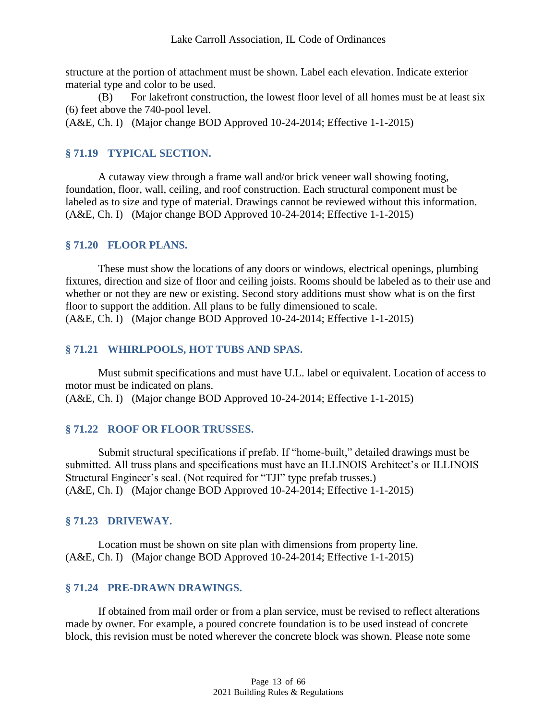structure at the portion of attachment must be shown. Label each elevation. Indicate exterior material type and color to be used.

(B) For lakefront construction, the lowest floor level of all homes must be at least six (6) feet above the 740-pool level.

<span id="page-12-0"></span>(A&E, Ch. I) (Major change BOD Approved 10-24-2014; Effective 1-1-2015)

#### **§ 71.19 TYPICAL SECTION.**

A cutaway view through a frame wall and/or brick veneer wall showing footing, foundation, floor, wall, ceiling, and roof construction. Each structural component must be labeled as to size and type of material. Drawings cannot be reviewed without this information. (A&E, Ch. I) (Major change BOD Approved 10-24-2014; Effective 1-1-2015)

#### <span id="page-12-1"></span>**§ 71.20 FLOOR PLANS.**

These must show the locations of any doors or windows, electrical openings, plumbing fixtures, direction and size of floor and ceiling joists. Rooms should be labeled as to their use and whether or not they are new or existing. Second story additions must show what is on the first floor to support the addition. All plans to be fully dimensioned to scale. (A&E, Ch. I) (Major change BOD Approved 10-24-2014; Effective 1-1-2015)

#### <span id="page-12-2"></span>**§ 71.21 WHIRLPOOLS, HOT TUBS AND SPAS.**

Must submit specifications and must have U.L. label or equivalent. Location of access to motor must be indicated on plans.

<span id="page-12-3"></span>(A&E, Ch. I) (Major change BOD Approved 10-24-2014; Effective 1-1-2015)

#### **§ 71.22 ROOF OR FLOOR TRUSSES.**

Submit structural specifications if prefab. If "home-built," detailed drawings must be submitted. All truss plans and specifications must have an ILLINOIS Architect's or ILLINOIS Structural Engineer's seal. (Not required for "TJI" type prefab trusses.) (A&E, Ch. I) (Major change BOD Approved 10-24-2014; Effective 1-1-2015)

#### <span id="page-12-4"></span>**§ 71.23 DRIVEWAY.**

Location must be shown on site plan with dimensions from property line. (A&E, Ch. I) (Major change BOD Approved 10-24-2014; Effective 1-1-2015)

#### <span id="page-12-5"></span>**§ 71.24 PRE-DRAWN DRAWINGS.**

If obtained from mail order or from a plan service, must be revised to reflect alterations made by owner. For example, a poured concrete foundation is to be used instead of concrete block, this revision must be noted wherever the concrete block was shown. Please note some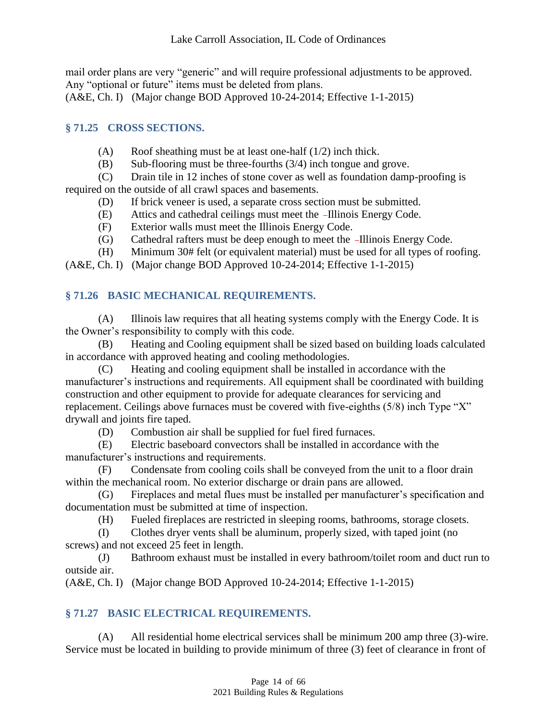mail order plans are very "generic" and will require professional adjustments to be approved. Any "optional or future" items must be deleted from plans.

<span id="page-13-0"></span>(A&E, Ch. I) (Major change BOD Approved 10-24-2014; Effective 1-1-2015)

## **§ 71.25 CROSS SECTIONS.**

- $(A)$  Roof sheathing must be at least one-half  $(1/2)$  inch thick.
- (B) Sub-flooring must be three-fourths (3/4) inch tongue and grove.

(C) Drain tile in 12 inches of stone cover as well as foundation damp-proofing is required on the outside of all crawl spaces and basements.

- (D) If brick veneer is used, a separate cross section must be submitted.
- (E) Attics and cathedral ceilings must meet the -Illinois Energy Code.
- (F) Exterior walls must meet the Illinois Energy Code.
- (G) Cathedral rafters must be deep enough to meet the -Illinois Energy Code.
- (H) Minimum 30# felt (or equivalent material) must be used for all types of roofing.
- <span id="page-13-1"></span>(A&E, Ch. I) (Major change BOD Approved 10-24-2014; Effective 1-1-2015)

# **§ 71.26 BASIC MECHANICAL REQUIREMENTS.**

(A) Illinois law requires that all heating systems comply with the Energy Code. It is the Owner's responsibility to comply with this code.

(B) Heating and Cooling equipment shall be sized based on building loads calculated in accordance with approved heating and cooling methodologies.

(C) Heating and cooling equipment shall be installed in accordance with the manufacturer's instructions and requirements. All equipment shall be coordinated with building construction and other equipment to provide for adequate clearances for servicing and replacement. Ceilings above furnaces must be covered with five-eighths (5/8) inch Type "X" drywall and joints fire taped.

(D) Combustion air shall be supplied for fuel fired furnaces.

(E) Electric baseboard convectors shall be installed in accordance with the manufacturer's instructions and requirements.

(F) Condensate from cooling coils shall be conveyed from the unit to a floor drain within the mechanical room. No exterior discharge or drain pans are allowed.

(G) Fireplaces and metal flues must be installed per manufacturer's specification and documentation must be submitted at time of inspection.

(H) Fueled fireplaces are restricted in sleeping rooms, bathrooms, storage closets.

(I) Clothes dryer vents shall be aluminum, properly sized, with taped joint (no screws) and not exceed 25 feet in length.

(J) Bathroom exhaust must be installed in every bathroom/toilet room and duct run to outside air.

<span id="page-13-2"></span>(A&E, Ch. I) (Major change BOD Approved 10-24-2014; Effective 1-1-2015)

# **§ 71.27 BASIC ELECTRICAL REQUIREMENTS.**

(A) All residential home electrical services shall be minimum 200 amp three (3)-wire. Service must be located in building to provide minimum of three (3) feet of clearance in front of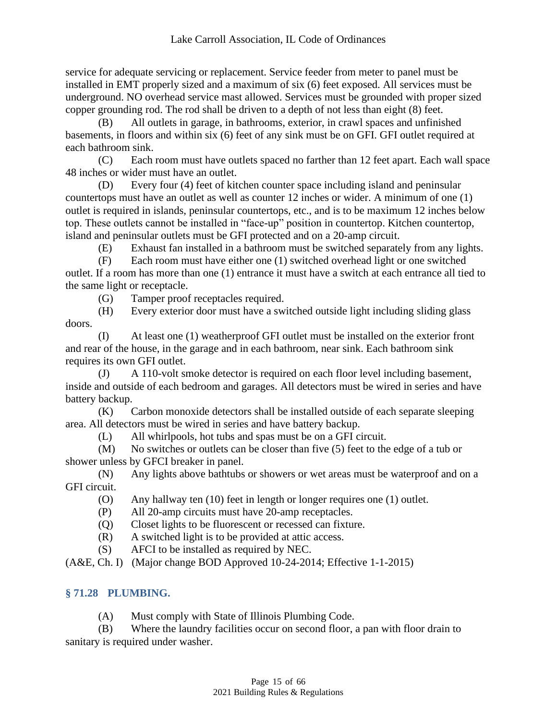service for adequate servicing or replacement. Service feeder from meter to panel must be installed in EMT properly sized and a maximum of six (6) feet exposed. All services must be underground. NO overhead service mast allowed. Services must be grounded with proper sized copper grounding rod. The rod shall be driven to a depth of not less than eight (8) feet.

(B) All outlets in garage, in bathrooms, exterior, in crawl spaces and unfinished basements, in floors and within six (6) feet of any sink must be on GFI. GFI outlet required at each bathroom sink.

(C) Each room must have outlets spaced no farther than 12 feet apart. Each wall space 48 inches or wider must have an outlet.

(D) Every four (4) feet of kitchen counter space including island and peninsular countertops must have an outlet as well as counter 12 inches or wider. A minimum of one (1) outlet is required in islands, peninsular countertops, etc., and is to be maximum 12 inches below top. These outlets cannot be installed in "face-up" position in countertop. Kitchen countertop, island and peninsular outlets must be GFI protected and on a 20-amp circuit.

(E) Exhaust fan installed in a bathroom must be switched separately from any lights.

(F) Each room must have either one (1) switched overhead light or one switched outlet. If a room has more than one (1) entrance it must have a switch at each entrance all tied to the same light or receptacle.

(G) Tamper proof receptacles required.

(H) Every exterior door must have a switched outside light including sliding glass doors.

(I) At least one (1) weatherproof GFI outlet must be installed on the exterior front and rear of the house, in the garage and in each bathroom, near sink. Each bathroom sink requires its own GFI outlet.

(J) A 110-volt smoke detector is required on each floor level including basement, inside and outside of each bedroom and garages. All detectors must be wired in series and have battery backup.

(K) Carbon monoxide detectors shall be installed outside of each separate sleeping area. All detectors must be wired in series and have battery backup.

(L) All whirlpools, hot tubs and spas must be on a GFI circuit.

(M) No switches or outlets can be closer than five (5) feet to the edge of a tub or shower unless by GFCI breaker in panel.

(N) Any lights above bathtubs or showers or wet areas must be waterproof and on a GFI circuit.

- (O) Any hallway ten (10) feet in length or longer requires one (1) outlet.
- (P) All 20-amp circuits must have 20-amp receptacles.
- (Q) Closet lights to be fluorescent or recessed can fixture.
- (R) A switched light is to be provided at attic access.
- (S) AFCI to be installed as required by NEC.

<span id="page-14-0"></span>(A&E, Ch. I) (Major change BOD Approved 10-24-2014; Effective 1-1-2015)

# **§ 71.28 PLUMBING.**

(A) Must comply with State of Illinois Plumbing Code.

(B) Where the laundry facilities occur on second floor, a pan with floor drain to

sanitary is required under washer.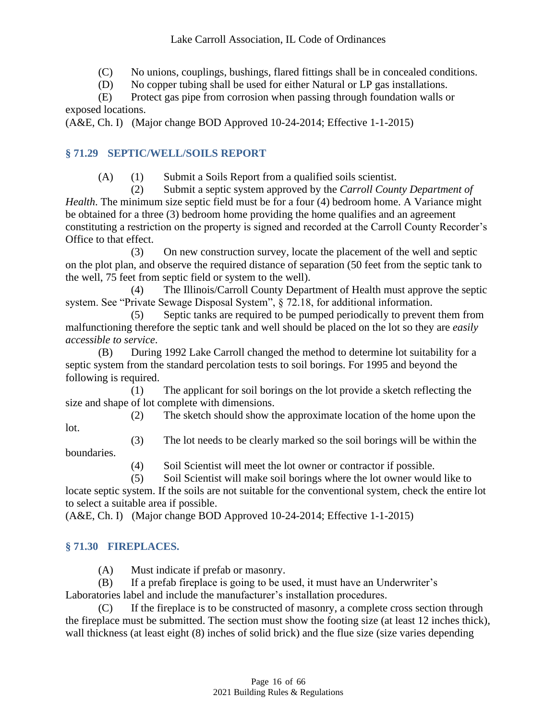(C) No unions, couplings, bushings, flared fittings shall be in concealed conditions.

(D) No copper tubing shall be used for either Natural or LP gas installations.

(E) Protect gas pipe from corrosion when passing through foundation walls or exposed locations.

<span id="page-15-0"></span>(A&E, Ch. I) (Major change BOD Approved 10-24-2014; Effective 1-1-2015)

# **§ 71.29 SEPTIC/WELL/SOILS REPORT**

(A) (1) Submit a Soils Report from a qualified soils scientist.

(2) Submit a septic system approved by the *Carroll County Department of Health*. The minimum size septic field must be for a four (4) bedroom home. A Variance might be obtained for a three (3) bedroom home providing the home qualifies and an agreement constituting a restriction on the property is signed and recorded at the Carroll County Recorder's Office to that effect.

(3) On new construction survey, locate the placement of the well and septic on the plot plan, and observe the required distance of separation (50 feet from the septic tank to the well, 75 feet from septic field or system to the well).

(4) The Illinois/Carroll County Department of Health must approve the septic system. See "Private Sewage Disposal System", § 72.18, for additional information.

(5) Septic tanks are required to be pumped periodically to prevent them from malfunctioning therefore the septic tank and well should be placed on the lot so they are *easily accessible to service*.

(B) During 1992 Lake Carroll changed the method to determine lot suitability for a septic system from the standard percolation tests to soil borings. For 1995 and beyond the following is required.

(1) The applicant for soil borings on the lot provide a sketch reflecting the size and shape of lot complete with dimensions.

(2) The sketch should show the approximate location of the home upon the

lot.

(3) The lot needs to be clearly marked so the soil borings will be within the

boundaries.

(4) Soil Scientist will meet the lot owner or contractor if possible.

(5) Soil Scientist will make soil borings where the lot owner would like to

locate septic system. If the soils are not suitable for the conventional system, check the entire lot to select a suitable area if possible.

<span id="page-15-1"></span>(A&E, Ch. I) (Major change BOD Approved 10-24-2014; Effective 1-1-2015)

# **§ 71.30 FIREPLACES.**

(A) Must indicate if prefab or masonry.

(B) If a prefab fireplace is going to be used, it must have an Underwriter's Laboratories label and include the manufacturer's installation procedures.

(C) If the fireplace is to be constructed of masonry, a complete cross section through the fireplace must be submitted. The section must show the footing size (at least 12 inches thick), wall thickness (at least eight (8) inches of solid brick) and the flue size (size varies depending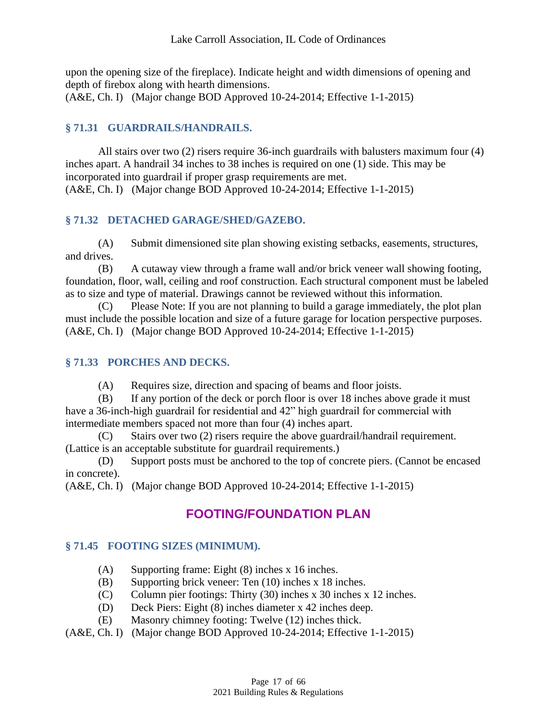upon the opening size of the fireplace). Indicate height and width dimensions of opening and depth of firebox along with hearth dimensions.

<span id="page-16-0"></span>(A&E, Ch. I) (Major change BOD Approved 10-24-2014; Effective 1-1-2015)

### **§ 71.31 GUARDRAILS/HANDRAILS.**

All stairs over two (2) risers require 36-inch guardrails with balusters maximum four (4) inches apart. A handrail 34 inches to 38 inches is required on one (1) side. This may be incorporated into guardrail if proper grasp requirements are met. (A&E, Ch. I) (Major change BOD Approved 10-24-2014; Effective 1-1-2015)

## <span id="page-16-1"></span>**§ 71.32 DETACHED GARAGE/SHED/GAZEBO.**

(A) Submit dimensioned site plan showing existing setbacks, easements, structures, and drives.

(B) A cutaway view through a frame wall and/or brick veneer wall showing footing, foundation, floor, wall, ceiling and roof construction. Each structural component must be labeled as to size and type of material. Drawings cannot be reviewed without this information.

(C) Please Note: If you are not planning to build a garage immediately, the plot plan must include the possible location and size of a future garage for location perspective purposes. (A&E, Ch. I) (Major change BOD Approved 10-24-2014; Effective 1-1-2015)

#### <span id="page-16-2"></span>**§ 71.33 PORCHES AND DECKS.**

(A) Requires size, direction and spacing of beams and floor joists.

(B) If any portion of the deck or porch floor is over 18 inches above grade it must have a 36-inch-high guardrail for residential and 42" high guardrail for commercial with intermediate members spaced not more than four (4) inches apart.

(C) Stairs over two (2) risers require the above guardrail/handrail requirement. (Lattice is an acceptable substitute for guardrail requirements.)

(D) Support posts must be anchored to the top of concrete piers. (Cannot be encased in concrete).

<span id="page-16-3"></span>(A&E, Ch. I) (Major change BOD Approved 10-24-2014; Effective 1-1-2015)

# **FOOTING/FOUNDATION PLAN**

#### <span id="page-16-4"></span>**§ 71.45 FOOTING SIZES (MINIMUM).**

- (A) Supporting frame: Eight (8) inches x 16 inches.
- (B) Supporting brick veneer: Ten (10) inches x 18 inches.
- (C) Column pier footings: Thirty (30) inches x 30 inches x 12 inches.
- (D) Deck Piers: Eight (8) inches diameter x 42 inches deep.
- (E) Masonry chimney footing: Twelve (12) inches thick.
- (A&E, Ch. I) (Major change BOD Approved 10-24-2014; Effective 1-1-2015)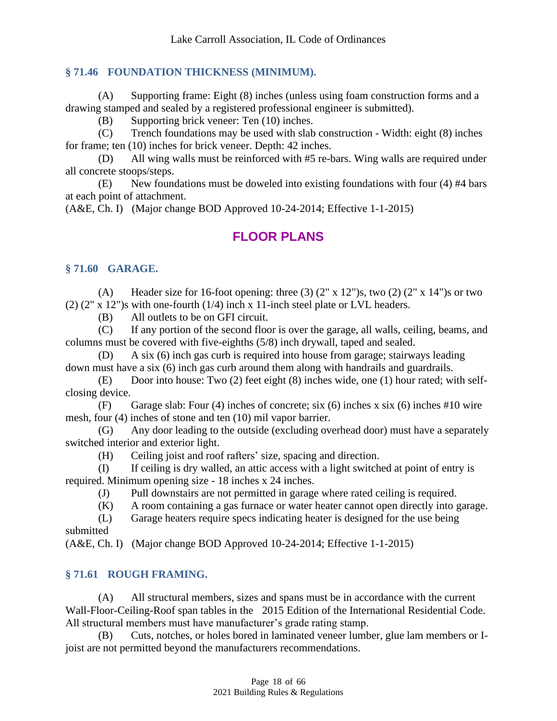#### <span id="page-17-0"></span>**§ 71.46 FOUNDATION THICKNESS (MINIMUM).**

(A) Supporting frame: Eight (8) inches (unless using foam construction forms and a drawing stamped and sealed by a registered professional engineer is submitted).

(B) Supporting brick veneer: Ten (10) inches.

(C) Trench foundations may be used with slab construction - Width: eight (8) inches for frame; ten (10) inches for brick veneer. Depth: 42 inches.

(D) All wing walls must be reinforced with #5 re-bars. Wing walls are required under all concrete stoops/steps.

(E) New foundations must be doweled into existing foundations with four (4) #4 bars at each point of attachment.

(A&E, Ch. I) (Major change BOD Approved 10-24-2014; Effective 1-1-2015)

# <span id="page-17-1"></span>**FLOOR PLANS**

#### <span id="page-17-2"></span>**§ 71.60 GARAGE.**

(A) Header size for 16-foot opening: three (3)  $(2'' \times 12'')s$ , two (2)  $(2'' \times 14'')s$  or two (2) (2" x 12")s with one-fourth (1/4) inch x 11-inch steel plate or LVL headers.

(B) All outlets to be on GFI circuit.

(C) If any portion of the second floor is over the garage, all walls, ceiling, beams, and columns must be covered with five-eighths (5/8) inch drywall, taped and sealed.

(D) A six (6) inch gas curb is required into house from garage; stairways leading down must have a six (6) inch gas curb around them along with handrails and guardrails.

(E) Door into house: Two (2) feet eight (8) inches wide, one (1) hour rated; with selfclosing device.

(F) Garage slab: Four (4) inches of concrete; six (6) inches x six (6) inches #10 wire mesh, four (4) inches of stone and ten (10) mil vapor barrier.

(G) Any door leading to the outside (excluding overhead door) must have a separately switched interior and exterior light.

(H) Ceiling joist and roof rafters' size, spacing and direction.

(I) If ceiling is dry walled, an attic access with a light switched at point of entry is required. Minimum opening size - 18 inches x 24 inches.

(J) Pull downstairs are not permitted in garage where rated ceiling is required.

(K) A room containing a gas furnace or water heater cannot open directly into garage.

(L) Garage heaters require specs indicating heater is designed for the use being submitted

<span id="page-17-3"></span>(A&E, Ch. I) (Major change BOD Approved 10-24-2014; Effective 1-1-2015)

#### **§ 71.61 ROUGH FRAMING.**

(A) All structural members, sizes and spans must be in accordance with the current Wall-Floor-Ceiling-Roof span tables in the 2015 Edition of the International Residential Code. All structural members must have manufacturer's grade rating stamp.

(B) Cuts, notches, or holes bored in laminated veneer lumber, glue lam members or Ijoist are not permitted beyond the manufacturers recommendations.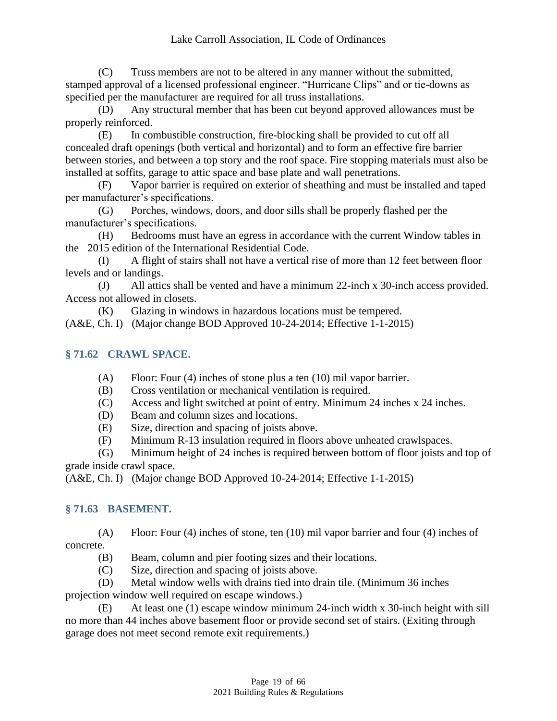#### Lake Carroll Association, IL Code of Ordinances

(C) Truss members are not to be altered in any manner without the submitted, stamped approval of a licensed professional engineer. "Hurricane Clips" and or tie-downs as specified per the manufacturer are required for all truss installations.

(D) Any structural member that has been cut beyond approved allowances must be properly reinforced.

(E) In combustible construction, fire-blocking shall be provided to cut off all concealed draft openings (both vertical and horizontal) and to form an effective fire barrier between stories, and between a top story and the roof space. Fire stopping materials must also be installed at soffits, garage to attic space and base plate and wall penetrations.

(F) Vapor barrier is required on exterior of sheathing and must be installed and taped per manufacturer's specifications.

(G) Porches, windows, doors, and door sills shall be properly flashed per the manufacturer's specifications.

(H) Bedrooms must have an egress in accordance with the current Window tables in the 2015 edition of the International Residential Code.

(I) A flight of stairs shall not have a vertical rise of more than 12 feet between floor levels and or landings.

(J) All attics shall be vented and have a minimum 22-inch x 30-inch access provided. Access not allowed in closets.

(K) Glazing in windows in hazardous locations must be tempered.

<span id="page-18-0"></span>(A&E, Ch. I) (Major change BOD Approved 10-24-2014; Effective 1-1-2015)

#### **§ 71.62 CRAWL SPACE.**

- (A) Floor: Four (4) inches of stone plus a ten (10) mil vapor barrier.
- (B) Cross ventilation or mechanical ventilation is required.
- (C) Access and light switched at point of entry. Minimum 24 inches x 24 inches.
- (D) Beam and column sizes and locations.
- (E) Size, direction and spacing of joists above.
- (F) Minimum R-13 insulation required in floors above unheated crawlspaces.

(G) Minimum height of 24 inches is required between bottom of floor joists and top of grade inside crawl space.

<span id="page-18-1"></span>(A&E, Ch. I) (Major change BOD Approved 10-24-2014; Effective 1-1-2015)

#### **§ 71.63 BASEMENT.**

(A) Floor: Four (4) inches of stone, ten (10) mil vapor barrier and four (4) inches of concrete.

- (B) Beam, column and pier footing sizes and their locations.
- (C) Size, direction and spacing of joists above.

(D) Metal window wells with drains tied into drain tile. (Minimum 36 inches projection window well required on escape windows.)

(E) At least one (1) escape window minimum 24-inch width x 30-inch height with sill no more than 44 inches above basement floor or provide second set of stairs. (Exiting through garage does not meet second remote exit requirements.)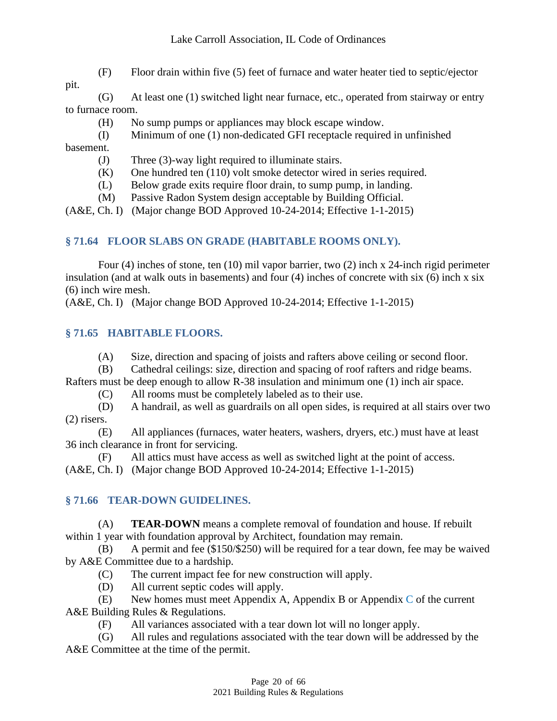(F) Floor drain within five (5) feet of furnace and water heater tied to septic/ejector

pit.

(G) At least one (1) switched light near furnace, etc., operated from stairway or entry to furnace room.

- (H) No sump pumps or appliances may block escape window.
- (I) Minimum of one (1) non-dedicated GFI receptacle required in unfinished

basement.

- (J) Three (3)-way light required to illuminate stairs.
- (K) One hundred ten (110) volt smoke detector wired in series required.
- (L) Below grade exits require floor drain, to sump pump, in landing.
- (M) Passive Radon System design acceptable by Building Official.

<span id="page-19-0"></span>(A&E, Ch. I) (Major change BOD Approved 10-24-2014; Effective 1-1-2015)

# **§ 71.64 FLOOR SLABS ON GRADE (HABITABLE ROOMS ONLY).**

Four (4) inches of stone, ten (10) mil vapor barrier, two (2) inch x 24-inch rigid perimeter insulation (and at walk outs in basements) and four (4) inches of concrete with six (6) inch x six (6) inch wire mesh.

<span id="page-19-1"></span>(A&E, Ch. I) (Major change BOD Approved 10-24-2014; Effective 1-1-2015)

# **§ 71.65 HABITABLE FLOORS.**

- (A) Size, direction and spacing of joists and rafters above ceiling or second floor.
- (B) Cathedral ceilings: size, direction and spacing of roof rafters and ridge beams.

Rafters must be deep enough to allow R-38 insulation and minimum one (1) inch air space.

(C) All rooms must be completely labeled as to their use.

(D) A handrail, as well as guardrails on all open sides, is required at all stairs over two (2) risers.

(E) All appliances (furnaces, water heaters, washers, dryers, etc.) must have at least 36 inch clearance in front for servicing.

(F) All attics must have access as well as switched light at the point of access.

<span id="page-19-2"></span>(A&E, Ch. I) (Major change BOD Approved 10-24-2014; Effective 1-1-2015)

# **§ 71.66 TEAR-DOWN GUIDELINES.**

(A) **TEAR-DOWN** means a complete removal of foundation and house. If rebuilt within 1 year with foundation approval by Architect, foundation may remain.

(B) A permit and fee (\$150/\$250) will be required for a tear down, fee may be waived by A&E Committee due to a hardship.

- (C) The current impact fee for new construction will apply.
- (D) All current septic codes will apply.

(E) New homes must meet Appendix A, Appendix B or Appendix  $\overline{C}$  of the current A&E Building Rules & Regulations.

(F) All variances associated with a tear down lot will no longer apply.

(G) All rules and regulations associated with the tear down will be addressed by the A&E Committee at the time of the permit.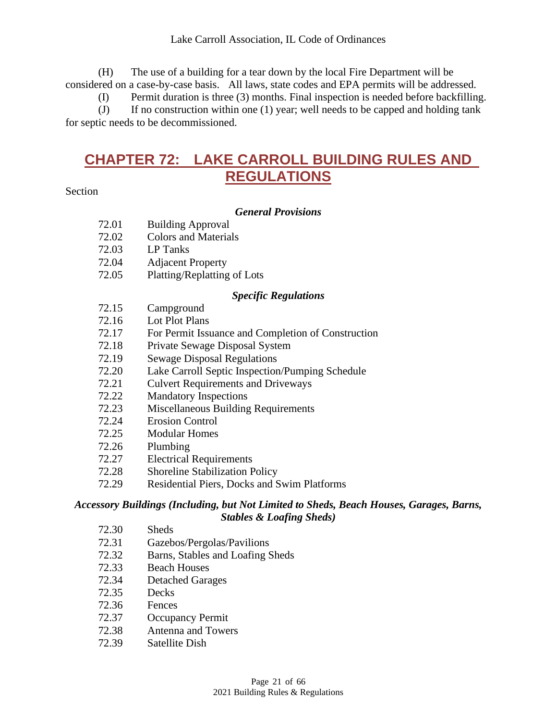(H) The use of a building for a tear down by the local Fire Department will be considered on a case-by-case basis. All laws, state codes and EPA permits will be addressed.

(I) Permit duration is three (3) months. Final inspection is needed before backfilling.

<span id="page-20-0"></span>(J) If no construction within one (1) year; well needs to be capped and holding tank for septic needs to be decommissioned.

# **CHAPTER 72: LAKE CARROLL BUILDING RULES AND REGULATIONS**

#### Section

#### *General Provisions*

- 72.02 Colors and Materials
- 72.03 LP Tanks
- 72.04 Adjacent Property
- 72.05 Platting/Replatting of Lots

#### *Specific Regulations*

- 72.15 Campground
- 72.16 Lot Plot Plans
- 72.17 For Permit Issuance and Completion of Construction
- 72.18 Private Sewage Disposal System
- 72.19 Sewage Disposal Regulations
- 72.20 Lake Carroll Septic Inspection/Pumping Schedule
- 72.21 Culvert Requirements and Driveways
- 72.22 Mandatory Inspections
- 72.23 Miscellaneous Building Requirements
- 72.24 Erosion Control
- 72.25 Modular Homes
- 72.26 Plumbing
- 72.27 Electrical Requirements
- 72.28 Shoreline Stabilization Policy
- 72.29 Residential Piers, Docks and Swim Platforms

#### *Accessory Buildings (Including, but Not Limited to Sheds, Beach Houses, Garages, Barns, Stables & Loafing Sheds)*

- 72.30 Sheds
- 72.31 Gazebos/Pergolas/Pavilions
- 72.32 Barns, Stables and Loafing Sheds
- 72.33 Beach Houses
- 72.34 Detached Garages
- 72.35 Decks
- 72.36 Fences
- 72.37 Occupancy Permit
- 72.38 Antenna and Towers
- 72.39 Satellite Dish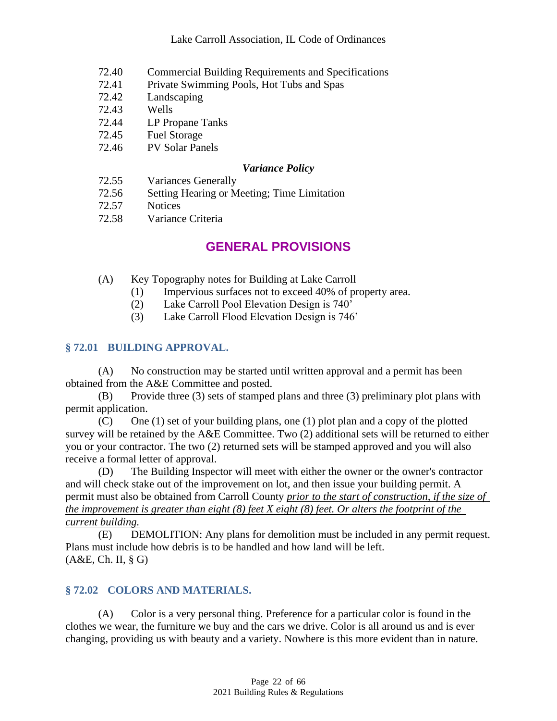- 72.40 Commercial Building Requirements and Specifications
- 72.41 Private Swimming Pools, Hot Tubs and Spas
- 72.42 Landscaping
- 72.43 Wells
- 72.44 LP Propane Tanks
- 72.45 Fuel Storage
- 72.46 PV Solar Panels

#### *Variance Policy*

- 72.55 Variances Generally
- 72.56 Setting Hearing or Meeting; Time Limitation
- 72.57 Notices
- <span id="page-21-0"></span>72.58 Variance Criteria

# **GENERAL PROVISIONS**

- (A) Key Topography notes for Building at Lake Carroll
	- (1) Impervious surfaces not to exceed 40% of property area.
	- (2) Lake Carroll Pool Elevation Design is 740'
	- (3) Lake Carroll Flood Elevation Design is 746'

#### <span id="page-21-1"></span>**§ 72.01 BUILDING APPROVAL.**

(A) No construction may be started until written approval and a permit has been obtained from the A&E Committee and posted.

(B) Provide three (3) sets of stamped plans and three (3) preliminary plot plans with permit application.

(C) One (1) set of your building plans, one (1) plot plan and a copy of the plotted survey will be retained by the A&E Committee. Two (2) additional sets will be returned to either you or your contractor. The two (2) returned sets will be stamped approved and you will also receive a formal letter of approval.

(D) The Building Inspector will meet with either the owner or the owner's contractor and will check stake out of the improvement on lot, and then issue your building permit. A permit must also be obtained from Carroll County *prior to the start of construction, if the size of the improvement is greater than eight (8) feet X eight (8) feet. Or alters the footprint of the current building.*

(E) DEMOLITION: Any plans for demolition must be included in any permit request. Plans must include how debris is to be handled and how land will be left. (A&E, Ch. II, § G)

#### <span id="page-21-2"></span>**§ 72.02 COLORS AND MATERIALS.**

(A) Color is a very personal thing. Preference for a particular color is found in the clothes we wear, the furniture we buy and the cars we drive. Color is all around us and is ever changing, providing us with beauty and a variety. Nowhere is this more evident than in nature.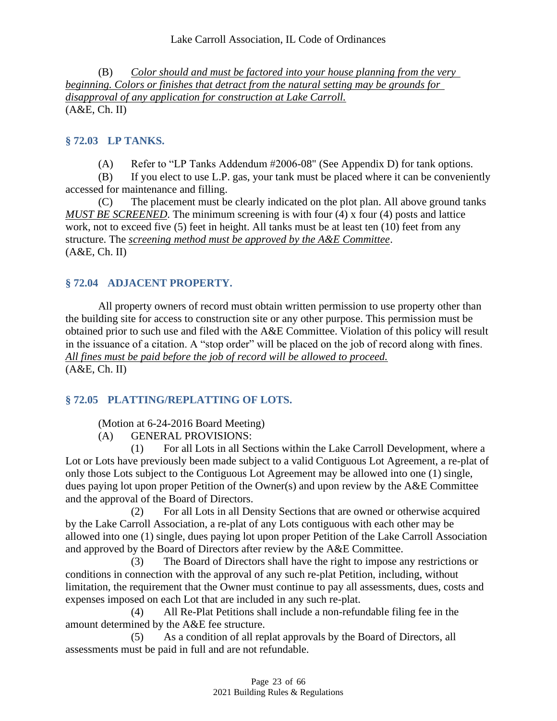(B) *Color should and must be factored into your house planning from the very beginning. Colors or finishes that detract from the natural setting may be grounds for disapproval of any application for construction at Lake Carroll.* (A&E, Ch. II)

### <span id="page-22-0"></span>**§ 72.03 LP TANKS.**

(A) Refer to "LP Tanks Addendum #2006-08" (See Appendix D) for tank options.

(B) If you elect to use L.P. gas, your tank must be placed where it can be conveniently accessed for maintenance and filling.

(C) The placement must be clearly indicated on the plot plan. All above ground tanks *MUST BE SCREENED*. The minimum screening is with four (4) x four (4) posts and lattice work, not to exceed five (5) feet in height. All tanks must be at least ten (10) feet from any structure. The *screening method must be approved by the A&E Committee*. (A&E, Ch. II)

#### <span id="page-22-1"></span>**§ 72.04 ADJACENT PROPERTY.**

All property owners of record must obtain written permission to use property other than the building site for access to construction site or any other purpose. This permission must be obtained prior to such use and filed with the A&E Committee. Violation of this policy will result in the issuance of a citation. A "stop order" will be placed on the job of record along with fines. *All fines must be paid before the job of record will be allowed to proceed.* (A&E, Ch. II)

#### <span id="page-22-2"></span>**§ 72.05 PLATTING/REPLATTING OF LOTS.**

(Motion at 6-24-2016 Board Meeting)

(A) GENERAL PROVISIONS:

(1) For all Lots in all Sections within the Lake Carroll Development, where a Lot or Lots have previously been made subject to a valid Contiguous Lot Agreement, a re-plat of only those Lots subject to the Contiguous Lot Agreement may be allowed into one (1) single, dues paying lot upon proper Petition of the Owner(s) and upon review by the A&E Committee and the approval of the Board of Directors.

(2) For all Lots in all Density Sections that are owned or otherwise acquired by the Lake Carroll Association, a re-plat of any Lots contiguous with each other may be allowed into one (1) single, dues paying lot upon proper Petition of the Lake Carroll Association and approved by the Board of Directors after review by the A&E Committee.

(3) The Board of Directors shall have the right to impose any restrictions or conditions in connection with the approval of any such re-plat Petition, including, without limitation, the requirement that the Owner must continue to pay all assessments, dues, costs and expenses imposed on each Lot that are included in any such re-plat.

(4) All Re-Plat Petitions shall include a non-refundable filing fee in the amount determined by the A&E fee structure.

(5) As a condition of all replat approvals by the Board of Directors, all assessments must be paid in full and are not refundable.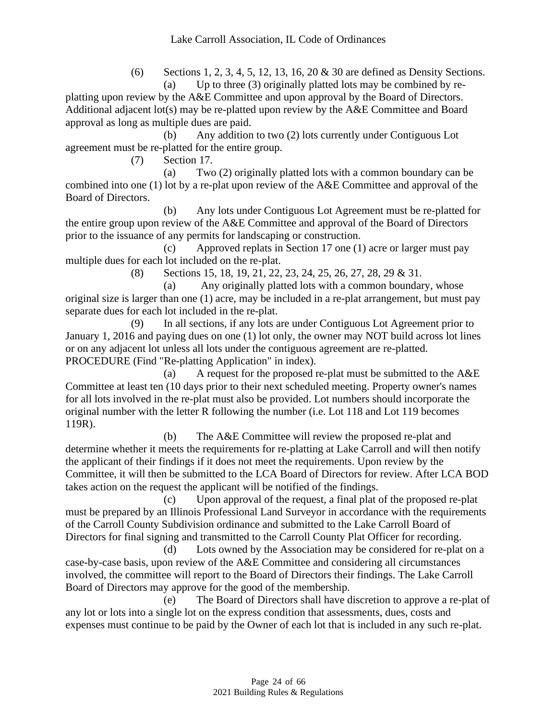(6) Sections 1, 2, 3, 4, 5, 12, 13, 16, 20 & 30 are defined as Density Sections. (a) Up to three (3) originally platted lots may be combined by re-

platting upon review by the A&E Committee and upon approval by the Board of Directors. Additional adjacent lot(s) may be re-platted upon review by the A&E Committee and Board approval as long as multiple dues are paid.

(b) Any addition to two (2) lots currently under Contiguous Lot agreement must be re-platted for the entire group.

(7) Section 17.

(a) Two (2) originally platted lots with a common boundary can be combined into one (1) lot by a re-plat upon review of the A&E Committee and approval of the Board of Directors.

(b) Any lots under Contiguous Lot Agreement must be re-platted for the entire group upon review of the A&E Committee and approval of the Board of Directors prior to the issuance of any permits for landscaping or construction.

(c) Approved replats in Section 17 one (1) acre or larger must pay multiple dues for each lot included on the re-plat.

(8) Sections 15, 18, 19, 21, 22, 23, 24, 25, 26, 27, 28, 29 & 31.

(a) Any originally platted lots with a common boundary, whose original size is larger than one (1) acre, may be included in a re-plat arrangement, but must pay separate dues for each lot included in the re-plat.

(9) In all sections, if any lots are under Contiguous Lot Agreement prior to January 1, 2016 and paying dues on one (1) lot only, the owner may NOT build across lot lines or on any adjacent lot unless all lots under the contiguous agreement are re-platted. PROCEDURE (Find "Re-platting Application" in index).

(a) A request for the proposed re-plat must be submitted to the A&E Committee at least ten (10 days prior to their next scheduled meeting. Property owner's names for all lots involved in the re-plat must also be provided. Lot numbers should incorporate the original number with the letter R following the number (i.e. Lot 118 and Lot 119 becomes 119R).

(b) The A&E Committee will review the proposed re-plat and determine whether it meets the requirements for re-platting at Lake Carroll and will then notify the applicant of their findings if it does not meet the requirements. Upon review by the Committee, it will then be submitted to the LCA Board of Directors for review. After LCA BOD takes action on the request the applicant will be notified of the findings.

(c) Upon approval of the request, a final plat of the proposed re-plat must be prepared by an Illinois Professional Land Surveyor in accordance with the requirements of the Carroll County Subdivision ordinance and submitted to the Lake Carroll Board of Directors for final signing and transmitted to the Carroll County Plat Officer for recording.

(d) Lots owned by the Association may be considered for re-plat on a case-by-case basis, upon review of the A&E Committee and considering all circumstances involved, the committee will report to the Board of Directors their findings. The Lake Carroll Board of Directors may approve for the good of the membership.

(e) The Board of Directors shall have discretion to approve a re-plat of any lot or lots into a single lot on the express condition that assessments, dues, costs and expenses must continue to be paid by the Owner of each lot that is included in any such re-plat.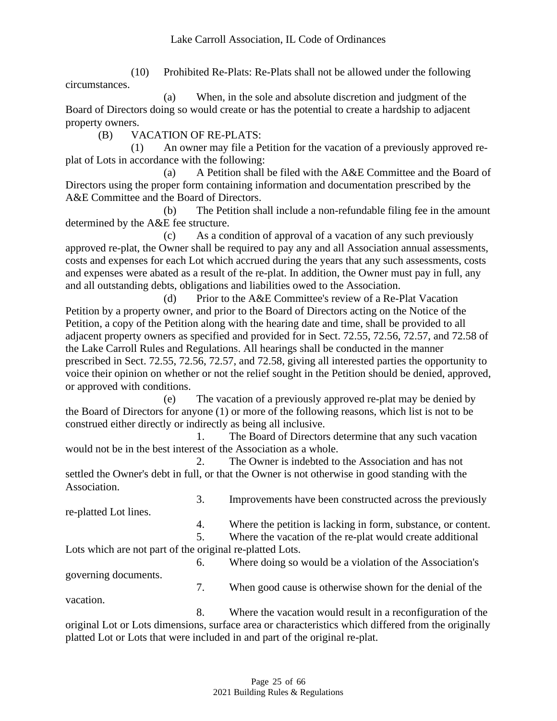(10) Prohibited Re-Plats: Re-Plats shall not be allowed under the following circumstances.

(a) When, in the sole and absolute discretion and judgment of the Board of Directors doing so would create or has the potential to create a hardship to adjacent property owners.

(B) VACATION OF RE-PLATS:

(1) An owner may file a Petition for the vacation of a previously approved replat of Lots in accordance with the following:

(a) A Petition shall be filed with the A&E Committee and the Board of Directors using the proper form containing information and documentation prescribed by the A&E Committee and the Board of Directors.

(b) The Petition shall include a non-refundable filing fee in the amount determined by the A&E fee structure.

(c) As a condition of approval of a vacation of any such previously approved re-plat, the Owner shall be required to pay any and all Association annual assessments, costs and expenses for each Lot which accrued during the years that any such assessments, costs and expenses were abated as a result of the re-plat. In addition, the Owner must pay in full, any and all outstanding debts, obligations and liabilities owed to the Association.

(d) Prior to the A&E Committee's review of a Re-Plat Vacation Petition by a property owner, and prior to the Board of Directors acting on the Notice of the Petition, a copy of the Petition along with the hearing date and time, shall be provided to all adjacent property owners as specified and provided for in Sect. 72.55, 72.56, 72.57, and 72.58 of the Lake Carroll Rules and Regulations. All hearings shall be conducted in the manner prescribed in Sect. 72.55, 72.56, 72.57, and 72.58, giving all interested parties the opportunity to voice their opinion on whether or not the relief sought in the Petition should be denied, approved, or approved with conditions.

(e) The vacation of a previously approved re-plat may be denied by the Board of Directors for anyone (1) or more of the following reasons, which list is not to be construed either directly or indirectly as being all inclusive.

1. The Board of Directors determine that any such vacation would not be in the best interest of the Association as a whole.

2. The Owner is indebted to the Association and has not settled the Owner's debt in full, or that the Owner is not otherwise in good standing with the Association.

re-platted Lot lines.

4. Where the petition is lacking in form, substance, or content.

3. Improvements have been constructed across the previously

5. Where the vacation of the re-plat would create additional Lots which are not part of the original re-platted Lots.

6. Where doing so would be a violation of the Association's governing documents. 7. When good cause is otherwise shown for the denial of the

vacation.

8. Where the vacation would result in a reconfiguration of the original Lot or Lots dimensions, surface area or characteristics which differed from the originally platted Lot or Lots that were included in and part of the original re-plat.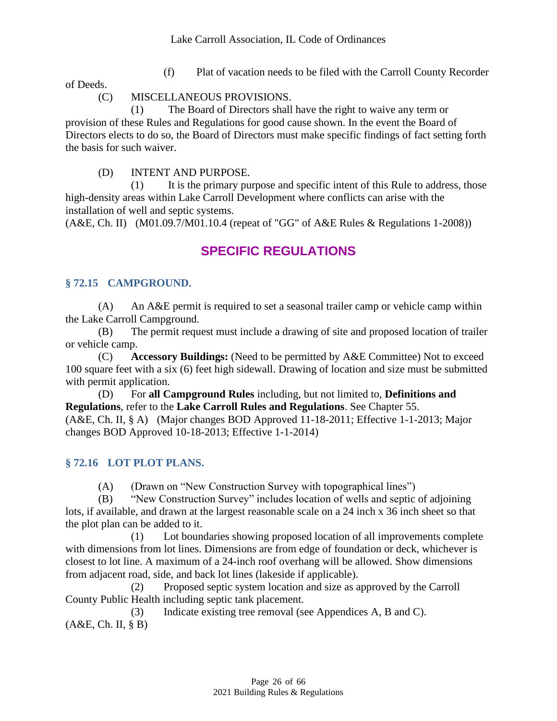(f) Plat of vacation needs to be filed with the Carroll County Recorder

of Deeds.

#### (C) MISCELLANEOUS PROVISIONS.

(1) The Board of Directors shall have the right to waive any term or provision of these Rules and Regulations for good cause shown. In the event the Board of Directors elects to do so, the Board of Directors must make specific findings of fact setting forth the basis for such waiver.

(D) INTENT AND PURPOSE.

(1) It is the primary purpose and specific intent of this Rule to address, those high-density areas within Lake Carroll Development where conflicts can arise with the installation of well and septic systems.

<span id="page-25-0"></span>(A&E, Ch. II) (M01.09.7/M01.10.4 (repeat of "GG" of A&E Rules & Regulations 1-2008))

# **SPECIFIC REGULATIONS**

#### <span id="page-25-1"></span>**§ 72.15 CAMPGROUND.**

(A) An A&E permit is required to set a seasonal trailer camp or vehicle camp within the Lake Carroll Campground.

(B) The permit request must include a drawing of site and proposed location of trailer or vehicle camp.

(C) **Accessory Buildings:** (Need to be permitted by A&E Committee) Not to exceed 100 square feet with a six (6) feet high sidewall. Drawing of location and size must be submitted with permit application.

(D) For **all Campground Rules** including, but not limited to, **Definitions and Regulations**, refer to the **Lake Carroll Rules and Regulations**. See Chapter 55.

(A&E, Ch. II, § A) (Major changes BOD Approved 11-18-2011; Effective 1-1-2013; Major changes BOD Approved 10-18-2013; Effective 1-1-2014)

#### <span id="page-25-2"></span>**§ 72.16 LOT PLOT PLANS.**

(A) (Drawn on "New Construction Survey with topographical lines")

(B) "New Construction Survey" includes location of wells and septic of adjoining lots, if available, and drawn at the largest reasonable scale on a 24 inch x 36 inch sheet so that the plot plan can be added to it.

(1) Lot boundaries showing proposed location of all improvements complete with dimensions from lot lines. Dimensions are from edge of foundation or deck, whichever is closest to lot line. A maximum of a 24-inch roof overhang will be allowed. Show dimensions from adjacent road, side, and back lot lines (lakeside if applicable).

(2) Proposed septic system location and size as approved by the Carroll County Public Health including septic tank placement.

(3) Indicate existing tree removal (see Appendices A, B and C). (A&E, Ch. II, § B)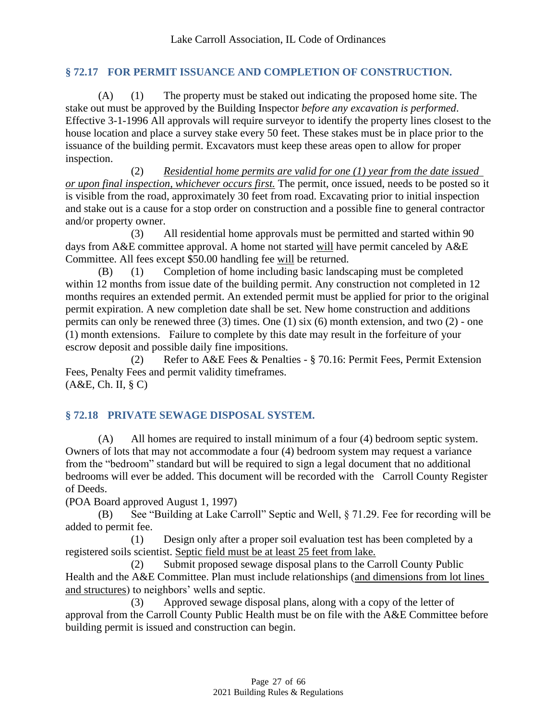#### <span id="page-26-0"></span>**§ 72.17 FOR PERMIT ISSUANCE AND COMPLETION OF CONSTRUCTION.**

(A) (1) The property must be staked out indicating the proposed home site. The stake out must be approved by the Building Inspector *before any excavation is performed*. Effective 3-1-1996 All approvals will require surveyor to identify the property lines closest to the house location and place a survey stake every 50 feet. These stakes must be in place prior to the issuance of the building permit. Excavators must keep these areas open to allow for proper inspection.

(2) *Residential home permits are valid for one (1) year from the date issued or upon final inspection, whichever occurs first.* The permit, once issued, needs to be posted so it is visible from the road, approximately 30 feet from road. Excavating prior to initial inspection and stake out is a cause for a stop order on construction and a possible fine to general contractor and/or property owner.

(3) All residential home approvals must be permitted and started within 90 days from A&E committee approval. A home not started will have permit canceled by A&E Committee. All fees except \$50.00 handling fee will be returned.

(B) (1) Completion of home including basic landscaping must be completed within 12 months from issue date of the building permit. Any construction not completed in 12 months requires an extended permit. An extended permit must be applied for prior to the original permit expiration. A new completion date shall be set. New home construction and additions permits can only be renewed three (3) times. One (1) six (6) month extension, and two (2) - one (1) month extensions. Failure to complete by this date may result in the forfeiture of your escrow deposit and possible daily fine impositions.

(2) Refer to A&E Fees & Penalties - § 70.16: Permit Fees, Permit Extension Fees, Penalty Fees and permit validity timeframes. (A&E, Ch. II, § C)

#### <span id="page-26-1"></span>**§ 72.18 PRIVATE SEWAGE DISPOSAL SYSTEM.**

(A) All homes are required to install minimum of a four (4) bedroom septic system. Owners of lots that may not accommodate a four (4) bedroom system may request a variance from the "bedroom" standard but will be required to sign a legal document that no additional bedrooms will ever be added. This document will be recorded with the Carroll County Register of Deeds.

(POA Board approved August 1, 1997)

(B) See "Building at Lake Carroll" Septic and Well, § 71.29. Fee for recording will be added to permit fee.

(1) Design only after a proper soil evaluation test has been completed by a registered soils scientist. Septic field must be at least 25 feet from lake.

(2) Submit proposed sewage disposal plans to the Carroll County Public Health and the A&E Committee. Plan must include relationships (and dimensions from lot lines and structures) to neighbors' wells and septic.

(3) Approved sewage disposal plans, along with a copy of the letter of approval from the Carroll County Public Health must be on file with the A&E Committee before building permit is issued and construction can begin.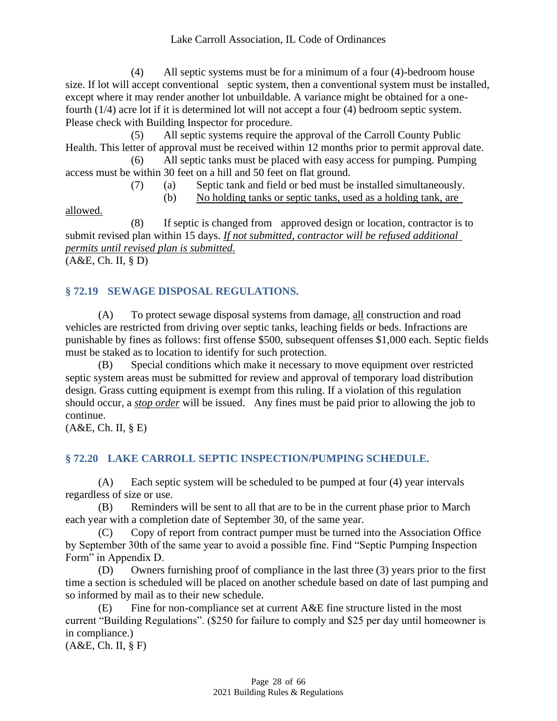(4) All septic systems must be for a minimum of a four (4)-bedroom house size. If lot will accept conventional septic system, then a conventional system must be installed, except where it may render another lot unbuildable. A variance might be obtained for a onefourth (1/4) acre lot if it is determined lot will not accept a four (4) bedroom septic system. Please check with Building Inspector for procedure.

(5) All septic systems require the approval of the Carroll County Public Health. This letter of approval must be received within 12 months prior to permit approval date. (6) All septic tanks must be placed with easy access for pumping. Pumping

access must be within 30 feet on a hill and 50 feet on flat ground.

(7) (a) Septic tank and field or bed must be installed simultaneously.

(b) No holding tanks or septic tanks, used as a holding tank, are

allowed.

(8) If septic is changed from approved design or location, contractor is to submit revised plan within 15 days. *If not submitted, contractor will be refused additional permits until revised plan is submitted.* (A&E, Ch. II, § D)

# <span id="page-27-0"></span>**§ 72.19 SEWAGE DISPOSAL REGULATIONS.**

(A) To protect sewage disposal systems from damage, all construction and road vehicles are restricted from driving over septic tanks, leaching fields or beds. Infractions are punishable by fines as follows: first offense \$500, subsequent offenses \$1,000 each. Septic fields must be staked as to location to identify for such protection.

(B) Special conditions which make it necessary to move equipment over restricted septic system areas must be submitted for review and approval of temporary load distribution design. Grass cutting equipment is exempt from this ruling. If a violation of this regulation should occur, a *stop order* will be issued. Any fines must be paid prior to allowing the job to continue.

<span id="page-27-1"></span>(A&E, Ch. II, § E)

# **§ 72.20 LAKE CARROLL SEPTIC INSPECTION/PUMPING SCHEDULE.**

(A) Each septic system will be scheduled to be pumped at four (4) year intervals regardless of size or use.

(B) Reminders will be sent to all that are to be in the current phase prior to March each year with a completion date of September 30, of the same year.

(C) Copy of report from contract pumper must be turned into the Association Office by September 30th of the same year to avoid a possible fine. Find "Septic Pumping Inspection Form" in Appendix D.

(D) Owners furnishing proof of compliance in the last three (3) years prior to the first time a section is scheduled will be placed on another schedule based on date of last pumping and so informed by mail as to their new schedule.

 $(E)$  Fine for non-compliance set at current A&E fine structure listed in the most current "Building Regulations". (\$250 for failure to comply and \$25 per day until homeowner is in compliance.)

(A&E, Ch. II, § F)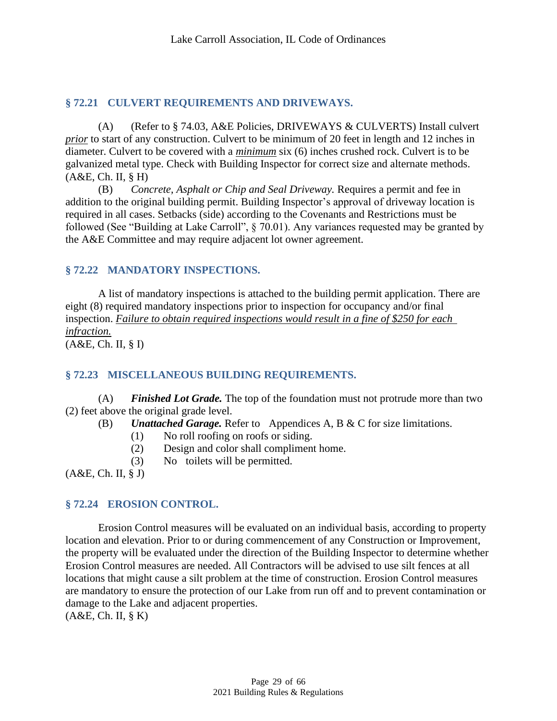#### <span id="page-28-0"></span>**§ 72.21 CULVERT REQUIREMENTS AND DRIVEWAYS.**

(A) (Refer to § 74.03, A&E Policies, DRIVEWAYS & CULVERTS) Install culvert *prior* to start of any construction. Culvert to be minimum of 20 feet in length and 12 inches in diameter. Culvert to be covered with a *minimum* six (6) inches crushed rock. Culvert is to be galvanized metal type. Check with Building Inspector for correct size and alternate methods. (A&E, Ch. II, § H)

(B) *Concrete, Asphalt or Chip and Seal Driveway.* Requires a permit and fee in addition to the original building permit. Building Inspector's approval of driveway location is required in all cases. Setbacks (side) according to the Covenants and Restrictions must be followed (See "Building at Lake Carroll", § 70.01). Any variances requested may be granted by the A&E Committee and may require adjacent lot owner agreement.

## <span id="page-28-1"></span>**§ 72.22 MANDATORY INSPECTIONS.**

A list of mandatory inspections is attached to the building permit application. There are eight (8) required mandatory inspections prior to inspection for occupancy and/or final inspection. *Failure to obtain required inspections would result in a fine of \$250 for each infraction.* (A&E, Ch. II, § I)

#### <span id="page-28-2"></span>**§ 72.23 MISCELLANEOUS BUILDING REQUIREMENTS.**

(A) *Finished Lot Grade.* The top of the foundation must not protrude more than two (2) feet above the original grade level.

(B) *Unattached Garage.* Refer to Appendices A, B & C for size limitations.

- (1) No roll roofing on roofs or siding.
- (2) Design and color shall compliment home.
- (3) No toilets will be permitted.

<span id="page-28-3"></span>(A&E, Ch. II, § J)

#### **§ 72.24 EROSION CONTROL.**

Erosion Control measures will be evaluated on an individual basis, according to property location and elevation. Prior to or during commencement of any Construction or Improvement, the property will be evaluated under the direction of the Building Inspector to determine whether Erosion Control measures are needed. All Contractors will be advised to use silt fences at all locations that might cause a silt problem at the time of construction. Erosion Control measures are mandatory to ensure the protection of our Lake from run off and to prevent contamination or damage to the Lake and adjacent properties. (A&E, Ch. II, § K)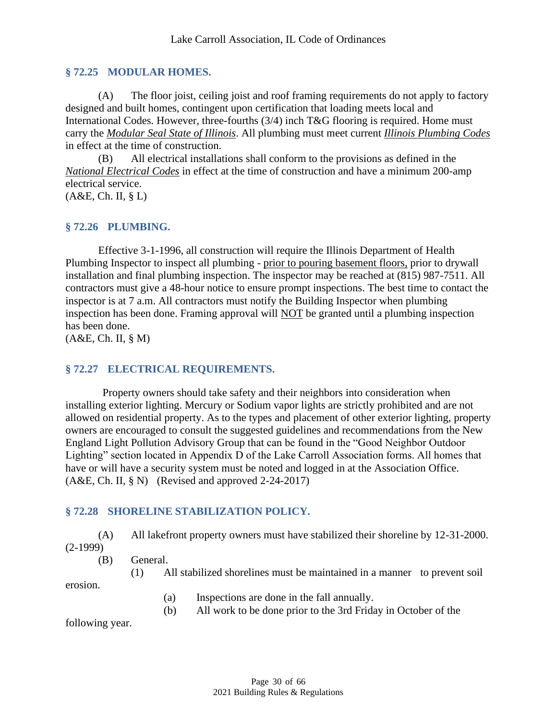#### <span id="page-29-0"></span>**§ 72.25 MODULAR HOMES.**

(A) The floor joist, ceiling joist and roof framing requirements do not apply to factory designed and built homes, contingent upon certification that loading meets local and International Codes. However, three-fourths (3/4) inch T&G flooring is required. Home must carry the *Modular Seal State of Illinois*. All plumbing must meet current *Illinois Plumbing Codes* in effect at the time of construction.

(B) All electrical installations shall conform to the provisions as defined in the *National Electrical Codes* in effect at the time of construction and have a minimum 200-amp electrical service.

<span id="page-29-1"></span>(A&E, Ch. II, § L)

#### **§ 72.26 PLUMBING.**

Effective 3-1-1996, all construction will require the Illinois Department of Health Plumbing Inspector to inspect all plumbing - prior to pouring basement floors, prior to drywall installation and final plumbing inspection. The inspector may be reached at (815) 987-7511. All contractors must give a 48-hour notice to ensure prompt inspections. The best time to contact the inspector is at 7 a.m. All contractors must notify the Building Inspector when plumbing inspection has been done. Framing approval will NOT be granted until a plumbing inspection has been done.

<span id="page-29-2"></span>(A&E, Ch. II, § M)

#### **§ 72.27 ELECTRICAL REQUIREMENTS.**

Property owners should take safety and their neighbors into consideration when installing exterior lighting. Mercury or Sodium vapor lights are strictly prohibited and are not allowed on residential property. As to the types and placement of other exterior lighting, property owners are encouraged to consult the suggested guidelines and recommendations from the New England Light Pollution Advisory Group that can be found in the "Good Neighbor Outdoor Lighting" section located in Appendix D of the Lake Carroll Association forms. All homes that have or will have a security system must be noted and logged in at the Association Office. (A&E, Ch. II, § N) (Revised and approved 2-24-2017)

#### <span id="page-29-3"></span>**§ 72.28 SHORELINE STABILIZATION POLICY.**

(A) All lakefront property owners must have stabilized their shoreline by 12-31-2000.

(2-1999)

(B) General.

(1) All stabilized shorelines must be maintained in a manner to prevent soil

erosion.

- (a) Inspections are done in the fall annually.
- (b) All work to be done prior to the 3rd Friday in October of the

following year.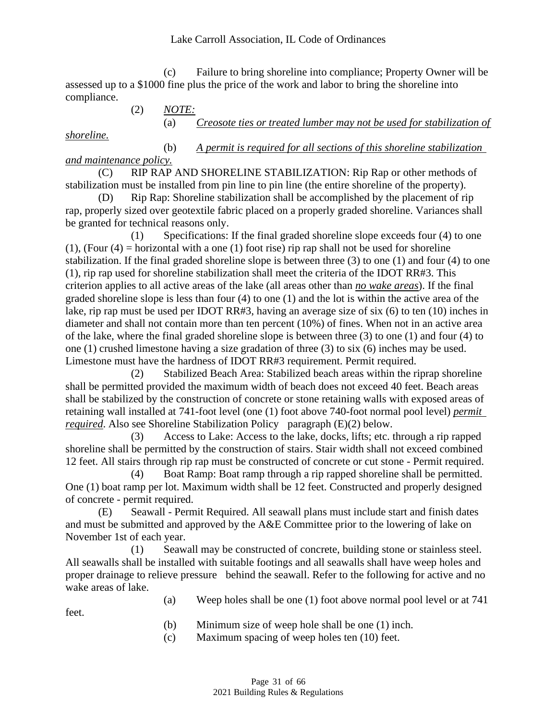#### Lake Carroll Association, IL Code of Ordinances

(c) Failure to bring shoreline into compliance; Property Owner will be assessed up to a \$1000 fine plus the price of the work and labor to bring the shoreline into compliance.

(2) *NOTE:*

(a) *Creosote ties or treated lumber may not be used for stabilization of* 

*shoreline.*

(b) *A permit is required for all sections of this shoreline stabilization and maintenance policy.*

(C) RIP RAP AND SHORELINE STABILIZATION: Rip Rap or other methods of stabilization must be installed from pin line to pin line (the entire shoreline of the property).

(D) Rip Rap: Shoreline stabilization shall be accomplished by the placement of rip rap, properly sized over geotextile fabric placed on a properly graded shoreline. Variances shall be granted for technical reasons only.

(1) Specifications: If the final graded shoreline slope exceeds four (4) to one (1), (Four  $(4)$  = horizontal with a one (1) foot rise) rip rap shall not be used for shoreline stabilization. If the final graded shoreline slope is between three (3) to one (1) and four (4) to one (1), rip rap used for shoreline stabilization shall meet the criteria of the IDOT RR#3. This criterion applies to all active areas of the lake (all areas other than *no wake areas*). If the final graded shoreline slope is less than four (4) to one (1) and the lot is within the active area of the lake, rip rap must be used per IDOT RR#3, having an average size of six (6) to ten (10) inches in diameter and shall not contain more than ten percent (10%) of fines. When not in an active area of the lake, where the final graded shoreline slope is between three (3) to one (1) and four (4) to one (1) crushed limestone having a size gradation of three (3) to six (6) inches may be used. Limestone must have the hardness of IDOT RR#3 requirement. Permit required.

(2) Stabilized Beach Area: Stabilized beach areas within the riprap shoreline shall be permitted provided the maximum width of beach does not exceed 40 feet. Beach areas shall be stabilized by the construction of concrete or stone retaining walls with exposed areas of retaining wall installed at 741-foot level (one (1) foot above 740-foot normal pool level) *permit required*. Also see Shoreline Stabilization Policy paragraph (E)(2) below.

(3) Access to Lake: Access to the lake, docks, lifts; etc. through a rip rapped shoreline shall be permitted by the construction of stairs. Stair width shall not exceed combined 12 feet. All stairs through rip rap must be constructed of concrete or cut stone - Permit required.

(4) Boat Ramp: Boat ramp through a rip rapped shoreline shall be permitted. One (1) boat ramp per lot. Maximum width shall be 12 feet. Constructed and properly designed of concrete - permit required.

Seawall - Permit Required. All seawall plans must include start and finish dates and must be submitted and approved by the A&E Committee prior to the lowering of lake on November 1st of each year.

(1) Seawall may be constructed of concrete, building stone or stainless steel. All seawalls shall be installed with suitable footings and all seawalls shall have weep holes and proper drainage to relieve pressure behind the seawall. Refer to the following for active and no wake areas of lake.

(a) Weep holes shall be one (1) foot above normal pool level or at 741

feet.

- (b) Minimum size of weep hole shall be one (1) inch.
- (c) Maximum spacing of weep holes ten (10) feet.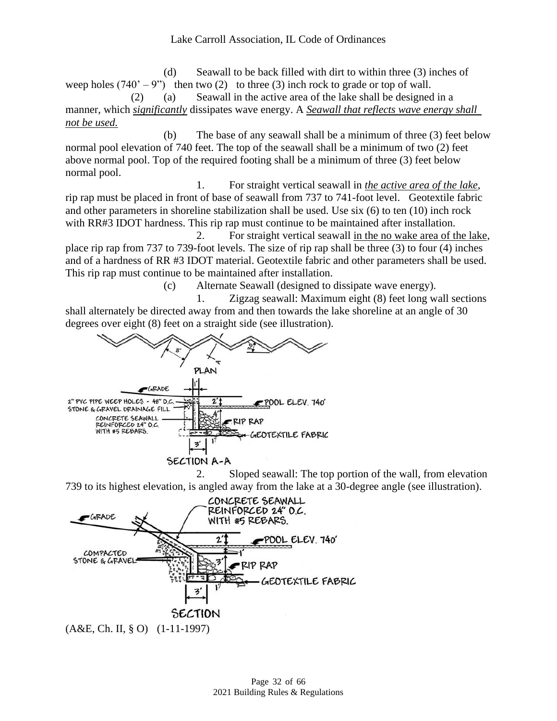(d) Seawall to be back filled with dirt to within three (3) inches of weep holes  $(740^\circ - 9^\circ)$  then two (2) to three (3) inch rock to grade or top of wall. (2) (a) Seawall in the active area of the lake shall be designed in a

manner, which *significantly* dissipates wave energy. A *Seawall that reflects wave energy shall not be used.*

(b) The base of any seawall shall be a minimum of three (3) feet below normal pool elevation of 740 feet. The top of the seawall shall be a minimum of two (2) feet above normal pool. Top of the required footing shall be a minimum of three (3) feet below normal pool.

1. For straight vertical seawall in *the active area of the lake*, rip rap must be placed in front of base of seawall from 737 to 741-foot level. Geotextile fabric and other parameters in shoreline stabilization shall be used. Use six (6) to ten (10) inch rock with RR#3 IDOT hardness. This rip rap must continue to be maintained after installation.

2. For straight vertical seawall in the no wake area of the lake, place rip rap from 737 to 739-foot levels. The size of rip rap shall be three (3) to four (4) inches and of a hardness of RR #3 IDOT material. Geotextile fabric and other parameters shall be used. This rip rap must continue to be maintained after installation.

(c) Alternate Seawall (designed to dissipate wave energy).

1. Zigzag seawall: Maximum eight (8) feet long wall sections shall alternately be directed away from and then towards the lake shoreline at an angle of 30 degrees over eight (8) feet on a straight side (see illustration).



2. Sloped seawall: The top portion of the wall, from elevation 739 to its highest elevation, is angled away from the lake at a 30-degree angle (see illustration).

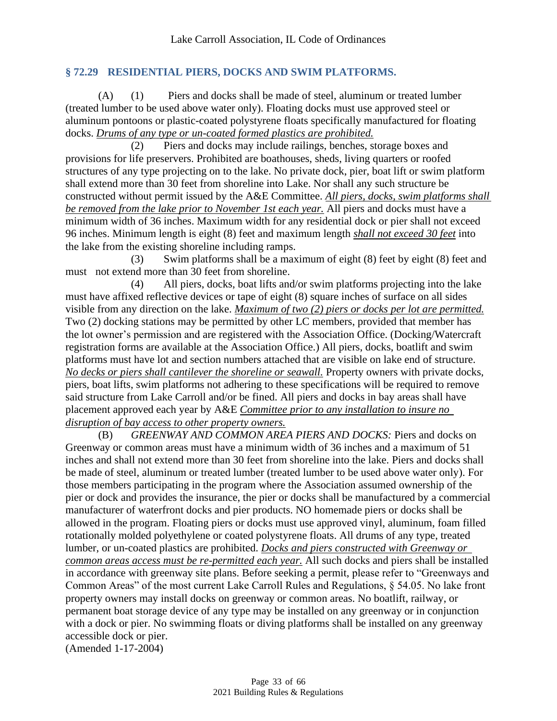#### <span id="page-32-0"></span>**§ 72.29 RESIDENTIAL PIERS, DOCKS AND SWIM PLATFORMS.**

(A) (1) Piers and docks shall be made of steel, aluminum or treated lumber (treated lumber to be used above water only). Floating docks must use approved steel or aluminum pontoons or plastic-coated polystyrene floats specifically manufactured for floating docks. *Drums of any type or un-coated formed plastics are prohibited.*

(2) Piers and docks may include railings, benches, storage boxes and provisions for life preservers. Prohibited are boathouses, sheds, living quarters or roofed structures of any type projecting on to the lake. No private dock, pier, boat lift or swim platform shall extend more than 30 feet from shoreline into Lake. Nor shall any such structure be constructed without permit issued by the A&E Committee. *All piers, docks, swim platforms shall be removed from the lake prior to November 1st each year.* All piers and docks must have a minimum width of 36 inches. Maximum width for any residential dock or pier shall not exceed 96 inches. Minimum length is eight (8) feet and maximum length *shall not exceed 30 feet* into the lake from the existing shoreline including ramps.

(3) Swim platforms shall be a maximum of eight (8) feet by eight (8) feet and must not extend more than 30 feet from shoreline.

(4) All piers, docks, boat lifts and/or swim platforms projecting into the lake must have affixed reflective devices or tape of eight (8) square inches of surface on all sides visible from any direction on the lake. *Maximum of two (2) piers or docks per lot are permitted.* Two (2) docking stations may be permitted by other LC members, provided that member has the lot owner's permission and are registered with the Association Office. (Docking/Watercraft registration forms are available at the Association Office.) All piers, docks, boatlift and swim platforms must have lot and section numbers attached that are visible on lake end of structure. *No decks or piers shall cantilever the shoreline or seawall.* Property owners with private docks, piers, boat lifts, swim platforms not adhering to these specifications will be required to remove said structure from Lake Carroll and/or be fined. All piers and docks in bay areas shall have placement approved each year by A&E *Committee prior to any installation to insure no disruption of bay access to other property owners.*

(B) *GREENWAY AND COMMON AREA PIERS AND DOCKS:* Piers and docks on Greenway or common areas must have a minimum width of 36 inches and a maximum of 51 inches and shall not extend more than 30 feet from shoreline into the lake. Piers and docks shall be made of steel, aluminum or treated lumber (treated lumber to be used above water only). For those members participating in the program where the Association assumed ownership of the pier or dock and provides the insurance, the pier or docks shall be manufactured by a commercial manufacturer of waterfront docks and pier products. NO homemade piers or docks shall be allowed in the program. Floating piers or docks must use approved vinyl, aluminum, foam filled rotationally molded polyethylene or coated polystyrene floats. All drums of any type, treated lumber, or un-coated plastics are prohibited. *Docks and piers constructed with Greenway or common areas access must be re-permitted each year.* All such docks and piers shall be installed in accordance with greenway site plans. Before seeking a permit, please refer to "Greenways and Common Areas" of the most current Lake Carroll Rules and Regulations, § 54.05. No lake front property owners may install docks on greenway or common areas. No boatlift, railway, or permanent boat storage device of any type may be installed on any greenway or in conjunction with a dock or pier. No swimming floats or diving platforms shall be installed on any greenway accessible dock or pier.

(Amended 1-17-2004)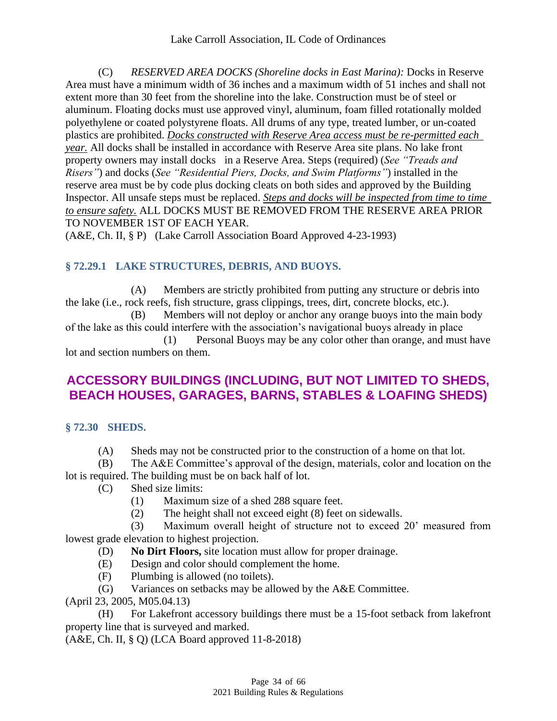(C) *RESERVED AREA DOCKS (Shoreline docks in East Marina):* Docks in Reserve Area must have a minimum width of 36 inches and a maximum width of 51 inches and shall not extent more than 30 feet from the shoreline into the lake. Construction must be of steel or aluminum. Floating docks must use approved vinyl, aluminum, foam filled rotationally molded polyethylene or coated polystyrene floats. All drums of any type, treated lumber, or un-coated plastics are prohibited. *Docks constructed with Reserve Area access must be re-permitted each year.* All docks shall be installed in accordance with Reserve Area site plans. No lake front property owners may install docks in a Reserve Area. Steps (required) (*See "Treads and Risers"*) and docks (*See "Residential Piers, Docks, and Swim Platforms"*) installed in the reserve area must be by code plus docking cleats on both sides and approved by the Building Inspector. All unsafe steps must be replaced. *Steps and docks will be inspected from time to time to ensure safety.* ALL DOCKS MUST BE REMOVED FROM THE RESERVE AREA PRIOR TO NOVEMBER 1ST OF EACH YEAR.

<span id="page-33-0"></span>(A&E, Ch. II, § P) (Lake Carroll Association Board Approved 4-23-1993)

## **§ 72.29.1 LAKE STRUCTURES, DEBRIS, AND BUOYS.**

(A) Members are strictly prohibited from putting any structure or debris into the lake (i.e., rock reefs, fish structure, grass clippings, trees, dirt, concrete blocks, etc.).

(B) Members will not deploy or anchor any orange buoys into the main body of the lake as this could interfere with the association's navigational buoys already in place (1) Personal Buoys may be any color other than orange, and must have lot and section numbers on them.

# <span id="page-33-1"></span>**ACCESSORY BUILDINGS (INCLUDING, BUT NOT LIMITED TO SHEDS, BEACH HOUSES, GARAGES, BARNS, STABLES & LOAFING SHEDS)**

#### <span id="page-33-2"></span>**§ 72.30 SHEDS.**

(A) Sheds may not be constructed prior to the construction of a home on that lot.

(B) The A&E Committee's approval of the design, materials, color and location on the lot is required. The building must be on back half of lot.

- (C) Shed size limits:
	- (1) Maximum size of a shed 288 square feet.
	- (2) The height shall not exceed eight (8) feet on sidewalls.

(3) Maximum overall height of structure not to exceed 20' measured from lowest grade elevation to highest projection.

- (D) **No Dirt Floors,** site location must allow for proper drainage.
- (E) Design and color should complement the home.
- (F) Plumbing is allowed (no toilets).
- (G) Variances on setbacks may be allowed by the A&E Committee.

(April 23, 2005, M05.04.13)

(H) For Lakefront accessory buildings there must be a 15-foot setback from lakefront property line that is surveyed and marked.

(A&E, Ch. II, § Q) (LCA Board approved 11-8-2018)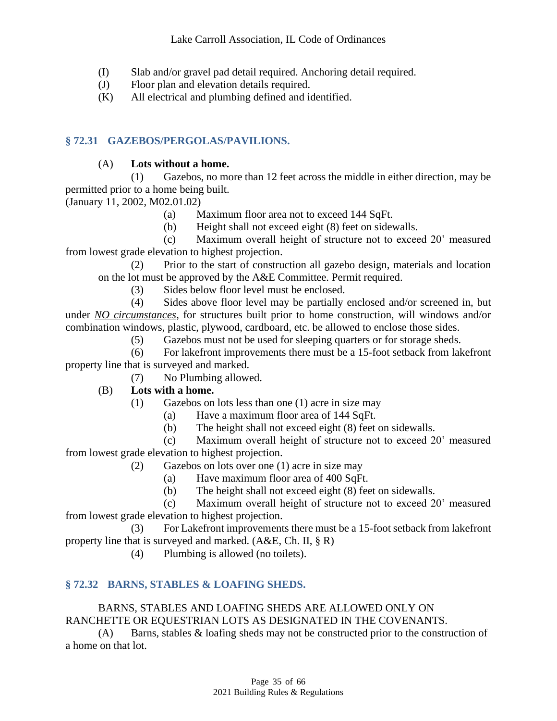- (I) Slab and/or gravel pad detail required. Anchoring detail required.
- (J) Floor plan and elevation details required.
- (K) All electrical and plumbing defined and identified.

### <span id="page-34-0"></span>**§ 72.31 GAZEBOS/PERGOLAS/PAVILIONS.**

#### (A) **Lots without a home.**

(1) Gazebos, no more than 12 feet across the middle in either direction, may be permitted prior to a home being built.

(January 11, 2002, M02.01.02)

- (a) Maximum floor area not to exceed 144 SqFt.
- (b) Height shall not exceed eight (8) feet on sidewalls.

(c) Maximum overall height of structure not to exceed 20' measured from lowest grade elevation to highest projection.

(2) Prior to the start of construction all gazebo design, materials and location on the lot must be approved by the A&E Committee. Permit required.

(3) Sides below floor level must be enclosed.

(4) Sides above floor level may be partially enclosed and/or screened in, but under *NO circumstances*, for structures built prior to home construction, will windows and/or combination windows, plastic, plywood, cardboard, etc. be allowed to enclose those sides.

(5) Gazebos must not be used for sleeping quarters or for storage sheds.

(6) For lakefront improvements there must be a 15-foot setback from lakefront property line that is surveyed and marked.

(7) No Plumbing allowed.

#### (B) **Lots with a home.**

- (1) Gazebos on lots less than one (1) acre in size may
	- (a) Have a maximum floor area of 144 SqFt.
	- (b) The height shall not exceed eight (8) feet on sidewalls.

(c) Maximum overall height of structure not to exceed 20' measured from lowest grade elevation to highest projection.

- (2) Gazebos on lots over one (1) acre in size may
	- (a) Have maximum floor area of 400 SqFt.
	- (b) The height shall not exceed eight (8) feet on sidewalls.

(c) Maximum overall height of structure not to exceed 20' measured from lowest grade elevation to highest projection.

(3) For Lakefront improvements there must be a 15-foot setback from lakefront property line that is surveyed and marked. (A&E, Ch. II, § R)

(4) Plumbing is allowed (no toilets).

#### <span id="page-34-1"></span>**§ 72.32 BARNS, STABLES & LOAFING SHEDS.**

#### BARNS, STABLES AND LOAFING SHEDS ARE ALLOWED ONLY ON RANCHETTE OR EQUESTRIAN LOTS AS DESIGNATED IN THE COVENANTS.

(A) Barns, stables & loafing sheds may not be constructed prior to the construction of a home on that lot.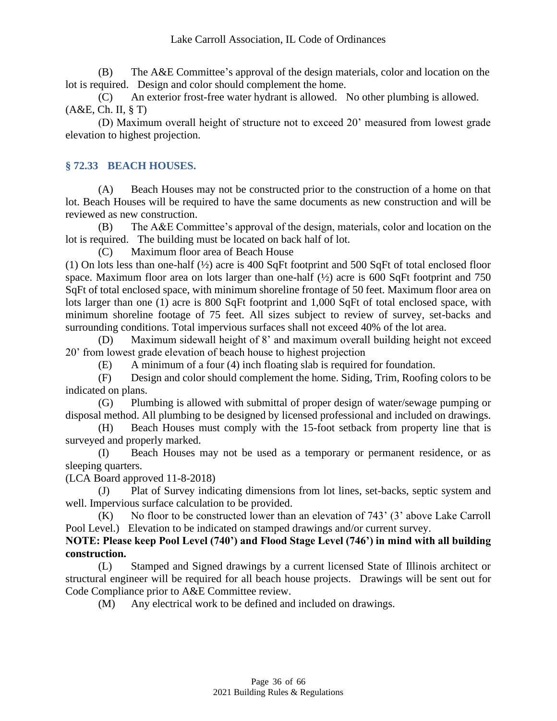(B) The A&E Committee's approval of the design materials, color and location on the lot is required. Design and color should complement the home.

(C) An exterior frost-free water hydrant is allowed. No other plumbing is allowed. (A&E, Ch. II, § T)

(D) Maximum overall height of structure not to exceed 20' measured from lowest grade elevation to highest projection.

## <span id="page-35-0"></span>**§ 72.33 BEACH HOUSES.**

(A) Beach Houses may not be constructed prior to the construction of a home on that lot. Beach Houses will be required to have the same documents as new construction and will be reviewed as new construction.

(B) The A&E Committee's approval of the design, materials, color and location on the lot is required. The building must be located on back half of lot.

(C) Maximum floor area of Beach House

(1) On lots less than one-half (½) acre is 400 SqFt footprint and 500 SqFt of total enclosed floor space. Maximum floor area on lots larger than one-half (½) acre is 600 SqFt footprint and 750 SqFt of total enclosed space, with minimum shoreline frontage of 50 feet. Maximum floor area on lots larger than one (1) acre is 800 SqFt footprint and 1,000 SqFt of total enclosed space, with minimum shoreline footage of 75 feet. All sizes subject to review of survey, set-backs and surrounding conditions. Total impervious surfaces shall not exceed 40% of the lot area.

(D) Maximum sidewall height of 8' and maximum overall building height not exceed 20' from lowest grade elevation of beach house to highest projection

(E) A minimum of a four (4) inch floating slab is required for foundation.

(F) Design and color should complement the home. Siding, Trim, Roofing colors to be indicated on plans.

(G) Plumbing is allowed with submittal of proper design of water/sewage pumping or disposal method. All plumbing to be designed by licensed professional and included on drawings.

(H) Beach Houses must comply with the 15-foot setback from property line that is surveyed and properly marked.

(I) Beach Houses may not be used as a temporary or permanent residence, or as sleeping quarters.

(LCA Board approved 11-8-2018)

(J) Plat of Survey indicating dimensions from lot lines, set-backs, septic system and well. Impervious surface calculation to be provided.

(K) No floor to be constructed lower than an elevation of 743' (3' above Lake Carroll Pool Level.) Elevation to be indicated on stamped drawings and/or current survey.

#### **NOTE: Please keep Pool Level (740') and Flood Stage Level (746') in mind with all building construction.**

(L) Stamped and Signed drawings by a current licensed State of Illinois architect or structural engineer will be required for all beach house projects. Drawings will be sent out for Code Compliance prior to A&E Committee review.

(M) Any electrical work to be defined and included on drawings.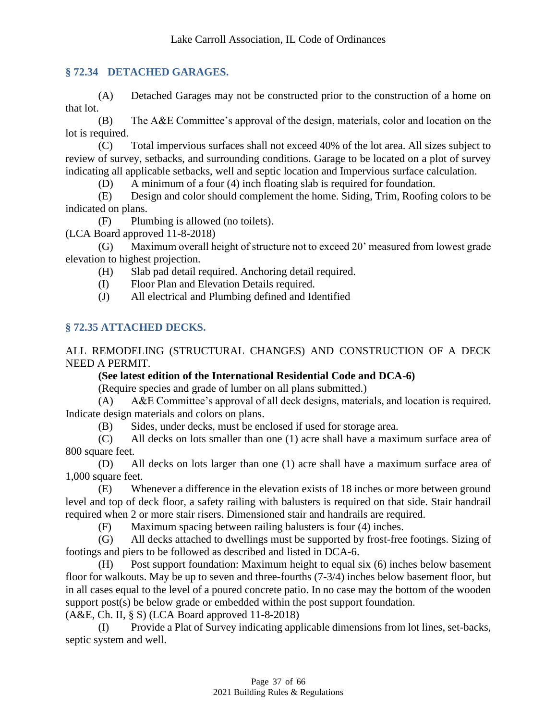### <span id="page-36-0"></span>**§ 72.34 DETACHED GARAGES.**

(A) Detached Garages may not be constructed prior to the construction of a home on that lot.

(B) The A&E Committee's approval of the design, materials, color and location on the lot is required.

(C) Total impervious surfaces shall not exceed 40% of the lot area. All sizes subject to review of survey, setbacks, and surrounding conditions. Garage to be located on a plot of survey indicating all applicable setbacks, well and septic location and Impervious surface calculation.

(D) A minimum of a four (4) inch floating slab is required for foundation.

(E) Design and color should complement the home. Siding, Trim, Roofing colors to be indicated on plans.

(F) Plumbing is allowed (no toilets).

(LCA Board approved 11-8-2018)

(G) Maximum overall height of structure not to exceed 20' measured from lowest grade elevation to highest projection.

(H) Slab pad detail required. Anchoring detail required.

(I) Floor Plan and Elevation Details required.

(J) All electrical and Plumbing defined and Identified

## <span id="page-36-1"></span>**§ 72.35 ATTACHED DECKS.**

ALL REMODELING (STRUCTURAL CHANGES) AND CONSTRUCTION OF A DECK NEED A PERMIT.

#### **(See latest edition of the International Residential Code and DCA-6)**

(Require species and grade of lumber on all plans submitted.)

(A) A&E Committee's approval of all deck designs, materials, and location is required. Indicate design materials and colors on plans.

(B) Sides, under decks, must be enclosed if used for storage area.

(C) All decks on lots smaller than one (1) acre shall have a maximum surface area of 800 square feet.

(D) All decks on lots larger than one (1) acre shall have a maximum surface area of 1,000 square feet.

(E) Whenever a difference in the elevation exists of 18 inches or more between ground level and top of deck floor, a safety railing with balusters is required on that side. Stair handrail required when 2 or more stair risers. Dimensioned stair and handrails are required.

(F) Maximum spacing between railing balusters is four (4) inches.

(G) All decks attached to dwellings must be supported by frost-free footings. Sizing of footings and piers to be followed as described and listed in DCA-6.

(H) Post support foundation: Maximum height to equal six (6) inches below basement floor for walkouts. May be up to seven and three-fourths (7-3/4) inches below basement floor, but in all cases equal to the level of a poured concrete patio. In no case may the bottom of the wooden support post(s) be below grade or embedded within the post support foundation.

(A&E, Ch. II, § S) (LCA Board approved 11-8-2018)

(I) Provide a Plat of Survey indicating applicable dimensions from lot lines, set-backs, septic system and well.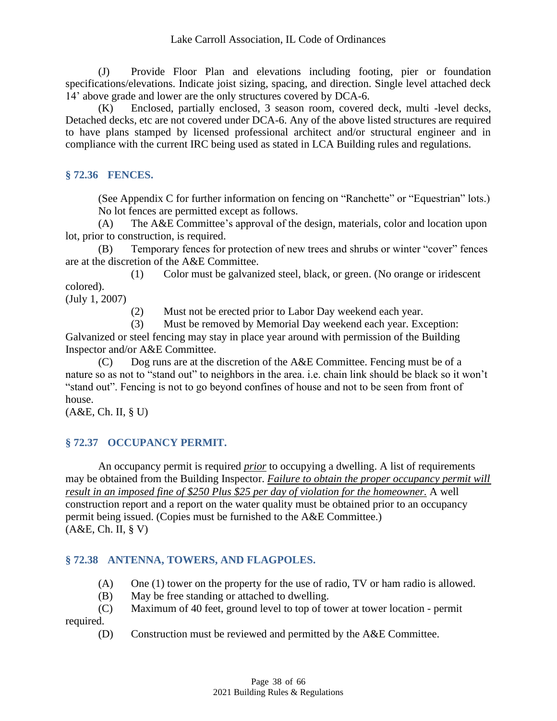(J) Provide Floor Plan and elevations including footing, pier or foundation specifications/elevations. Indicate joist sizing, spacing, and direction. Single level attached deck 14' above grade and lower are the only structures covered by DCA-6.

(K) Enclosed, partially enclosed, 3 season room, covered deck, multi -level decks, Detached decks, etc are not covered under DCA-6. Any of the above listed structures are required to have plans stamped by licensed professional architect and/or structural engineer and in compliance with the current IRC being used as stated in LCA Building rules and regulations.

## <span id="page-37-0"></span>**§ 72.36 FENCES.**

(See Appendix C for further information on fencing on "Ranchette" or "Equestrian" lots.) No lot fences are permitted except as follows.

(A) The A&E Committee's approval of the design, materials, color and location upon lot, prior to construction, is required.

(B) Temporary fences for protection of new trees and shrubs or winter "cover" fences are at the discretion of the A&E Committee.

(1) Color must be galvanized steel, black, or green. (No orange or iridescent colored).

(July 1, 2007)

(2) Must not be erected prior to Labor Day weekend each year.

(3) Must be removed by Memorial Day weekend each year. Exception:

Galvanized or steel fencing may stay in place year around with permission of the Building Inspector and/or A&E Committee.

(C) Dog runs are at the discretion of the A&E Committee. Fencing must be of a nature so as not to "stand out" to neighbors in the area. i.e. chain link should be black so it won't "stand out". Fencing is not to go beyond confines of house and not to be seen from front of house.

<span id="page-37-1"></span>(A&E, Ch. II, § U)

# **§ 72.37 OCCUPANCY PERMIT.**

An occupancy permit is required *prior* to occupying a dwelling. A list of requirements may be obtained from the Building Inspector. *Failure to obtain the proper occupancy permit will result in an imposed fine of \$250 Plus \$25 per day of violation for the homeowner.* A well construction report and a report on the water quality must be obtained prior to an occupancy permit being issued. (Copies must be furnished to the A&E Committee.) (A&E, Ch. II, § V)

# <span id="page-37-2"></span>**§ 72.38 ANTENNA, TOWERS, AND FLAGPOLES.**

- (A) One (1) tower on the property for the use of radio, TV or ham radio is allowed.
- (B) May be free standing or attached to dwelling.

(C) Maximum of 40 feet, ground level to top of tower at tower location - permit required.

(D) Construction must be reviewed and permitted by the A&E Committee.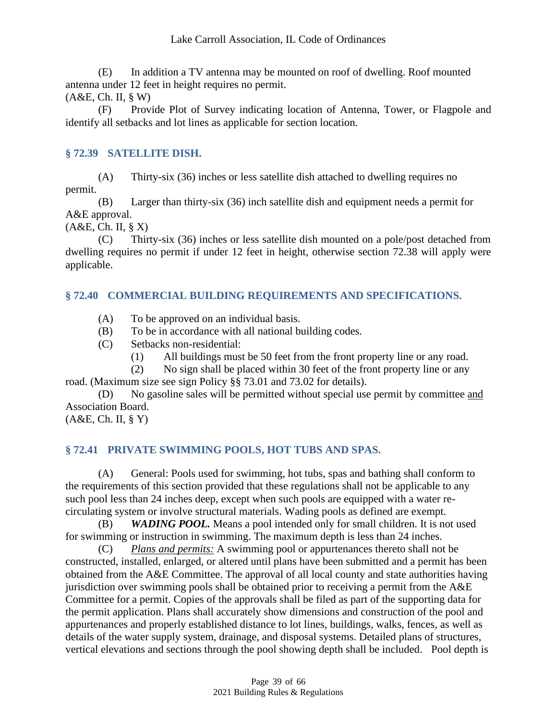(E) In addition a TV antenna may be mounted on roof of dwelling. Roof mounted antenna under 12 feet in height requires no permit.

(A&E, Ch. II, § W)

(F) Provide Plot of Survey indicating location of Antenna, Tower, or Flagpole and identify all setbacks and lot lines as applicable for section location.

## <span id="page-38-0"></span>**§ 72.39 SATELLITE DISH.**

(A) Thirty-six (36) inches or less satellite dish attached to dwelling requires no permit.

(B) Larger than thirty-six (36) inch satellite dish and equipment needs a permit for A&E approval.

(A&E, Ch. II, § X)

(C) Thirty-six (36) inches or less satellite dish mounted on a pole/post detached from dwelling requires no permit if under 12 feet in height, otherwise section 72.38 will apply were applicable.

## <span id="page-38-1"></span>**§ 72.40 COMMERCIAL BUILDING REQUIREMENTS AND SPECIFICATIONS.**

- (A) To be approved on an individual basis.
- (B) To be in accordance with all national building codes.
- (C) Setbacks non-residential:
	- (1) All buildings must be 50 feet from the front property line or any road.

(2) No sign shall be placed within 30 feet of the front property line or any road. (Maximum size see sign Policy §§ 73.01 and 73.02 for details).

(D) No gasoline sales will be permitted without special use permit by committee and Association Board.

<span id="page-38-2"></span>(A&E, Ch. II, § Y)

# **§ 72.41 PRIVATE SWIMMING POOLS, HOT TUBS AND SPAS.**

(A) General: Pools used for swimming, hot tubs, spas and bathing shall conform to the requirements of this section provided that these regulations shall not be applicable to any such pool less than 24 inches deep, except when such pools are equipped with a water recirculating system or involve structural materials. Wading pools as defined are exempt.

(B) *WADING POOL.* Means a pool intended only for small children. It is not used for swimming or instruction in swimming. The maximum depth is less than 24 inches.

(C) *Plans and permits:* A swimming pool or appurtenances thereto shall not be constructed, installed, enlarged, or altered until plans have been submitted and a permit has been obtained from the A&E Committee. The approval of all local county and state authorities having jurisdiction over swimming pools shall be obtained prior to receiving a permit from the A&E Committee for a permit. Copies of the approvals shall be filed as part of the supporting data for the permit application. Plans shall accurately show dimensions and construction of the pool and appurtenances and properly established distance to lot lines, buildings, walks, fences, as well as details of the water supply system, drainage, and disposal systems. Detailed plans of structures, vertical elevations and sections through the pool showing depth shall be included. Pool depth is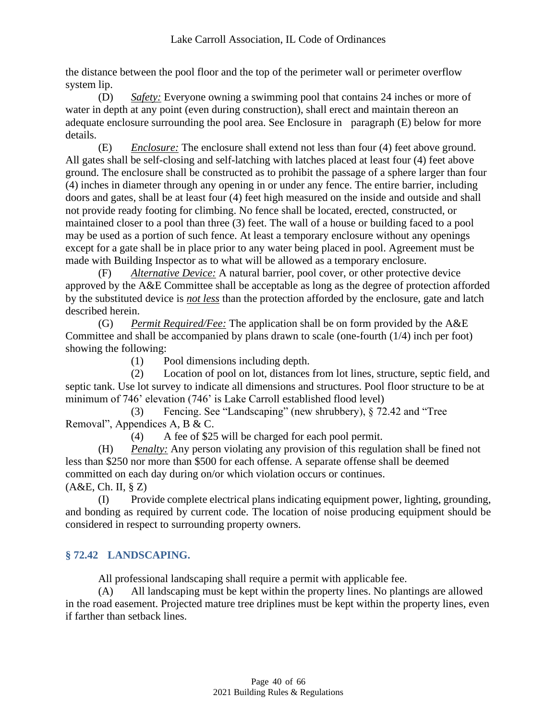the distance between the pool floor and the top of the perimeter wall or perimeter overflow system lip.

(D) *Safety:* Everyone owning a swimming pool that contains 24 inches or more of water in depth at any point (even during construction), shall erect and maintain thereon an adequate enclosure surrounding the pool area. See Enclosure in paragraph (E) below for more details.

(E) *Enclosure:* The enclosure shall extend not less than four (4) feet above ground. All gates shall be self-closing and self-latching with latches placed at least four (4) feet above ground. The enclosure shall be constructed as to prohibit the passage of a sphere larger than four (4) inches in diameter through any opening in or under any fence. The entire barrier, including doors and gates, shall be at least four (4) feet high measured on the inside and outside and shall not provide ready footing for climbing. No fence shall be located, erected, constructed, or maintained closer to a pool than three (3) feet. The wall of a house or building faced to a pool may be used as a portion of such fence. At least a temporary enclosure without any openings except for a gate shall be in place prior to any water being placed in pool. Agreement must be made with Building Inspector as to what will be allowed as a temporary enclosure.

(F) *Alternative Device:* A natural barrier, pool cover, or other protective device approved by the A&E Committee shall be acceptable as long as the degree of protection afforded by the substituted device is *not less* than the protection afforded by the enclosure, gate and latch described herein.

(G) *Permit Required/Fee:* The application shall be on form provided by the A&E Committee and shall be accompanied by plans drawn to scale (one-fourth (1/4) inch per foot) showing the following:

(1) Pool dimensions including depth.

(2) Location of pool on lot, distances from lot lines, structure, septic field, and septic tank. Use lot survey to indicate all dimensions and structures. Pool floor structure to be at minimum of 746' elevation (746' is Lake Carroll established flood level)

(3) Fencing. See "Landscaping" (new shrubbery), § 72.42 and "Tree Removal", Appendices A, B & C.

(4) A fee of \$25 will be charged for each pool permit.

(H) *Penalty:* Any person violating any provision of this regulation shall be fined not less than \$250 nor more than \$500 for each offense. A separate offense shall be deemed committed on each day during on/or which violation occurs or continues. (A&E, Ch. II, § Z)

(I) Provide complete electrical plans indicating equipment power, lighting, grounding, and bonding as required by current code. The location of noise producing equipment should be considered in respect to surrounding property owners.

# <span id="page-39-0"></span>**§ 72.42 LANDSCAPING.**

All professional landscaping shall require a permit with applicable fee.

(A) All landscaping must be kept within the property lines. No plantings are allowed in the road easement. Projected mature tree driplines must be kept within the property lines, even if farther than setback lines.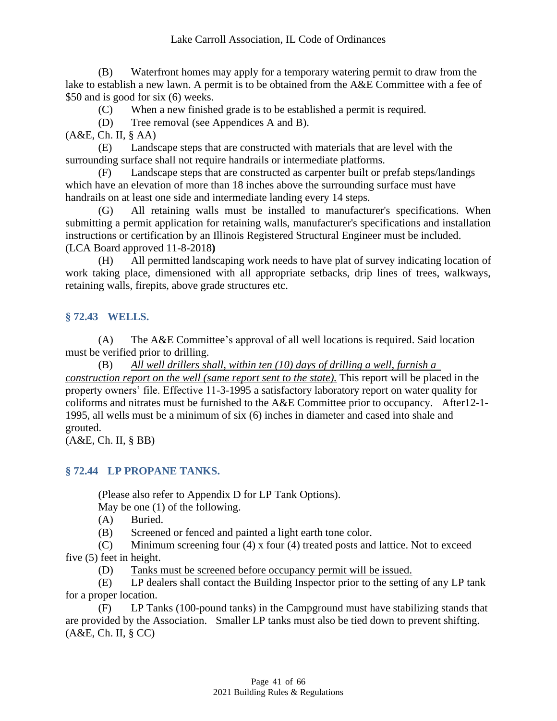(B) Waterfront homes may apply for a temporary watering permit to draw from the lake to establish a new lawn. A permit is to be obtained from the A&E Committee with a fee of \$50 and is good for six (6) weeks.

(C) When a new finished grade is to be established a permit is required.

(D) Tree removal (see Appendices A and B).

(A&E, Ch. II, § AA)

(E) Landscape steps that are constructed with materials that are level with the surrounding surface shall not require handrails or intermediate platforms.

(F) Landscape steps that are constructed as carpenter built or prefab steps/landings which have an elevation of more than 18 inches above the surrounding surface must have handrails on at least one side and intermediate landing every 14 steps.

(G) All retaining walls must be installed to manufacturer's specifications. When submitting a permit application for retaining walls, manufacturer's specifications and installation instructions or certification by an Illinois Registered Structural Engineer must be included. (LCA Board approved 11-8-2018**)**

(H) All permitted landscaping work needs to have plat of survey indicating location of work taking place, dimensioned with all appropriate setbacks, drip lines of trees, walkways, retaining walls, firepits, above grade structures etc.

# <span id="page-40-0"></span>**§ 72.43 WELLS.**

(A) The A&E Committee's approval of all well locations is required. Said location must be verified prior to drilling.

(B) *All well drillers shall, within ten (10) days of drilling a well, furnish a construction report on the well (same report sent to the state).* This report will be placed in the property owners' file. Effective 11-3-1995 a satisfactory laboratory report on water quality for coliforms and nitrates must be furnished to the A&E Committee prior to occupancy. After12-1- 1995, all wells must be a minimum of six (6) inches in diameter and cased into shale and grouted.

<span id="page-40-1"></span>(A&E, Ch. II, § BB)

# **§ 72.44 LP PROPANE TANKS.**

(Please also refer to Appendix D for LP Tank Options).

May be one (1) of the following.

(A) Buried.

(B) Screened or fenced and painted a light earth tone color.

(C) Minimum screening four (4) x four (4) treated posts and lattice. Not to exceed five (5) feet in height.

(D) Tanks must be screened before occupancy permit will be issued.

(E) LP dealers shall contact the Building Inspector prior to the setting of any LP tank for a proper location.

(F) LP Tanks (100-pound tanks) in the Campground must have stabilizing stands that are provided by the Association. Smaller LP tanks must also be tied down to prevent shifting. (A&E, Ch. II, § CC)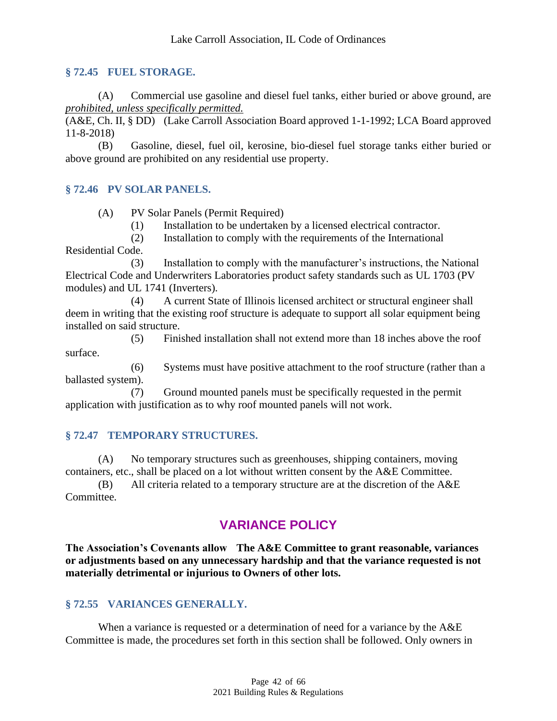#### <span id="page-41-0"></span>**§ 72.45 FUEL STORAGE.**

(A) Commercial use gasoline and diesel fuel tanks, either buried or above ground, are *prohibited, unless specifically permitted.*

(A&E, Ch. II, § DD) (Lake Carroll Association Board approved 1-1-1992; LCA Board approved 11-8-2018)

(B) Gasoline, diesel, fuel oil, kerosine, bio-diesel fuel storage tanks either buried or above ground are prohibited on any residential use property.

#### <span id="page-41-1"></span>**§ 72.46 PV SOLAR PANELS.**

(A) PV Solar Panels (Permit Required)

(1) Installation to be undertaken by a licensed electrical contractor.

(2) Installation to comply with the requirements of the International

Residential Code.

(3) Installation to comply with the manufacturer's instructions, the National Electrical Code and Underwriters Laboratories product safety standards such as UL 1703 (PV modules) and UL 1741 (Inverters).

(4) A current State of Illinois licensed architect or structural engineer shall deem in writing that the existing roof structure is adequate to support all solar equipment being installed on said structure.

(5) Finished installation shall not extend more than 18 inches above the roof surface.

(6) Systems must have positive attachment to the roof structure (rather than a ballasted system).

(7) Ground mounted panels must be specifically requested in the permit application with justification as to why roof mounted panels will not work.

#### <span id="page-41-2"></span>**§ 72.47 TEMPORARY STRUCTURES.**

(A) No temporary structures such as greenhouses, shipping containers, moving containers, etc., shall be placed on a lot without written consent by the A&E Committee.

(B) All criteria related to a temporary structure are at the discretion of the A&E Committee.

# <span id="page-41-3"></span>**VARIANCE POLICY**

**The Association's Covenants allow The A&E Committee to grant reasonable, variances or adjustments based on any unnecessary hardship and that the variance requested is not materially detrimental or injurious to Owners of other lots.**

#### <span id="page-41-4"></span>**§ 72.55 VARIANCES GENERALLY.**

When a variance is requested or a determination of need for a variance by the A&E Committee is made, the procedures set forth in this section shall be followed. Only owners in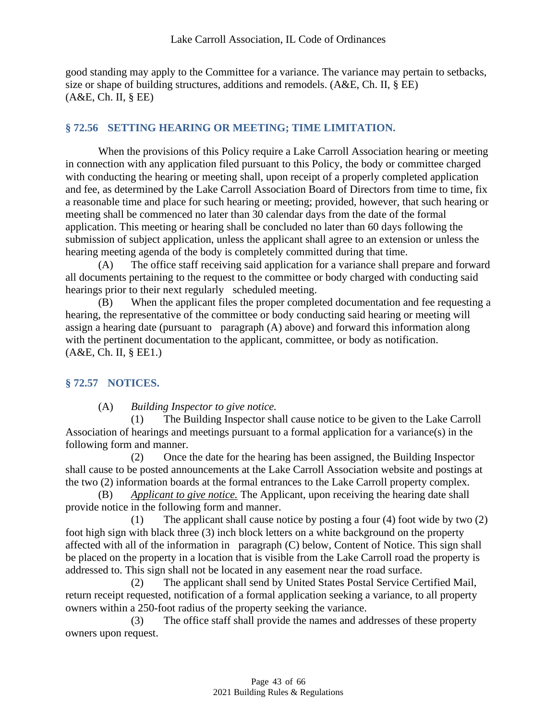good standing may apply to the Committee for a variance. The variance may pertain to setbacks, size or shape of building structures, additions and remodels. (A&E, Ch. II, § EE) (A&E, Ch. II, § EE)

## <span id="page-42-0"></span>**§ 72.56 SETTING HEARING OR MEETING; TIME LIMITATION.**

When the provisions of this Policy require a Lake Carroll Association hearing or meeting in connection with any application filed pursuant to this Policy, the body or committee charged with conducting the hearing or meeting shall, upon receipt of a properly completed application and fee, as determined by the Lake Carroll Association Board of Directors from time to time, fix a reasonable time and place for such hearing or meeting; provided, however, that such hearing or meeting shall be commenced no later than 30 calendar days from the date of the formal application. This meeting or hearing shall be concluded no later than 60 days following the submission of subject application, unless the applicant shall agree to an extension or unless the hearing meeting agenda of the body is completely committed during that time.

(A) The office staff receiving said application for a variance shall prepare and forward all documents pertaining to the request to the committee or body charged with conducting said hearings prior to their next regularly scheduled meeting.

(B) When the applicant files the proper completed documentation and fee requesting a hearing, the representative of the committee or body conducting said hearing or meeting will assign a hearing date (pursuant to paragraph (A) above) and forward this information along with the pertinent documentation to the applicant, committee, or body as notification. (A&E, Ch. II, § EE1.)

#### <span id="page-42-1"></span>**§ 72.57 NOTICES.**

(A) *Building Inspector to give notice.*

(1) The Building Inspector shall cause notice to be given to the Lake Carroll Association of hearings and meetings pursuant to a formal application for a variance(s) in the following form and manner.

(2) Once the date for the hearing has been assigned, the Building Inspector shall cause to be posted announcements at the Lake Carroll Association website and postings at the two (2) information boards at the formal entrances to the Lake Carroll property complex.

Applicant to give notice. The Applicant, upon receiving the hearing date shall provide notice in the following form and manner.

(1) The applicant shall cause notice by posting a four (4) foot wide by two (2) foot high sign with black three (3) inch block letters on a white background on the property affected with all of the information in paragraph (C) below, Content of Notice. This sign shall be placed on the property in a location that is visible from the Lake Carroll road the property is addressed to. This sign shall not be located in any easement near the road surface.

(2) The applicant shall send by United States Postal Service Certified Mail, return receipt requested, notification of a formal application seeking a variance, to all property owners within a 250-foot radius of the property seeking the variance.

(3) The office staff shall provide the names and addresses of these property owners upon request.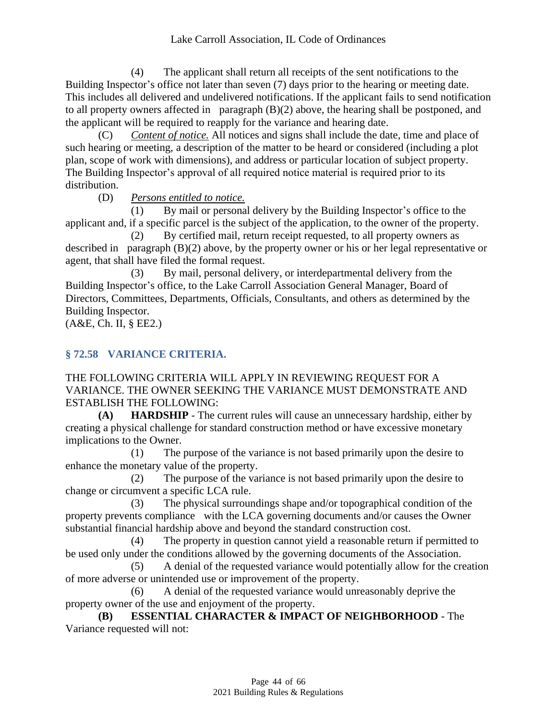(4) The applicant shall return all receipts of the sent notifications to the Building Inspector's office not later than seven (7) days prior to the hearing or meeting date. This includes all delivered and undelivered notifications. If the applicant fails to send notification to all property owners affected in paragraph (B)(2) above, the hearing shall be postponed, and the applicant will be required to reapply for the variance and hearing date.

(C) *Content of notice.* All notices and signs shall include the date, time and place of such hearing or meeting, a description of the matter to be heard or considered (including a plot plan, scope of work with dimensions), and address or particular location of subject property. The Building Inspector's approval of all required notice material is required prior to its distribution.

(D) *Persons entitled to notice.*

(1) By mail or personal delivery by the Building Inspector's office to the applicant and, if a specific parcel is the subject of the application, to the owner of the property.

(2) By certified mail, return receipt requested, to all property owners as described in paragraph (B)(2) above, by the property owner or his or her legal representative or agent, that shall have filed the formal request.

(3) By mail, personal delivery, or interdepartmental delivery from the Building Inspector's office, to the Lake Carroll Association General Manager, Board of Directors, Committees, Departments, Officials, Consultants, and others as determined by the Building Inspector.

<span id="page-43-0"></span>(A&E, Ch. II, § EE2.)

# **§ 72.58 VARIANCE CRITERIA.**

THE FOLLOWING CRITERIA WILL APPLY IN REVIEWING REQUEST FOR A VARIANCE. THE OWNER SEEKING THE VARIANCE MUST DEMONSTRATE AND ESTABLISH THE FOLLOWING:

**(A) HARDSHIP** - The current rules will cause an unnecessary hardship, either by creating a physical challenge for standard construction method or have excessive monetary implications to the Owner.

(1) The purpose of the variance is not based primarily upon the desire to enhance the monetary value of the property.

(2) The purpose of the variance is not based primarily upon the desire to change or circumvent a specific LCA rule.

(3) The physical surroundings shape and/or topographical condition of the property prevents compliance with the LCA governing documents and/or causes the Owner substantial financial hardship above and beyond the standard construction cost.

(4) The property in question cannot yield a reasonable return if permitted to be used only under the conditions allowed by the governing documents of the Association.

(5) A denial of the requested variance would potentially allow for the creation of more adverse or unintended use or improvement of the property.

(6) A denial of the requested variance would unreasonably deprive the property owner of the use and enjoyment of the property.

**(B) ESSENTIAL CHARACTER & IMPACT OF NEIGHBORHOOD** - The Variance requested will not: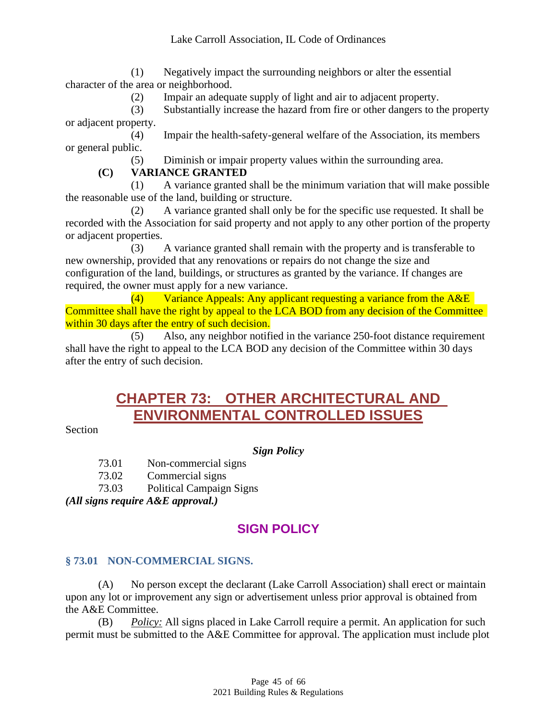(1) Negatively impact the surrounding neighbors or alter the essential character of the area or neighborhood.

(2) Impair an adequate supply of light and air to adjacent property.

(3) Substantially increase the hazard from fire or other dangers to the property or adjacent property.

(4) Impair the health-safety-general welfare of the Association, its members or general public.

(5) Diminish or impair property values within the surrounding area.

## **(C) VARIANCE GRANTED**

(1) A variance granted shall be the minimum variation that will make possible the reasonable use of the land, building or structure.

(2) A variance granted shall only be for the specific use requested. It shall be recorded with the Association for said property and not apply to any other portion of the property or adjacent properties.

(3) A variance granted shall remain with the property and is transferable to new ownership, provided that any renovations or repairs do not change the size and configuration of the land, buildings, or structures as granted by the variance. If changes are required, the owner must apply for a new variance.

 $(4)$  Variance Appeals: Any applicant requesting a variance from the A&E Committee shall have the right by appeal to the LCA BOD from any decision of the Committee within 30 days after the entry of such decision.

<span id="page-44-0"></span>(5) Also, any neighbor notified in the variance 250-foot distance requirement shall have the right to appeal to the LCA BOD any decision of the Committee within 30 days after the entry of such decision.

# **CHAPTER 73: OTHER ARCHITECTURAL AND ENVIRONMENTAL CONTROLLED ISSUES**

Section

# *Sign Policy*

73.01 Non-commercial signs

73.02 Commercial signs

73.03 Political Campaign Signs

<span id="page-44-1"></span>*(All signs require A&E approval.)*

# **SIGN POLICY**

# <span id="page-44-2"></span>**§ 73.01 NON-COMMERCIAL SIGNS.**

(A) No person except the declarant (Lake Carroll Association) shall erect or maintain upon any lot or improvement any sign or advertisement unless prior approval is obtained from the A&E Committee.

(B) *Policy:* All signs placed in Lake Carroll require a permit. An application for such permit must be submitted to the A&E Committee for approval. The application must include plot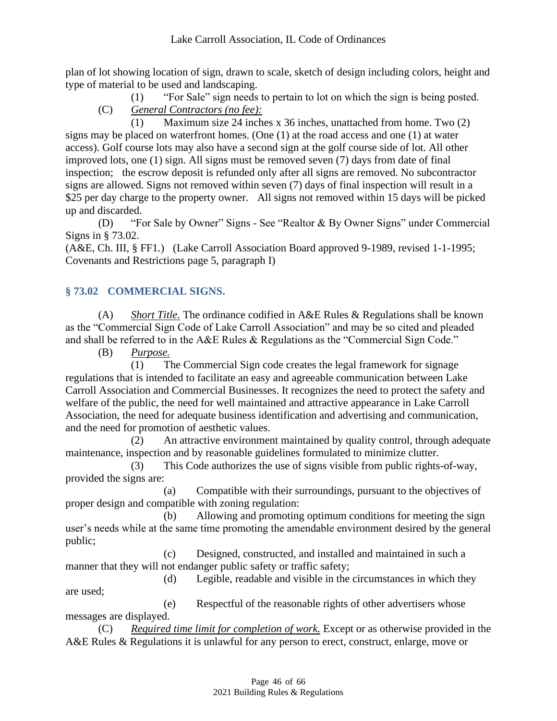plan of lot showing location of sign, drawn to scale, sketch of design including colors, height and type of material to be used and landscaping.

- (1) "For Sale" sign needs to pertain to lot on which the sign is being posted.
- (C) *General Contractors (no fee):*

(1) Maximum size 24 inches x 36 inches, unattached from home. Two (2) signs may be placed on waterfront homes. (One (1) at the road access and one (1) at water access). Golf course lots may also have a second sign at the golf course side of lot. All other improved lots, one (1) sign. All signs must be removed seven (7) days from date of final inspection; the escrow deposit is refunded only after all signs are removed. No subcontractor signs are allowed. Signs not removed within seven (7) days of final inspection will result in a \$25 per day charge to the property owner. All signs not removed within 15 days will be picked up and discarded.

(D) "For Sale by Owner" Signs - See "Realtor & By Owner Signs" under Commercial Signs in § 73.02.

(A&E, Ch. III, § FF1.) (Lake Carroll Association Board approved 9-1989, revised 1-1-1995; Covenants and Restrictions page 5, paragraph I)

# <span id="page-45-0"></span>**§ 73.02 COMMERCIAL SIGNS.**

(A) *Short Title.* The ordinance codified in A&E Rules & Regulations shall be known as the "Commercial Sign Code of Lake Carroll Association" and may be so cited and pleaded and shall be referred to in the A&E Rules & Regulations as the "Commercial Sign Code."

(B) *Purpose.*

(1) The Commercial Sign code creates the legal framework for signage regulations that is intended to facilitate an easy and agreeable communication between Lake Carroll Association and Commercial Businesses. It recognizes the need to protect the safety and welfare of the public, the need for well maintained and attractive appearance in Lake Carroll Association, the need for adequate business identification and advertising and communication, and the need for promotion of aesthetic values.

(2) An attractive environment maintained by quality control, through adequate maintenance, inspection and by reasonable guidelines formulated to minimize clutter.

(3) This Code authorizes the use of signs visible from public rights-of-way, provided the signs are:

(a) Compatible with their surroundings, pursuant to the objectives of proper design and compatible with zoning regulation:

(b) Allowing and promoting optimum conditions for meeting the sign user's needs while at the same time promoting the amendable environment desired by the general public;

(c) Designed, constructed, and installed and maintained in such a manner that they will not endanger public safety or traffic safety;

(d) Legible, readable and visible in the circumstances in which they are used;

(e) Respectful of the reasonable rights of other advertisers whose messages are displayed.

(C) *Required time limit for completion of work.* Except or as otherwise provided in the A&E Rules & Regulations it is unlawful for any person to erect, construct, enlarge, move or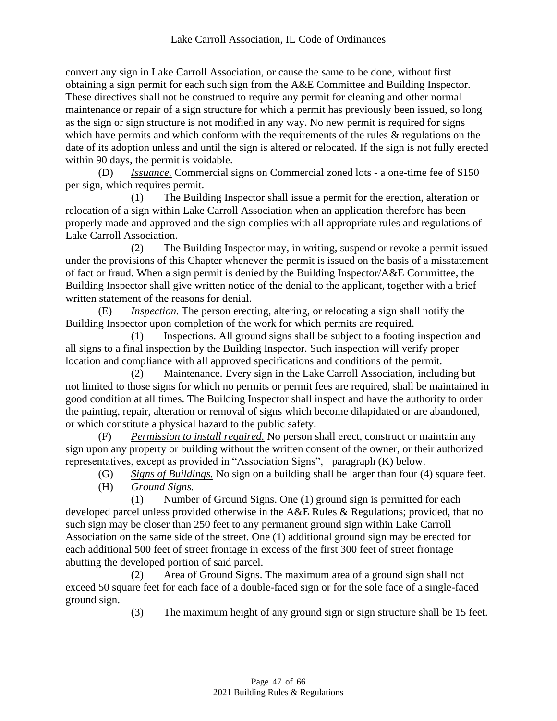convert any sign in Lake Carroll Association, or cause the same to be done, without first obtaining a sign permit for each such sign from the A&E Committee and Building Inspector. These directives shall not be construed to require any permit for cleaning and other normal maintenance or repair of a sign structure for which a permit has previously been issued, so long as the sign or sign structure is not modified in any way. No new permit is required for signs which have permits and which conform with the requirements of the rules & regulations on the date of its adoption unless and until the sign is altered or relocated. If the sign is not fully erected within 90 days, the permit is voidable.

(D) *Issuance.* Commercial signs on Commercial zoned lots - a one-time fee of \$150 per sign, which requires permit.

(1) The Building Inspector shall issue a permit for the erection, alteration or relocation of a sign within Lake Carroll Association when an application therefore has been properly made and approved and the sign complies with all appropriate rules and regulations of Lake Carroll Association.

(2) The Building Inspector may, in writing, suspend or revoke a permit issued under the provisions of this Chapter whenever the permit is issued on the basis of a misstatement of fact or fraud. When a sign permit is denied by the Building Inspector/A&E Committee, the Building Inspector shall give written notice of the denial to the applicant, together with a brief written statement of the reasons for denial.

(E) *Inspection.* The person erecting, altering, or relocating a sign shall notify the Building Inspector upon completion of the work for which permits are required.

(1) Inspections. All ground signs shall be subject to a footing inspection and all signs to a final inspection by the Building Inspector. Such inspection will verify proper location and compliance with all approved specifications and conditions of the permit.

(2) Maintenance. Every sign in the Lake Carroll Association, including but not limited to those signs for which no permits or permit fees are required, shall be maintained in good condition at all times. The Building Inspector shall inspect and have the authority to order the painting, repair, alteration or removal of signs which become dilapidated or are abandoned, or which constitute a physical hazard to the public safety.

(F) *Permission to install required.* No person shall erect, construct or maintain any sign upon any property or building without the written consent of the owner, or their authorized representatives, except as provided in "Association Signs", paragraph (K) below.

(G) *Signs of Buildings.* No sign on a building shall be larger than four (4) square feet. (H) *Ground Signs.*

(1) Number of Ground Signs. One (1) ground sign is permitted for each developed parcel unless provided otherwise in the A&E Rules & Regulations; provided, that no such sign may be closer than 250 feet to any permanent ground sign within Lake Carroll Association on the same side of the street. One (1) additional ground sign may be erected for each additional 500 feet of street frontage in excess of the first 300 feet of street frontage abutting the developed portion of said parcel.

(2) Area of Ground Signs. The maximum area of a ground sign shall not exceed 50 square feet for each face of a double-faced sign or for the sole face of a single-faced ground sign.

(3) The maximum height of any ground sign or sign structure shall be 15 feet.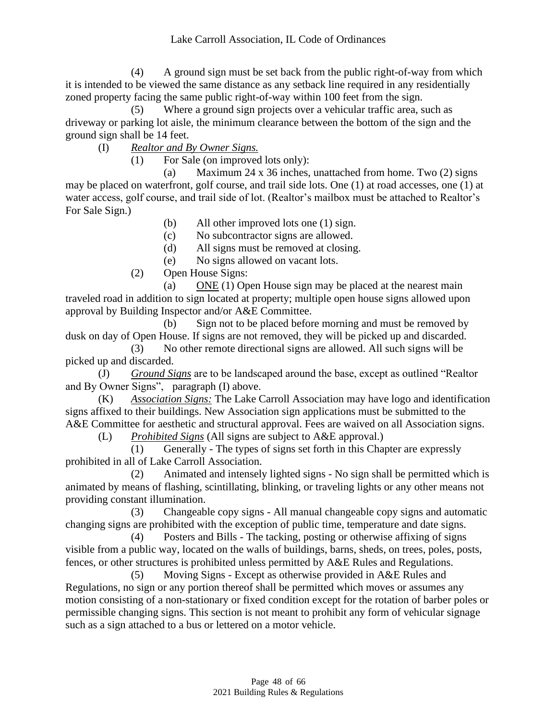(4) A ground sign must be set back from the public right-of-way from which it is intended to be viewed the same distance as any setback line required in any residentially zoned property facing the same public right-of-way within 100 feet from the sign.

(5) Where a ground sign projects over a vehicular traffic area, such as driveway or parking lot aisle, the minimum clearance between the bottom of the sign and the ground sign shall be 14 feet.

(I) *Realtor and By Owner Signs.*

(1) For Sale (on improved lots only):

(a) Maximum 24 x 36 inches, unattached from home. Two (2) signs may be placed on waterfront, golf course, and trail side lots. One (1) at road accesses, one (1) at water access, golf course, and trail side of lot. (Realtor's mailbox must be attached to Realtor's For Sale Sign.)

(b) All other improved lots one (1) sign.

(c) No subcontractor signs are allowed.

(d) All signs must be removed at closing.

(e) No signs allowed on vacant lots.

(2) Open House Signs:

(a) ONE (1) Open House sign may be placed at the nearest main traveled road in addition to sign located at property; multiple open house signs allowed upon approval by Building Inspector and/or A&E Committee.

(b) Sign not to be placed before morning and must be removed by dusk on day of Open House. If signs are not removed, they will be picked up and discarded.

(3) No other remote directional signs are allowed. All such signs will be picked up and discarded.

(J) *Ground Signs* are to be landscaped around the base, except as outlined "Realtor and By Owner Signs", paragraph (I) above.

(K) *Association Signs:* The Lake Carroll Association may have logo and identification signs affixed to their buildings. New Association sign applications must be submitted to the A&E Committee for aesthetic and structural approval. Fees are waived on all Association signs.

(L) *Prohibited Signs* (All signs are subject to A&E approval.)

(1) Generally - The types of signs set forth in this Chapter are expressly prohibited in all of Lake Carroll Association.

(2) Animated and intensely lighted signs - No sign shall be permitted which is animated by means of flashing, scintillating, blinking, or traveling lights or any other means not providing constant illumination.

(3) Changeable copy signs - All manual changeable copy signs and automatic changing signs are prohibited with the exception of public time, temperature and date signs.

(4) Posters and Bills - The tacking, posting or otherwise affixing of signs visible from a public way, located on the walls of buildings, barns, sheds, on trees, poles, posts, fences, or other structures is prohibited unless permitted by A&E Rules and Regulations.

(5) Moving Signs - Except as otherwise provided in A&E Rules and Regulations, no sign or any portion thereof shall be permitted which moves or assumes any motion consisting of a non-stationary or fixed condition except for the rotation of barber poles or permissible changing signs. This section is not meant to prohibit any form of vehicular signage such as a sign attached to a bus or lettered on a motor vehicle.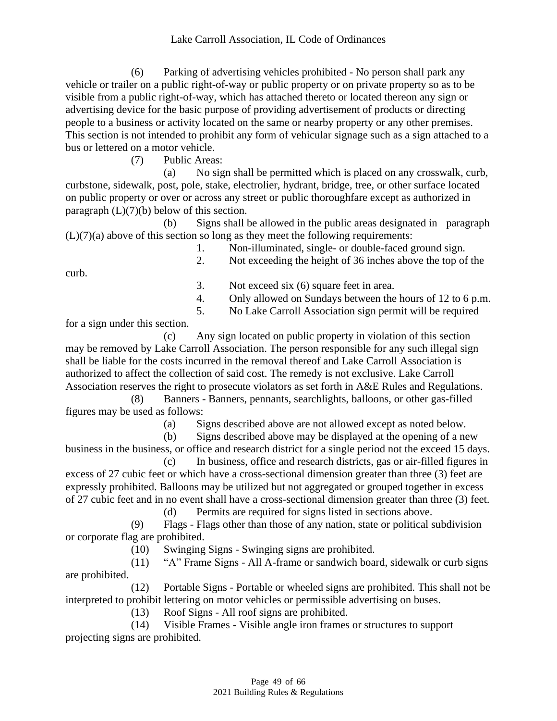#### Lake Carroll Association, IL Code of Ordinances

(6) Parking of advertising vehicles prohibited - No person shall park any vehicle or trailer on a public right-of-way or public property or on private property so as to be visible from a public right-of-way, which has attached thereto or located thereon any sign or advertising device for the basic purpose of providing advertisement of products or directing people to a business or activity located on the same or nearby property or any other premises. This section is not intended to prohibit any form of vehicular signage such as a sign attached to a bus or lettered on a motor vehicle.

(7) Public Areas:

(a) No sign shall be permitted which is placed on any crosswalk, curb, curbstone, sidewalk, post, pole, stake, electrolier, hydrant, bridge, tree, or other surface located on public property or over or across any street or public thoroughfare except as authorized in paragraph  $(L)(7)(b)$  below of this section.

(b) Signs shall be allowed in the public areas designated in paragraph  $(L)(7)(a)$  above of this section so long as they meet the following requirements:

1. Non-illuminated, single- or double-faced ground sign.

curb.

2. Not exceeding the height of 36 inches above the top of the

3. Not exceed six (6) square feet in area.

- 4. Only allowed on Sundays between the hours of 12 to 6 p.m.
- 5. No Lake Carroll Association sign permit will be required

for a sign under this section.

(c) Any sign located on public property in violation of this section may be removed by Lake Carroll Association. The person responsible for any such illegal sign shall be liable for the costs incurred in the removal thereof and Lake Carroll Association is authorized to affect the collection of said cost. The remedy is not exclusive. Lake Carroll Association reserves the right to prosecute violators as set forth in A&E Rules and Regulations.

(8) Banners - Banners, pennants, searchlights, balloons, or other gas-filled figures may be used as follows:

(a) Signs described above are not allowed except as noted below.

(b) Signs described above may be displayed at the opening of a new business in the business, or office and research district for a single period not the exceed 15 days.

(c) In business, office and research districts, gas or air-filled figures in excess of 27 cubic feet or which have a cross-sectional dimension greater than three (3) feet are expressly prohibited. Balloons may be utilized but not aggregated or grouped together in excess of 27 cubic feet and in no event shall have a cross-sectional dimension greater than three (3) feet.

(d) Permits are required for signs listed in sections above.

(9) Flags - Flags other than those of any nation, state or political subdivision or corporate flag are prohibited.

(10) Swinging Signs - Swinging signs are prohibited.

(11) "A" Frame Signs - All A-frame or sandwich board, sidewalk or curb signs are prohibited.

(12) Portable Signs - Portable or wheeled signs are prohibited. This shall not be interpreted to prohibit lettering on motor vehicles or permissible advertising on buses.

(13) Roof Signs - All roof signs are prohibited.

(14) Visible Frames - Visible angle iron frames or structures to support projecting signs are prohibited.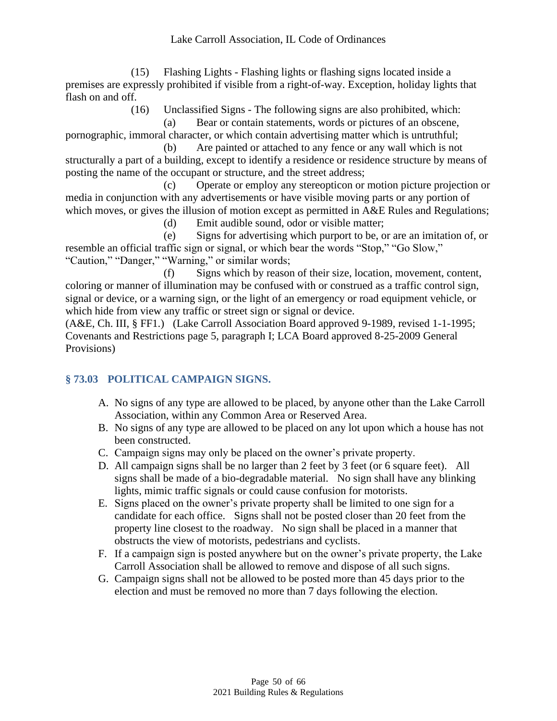(15) Flashing Lights - Flashing lights or flashing signs located inside a premises are expressly prohibited if visible from a right-of-way. Exception, holiday lights that flash on and off.

(16) Unclassified Signs - The following signs are also prohibited, which:

(a) Bear or contain statements, words or pictures of an obscene, pornographic, immoral character, or which contain advertising matter which is untruthful;

(b) Are painted or attached to any fence or any wall which is not structurally a part of a building, except to identify a residence or residence structure by means of posting the name of the occupant or structure, and the street address;

(c) Operate or employ any stereopticon or motion picture projection or media in conjunction with any advertisements or have visible moving parts or any portion of which moves, or gives the illusion of motion except as permitted in A&E Rules and Regulations;

(d) Emit audible sound, odor or visible matter;

(e) Signs for advertising which purport to be, or are an imitation of, or resemble an official traffic sign or signal, or which bear the words "Stop," "Go Slow," "Caution," "Danger," "Warning," or similar words;

(f) Signs which by reason of their size, location, movement, content, coloring or manner of illumination may be confused with or construed as a traffic control sign, signal or device, or a warning sign, or the light of an emergency or road equipment vehicle, or which hide from view any traffic or street sign or signal or device.

(A&E, Ch. III, § FF1.) (Lake Carroll Association Board approved 9-1989, revised 1-1-1995; Covenants and Restrictions page 5, paragraph I; LCA Board approved 8-25-2009 General Provisions)

# <span id="page-49-0"></span>**§ 73.03 POLITICAL CAMPAIGN SIGNS.**

- A. No signs of any type are allowed to be placed, by anyone other than the Lake Carroll Association, within any Common Area or Reserved Area.
- B. No signs of any type are allowed to be placed on any lot upon which a house has not been constructed.
- C. Campaign signs may only be placed on the owner's private property.
- D. All campaign signs shall be no larger than 2 feet by 3 feet (or 6 square feet). All signs shall be made of a bio-degradable material. No sign shall have any blinking lights, mimic traffic signals or could cause confusion for motorists.
- E. Signs placed on the owner's private property shall be limited to one sign for a candidate for each office. Signs shall not be posted closer than 20 feet from the property line closest to the roadway. No sign shall be placed in a manner that obstructs the view of motorists, pedestrians and cyclists.
- F. If a campaign sign is posted anywhere but on the owner's private property, the Lake Carroll Association shall be allowed to remove and dispose of all such signs.
- G. Campaign signs shall not be allowed to be posted more than 45 days prior to the election and must be removed no more than 7 days following the election.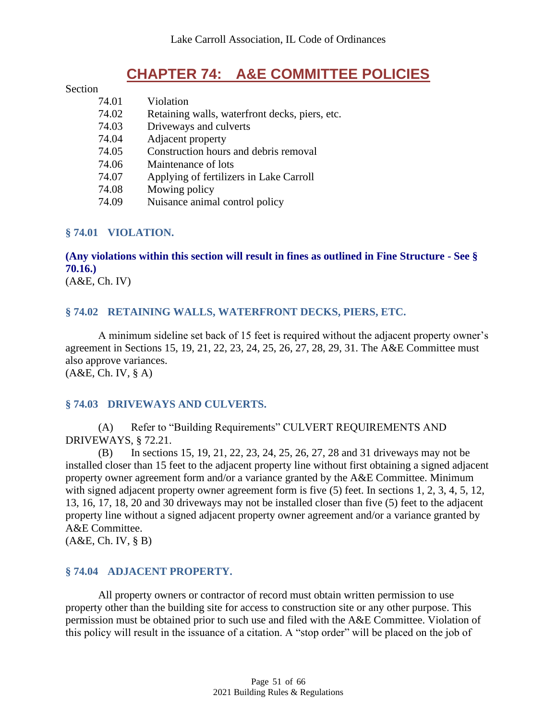# **CHAPTER 74: A&E COMMITTEE POLICIES**

#### <span id="page-50-0"></span>**Section**

| 74.01 | Violation                                      |
|-------|------------------------------------------------|
| 74.02 | Retaining walls, waterfront decks, piers, etc. |
| 74.03 | Driveways and culverts                         |
| 74.04 | Adjacent property                              |
| 74.05 | Construction hours and debris removal          |
| 74.06 | Maintenance of lots                            |
| 74.07 | Applying of fertilizers in Lake Carroll        |
| 74.08 | Mowing policy                                  |
| 74.09 | Nuisance animal control policy                 |

#### <span id="page-50-1"></span>**§ 74.01 VIOLATION.**

**(Any violations within this section will result in fines as outlined in Fine Structure - See § 70.16.)**

<span id="page-50-2"></span>(A&E, Ch. IV)

#### **§ 74.02 RETAINING WALLS, WATERFRONT DECKS, PIERS, ETC.**

A minimum sideline set back of 15 feet is required without the adjacent property owner's agreement in Sections 15, 19, 21, 22, 23, 24, 25, 26, 27, 28, 29, 31. The A&E Committee must also approve variances. (A&E, Ch. IV, § A)

#### <span id="page-50-3"></span>**§ 74.03 DRIVEWAYS AND CULVERTS.**

(A) Refer to "Building Requirements" CULVERT REQUIREMENTS AND DRIVEWAYS, § 72.21.

(B) In sections 15, 19, 21, 22, 23, 24, 25, 26, 27, 28 and 31 driveways may not be installed closer than 15 feet to the adjacent property line without first obtaining a signed adjacent property owner agreement form and/or a variance granted by the A&E Committee. Minimum with signed adjacent property owner agreement form is five (5) feet. In sections 1, 2, 3, 4, 5, 12, 13, 16, 17, 18, 20 and 30 driveways may not be installed closer than five (5) feet to the adjacent property line without a signed adjacent property owner agreement and/or a variance granted by A&E Committee.

<span id="page-50-4"></span>(A&E, Ch. IV, § B)

#### **§ 74.04 ADJACENT PROPERTY.**

All property owners or contractor of record must obtain written permission to use property other than the building site for access to construction site or any other purpose. This permission must be obtained prior to such use and filed with the A&E Committee. Violation of this policy will result in the issuance of a citation. A "stop order" will be placed on the job of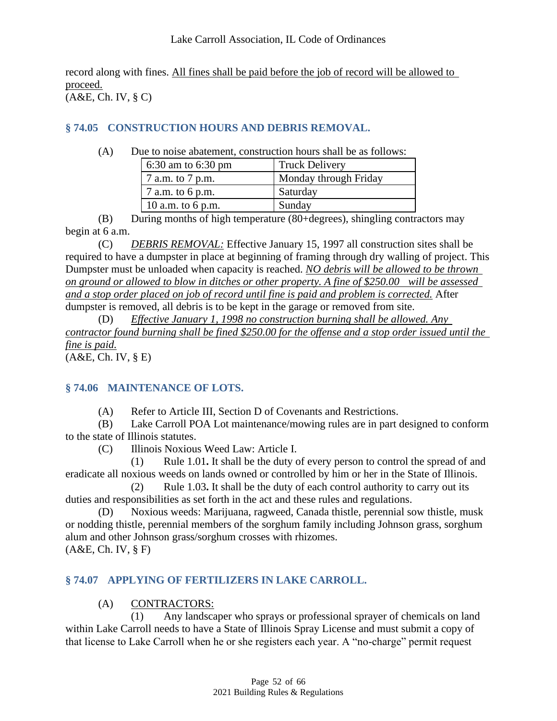record along with fines. All fines shall be paid before the job of record will be allowed to proceed. (A&E, Ch. IV, § C)

## <span id="page-51-0"></span>**§ 74.05 CONSTRUCTION HOURS AND DEBRIS REMOVAL.**

(A) Due to noise abatement, construction hours shall be as follows:

| 6:30 am to 6:30 pm                 | <b>Truck Delivery</b> |
|------------------------------------|-----------------------|
| $\sqrt{7}$ a.m. to $\sqrt{7}$ p.m. | Monday through Friday |
| 7 a.m. to 6 p.m.                   | Saturday              |
| 10 a.m. to 6 p.m.                  | Sunday                |

(B) During months of high temperature (80+degrees), shingling contractors may begin at 6 a.m.

(C) *DEBRIS REMOVAL:* Effective January 15, 1997 all construction sites shall be required to have a dumpster in place at beginning of framing through dry walling of project. This Dumpster must be unloaded when capacity is reached. *NO debris will be allowed to be thrown on ground or allowed to blow in ditches or other property. A fine of \$250.00 will be assessed and a stop order placed on job of record until fine is paid and problem is corrected.* After dumpster is removed, all debris is to be kept in the garage or removed from site.

(D) *Effective January 1, 1998 no construction burning shall be allowed. Any contractor found burning shall be fined \$250.00 for the offense and a stop order issued until the fine is paid.*

<span id="page-51-1"></span>(A&E, Ch. IV, § E)

#### **§ 74.06 MAINTENANCE OF LOTS.**

(A) Refer to Article III, Section D of Covenants and Restrictions.

(B) Lake Carroll POA Lot maintenance/mowing rules are in part designed to conform to the state of Illinois statutes.

(C) Illinois Noxious Weed Law: Article I.

(1) Rule 1.01**.** It shall be the duty of every person to control the spread of and eradicate all noxious weeds on lands owned or controlled by him or her in the State of Illinois.

(2) Rule 1.03**.** It shall be the duty of each control authority to carry out its duties and responsibilities as set forth in the act and these rules and regulations.

Noxious weeds: Marijuana, ragweed, Canada thistle, perennial sow thistle, musk or nodding thistle, perennial members of the sorghum family including Johnson grass, sorghum alum and other Johnson grass/sorghum crosses with rhizomes. (A&E, Ch. IV, § F)

#### <span id="page-51-2"></span>**§ 74.07 APPLYING OF FERTILIZERS IN LAKE CARROLL.**

# (A) CONTRACTORS:

(1) Any landscaper who sprays or professional sprayer of chemicals on land within Lake Carroll needs to have a State of Illinois Spray License and must submit a copy of that license to Lake Carroll when he or she registers each year. A "no-charge" permit request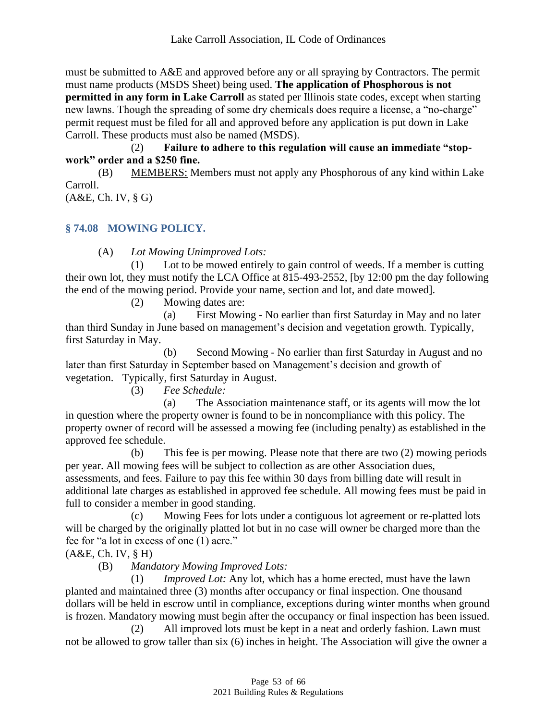must be submitted to A&E and approved before any or all spraying by Contractors. The permit must name products (MSDS Sheet) being used. **The application of Phosphorous is not permitted in any form in Lake Carroll** as stated per Illinois state codes, except when starting new lawns. Though the spreading of some dry chemicals does require a license, a "no-charge" permit request must be filed for all and approved before any application is put down in Lake Carroll. These products must also be named (MSDS).

(2) **Failure to adhere to this regulation will cause an immediate "stopwork" order and a \$250 fine.**

(B) MEMBERS: Members must not apply any Phosphorous of any kind within Lake Carroll.

<span id="page-52-0"></span>(A&E, Ch. IV, § G)

## **§ 74.08 MOWING POLICY.**

(A) *Lot Mowing Unimproved Lots:*

(1) Lot to be mowed entirely to gain control of weeds. If a member is cutting their own lot, they must notify the LCA Office at 815-493-2552, [by 12:00 pm the day following the end of the mowing period. Provide your name, section and lot, and date mowed].

(2) Mowing dates are:

(a) First Mowing - No earlier than first Saturday in May and no later than third Sunday in June based on management's decision and vegetation growth. Typically, first Saturday in May.

(b) Second Mowing - No earlier than first Saturday in August and no later than first Saturday in September based on Management's decision and growth of vegetation. Typically, first Saturday in August.

(3) *Fee Schedule:*

(a) The Association maintenance staff, or its agents will mow the lot in question where the property owner is found to be in noncompliance with this policy. The property owner of record will be assessed a mowing fee (including penalty) as established in the approved fee schedule.

(b) This fee is per mowing. Please note that there are two (2) mowing periods per year. All mowing fees will be subject to collection as are other Association dues, assessments, and fees. Failure to pay this fee within 30 days from billing date will result in additional late charges as established in approved fee schedule. All mowing fees must be paid in full to consider a member in good standing.

(c) Mowing Fees for lots under a contiguous lot agreement or re-platted lots will be charged by the originally platted lot but in no case will owner be charged more than the fee for "a lot in excess of one (1) acre."

(A&E, Ch. IV, § H)

(B) *Mandatory Mowing Improved Lots:*

(1) *Improved Lot:* Any lot, which has a home erected, must have the lawn planted and maintained three (3) months after occupancy or final inspection. One thousand dollars will be held in escrow until in compliance, exceptions during winter months when ground is frozen. Mandatory mowing must begin after the occupancy or final inspection has been issued.

(2) All improved lots must be kept in a neat and orderly fashion. Lawn must not be allowed to grow taller than six (6) inches in height. The Association will give the owner a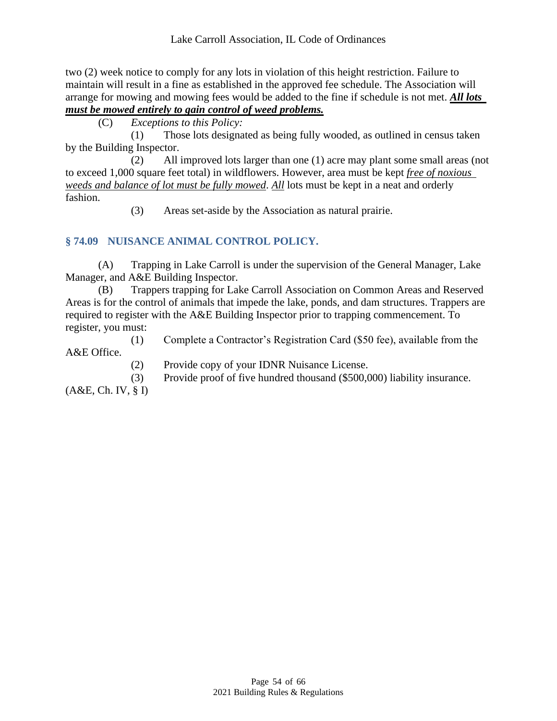two (2) week notice to comply for any lots in violation of this height restriction. Failure to maintain will result in a fine as established in the approved fee schedule. The Association will arrange for mowing and mowing fees would be added to the fine if schedule is not met. *All lots must be mowed entirely to gain control of weed problems.*

(C) *Exceptions to this Policy:*

(1) Those lots designated as being fully wooded, as outlined in census taken by the Building Inspector.

(2) All improved lots larger than one (1) acre may plant some small areas (not to exceed 1,000 square feet total) in wildflowers. However, area must be kept *free of noxious weeds and balance of lot must be fully mowed*. *All* lots must be kept in a neat and orderly fashion.

(3) Areas set-aside by the Association as natural prairie.

# <span id="page-53-0"></span>**§ 74.09 NUISANCE ANIMAL CONTROL POLICY.**

(A) Trapping in Lake Carroll is under the supervision of the General Manager, Lake Manager, and A&E Building Inspector.

(B) Trappers trapping for Lake Carroll Association on Common Areas and Reserved Areas is for the control of animals that impede the lake, ponds, and dam structures. Trappers are required to register with the A&E Building Inspector prior to trapping commencement. To register, you must:

(1) Complete a Contractor's Registration Card (\$50 fee), available from the A&E Office.

(2) Provide copy of your IDNR Nuisance License.

(3) Provide proof of five hundred thousand (\$500,000) liability insurance.

(A&E, Ch. IV, § I)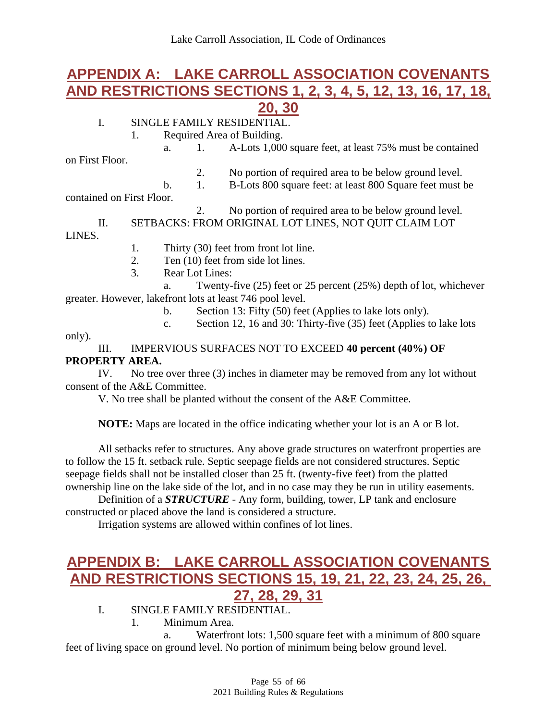# <span id="page-54-0"></span>**APPENDIX A: LAKE CARROLL ASSOCIATION COVENANTS AND RESTRICTIONS SECTIONS 1, 2, 3, 4, 5, 12, 13, 16, 17, 18, 20, 30**

#### I. SINGLE FAMILY RESIDENTIAL.

1. Required Area of Building.

a. 1. A-Lots 1,000 square feet, at least 75% must be contained

on First Floor.

2. No portion of required area to be below ground level.

b. 1. B-Lots 800 square feet: at least 800 Square feet must be

contained on First Floor.

2. No portion of required area to be below ground level.

II. SETBACKS: FROM ORIGINAL LOT LINES, NOT QUIT CLAIM LOT LINES.

1. Thirty (30) feet from front lot line.

- 2. Ten (10) feet from side lot lines.
- 3. Rear Lot Lines:

a. Twenty-five (25) feet or 25 percent (25%) depth of lot, whichever greater. However, lakefront lots at least 746 pool level.

- b. Section 13: Fifty (50) feet (Applies to lake lots only).
- c. Section 12, 16 and 30: Thirty-five (35) feet (Applies to lake lots

only).

#### III. IMPERVIOUS SURFACES NOT TO EXCEED **40 percent (40%) OF PROPERTY AREA.**

IV. No tree over three (3) inches in diameter may be removed from any lot without consent of the A&E Committee.

V. No tree shall be planted without the consent of the A&E Committee.

#### **NOTE:** Maps are located in the office indicating whether your lot is an A or B lot.

All setbacks refer to structures. Any above grade structures on waterfront properties are to follow the 15 ft. setback rule. Septic seepage fields are not considered structures. Septic seepage fields shall not be installed closer than 25 ft. (twenty-five feet) from the platted ownership line on the lake side of the lot, and in no case may they be run in utility easements.

Definition of a *STRUCTURE* - Any form, building, tower, LP tank and enclosure constructed or placed above the land is considered a structure.

Irrigation systems are allowed within confines of lot lines.

# <span id="page-54-1"></span>**APPENDIX B: LAKE CARROLL ASSOCIATION COVENANTS AND RESTRICTIONS SECTIONS 15, 19, 21, 22, 23, 24, 25, 26, 27, 28, 29, 31**

- I. SINGLE FAMILY RESIDENTIAL.
	- 1. Minimum Area.

a. Waterfront lots: 1,500 square feet with a minimum of 800 square feet of living space on ground level. No portion of minimum being below ground level.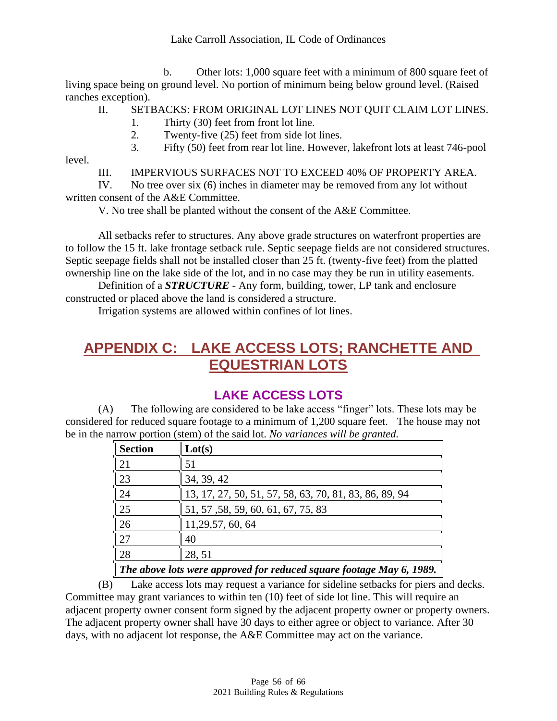b. Other lots: 1,000 square feet with a minimum of 800 square feet of living space being on ground level. No portion of minimum being below ground level. (Raised ranches exception).

- II. SETBACKS: FROM ORIGINAL LOT LINES NOT QUIT CLAIM LOT LINES.
	- 1. Thirty (30) feet from front lot line.
	- 2. Twenty-five (25) feet from side lot lines.
	- 3. Fifty (50) feet from rear lot line. However, lakefront lots at least 746-pool

level.

III. IMPERVIOUS SURFACES NOT TO EXCEED 40% OF PROPERTY AREA.

IV. No tree over six (6) inches in diameter may be removed from any lot without written consent of the A&E Committee.

V. No tree shall be planted without the consent of the A&E Committee.

All setbacks refer to structures. Any above grade structures on waterfront properties are to follow the 15 ft. lake frontage setback rule. Septic seepage fields are not considered structures. Septic seepage fields shall not be installed closer than 25 ft. (twenty-five feet) from the platted ownership line on the lake side of the lot, and in no case may they be run in utility easements.

Definition of a *STRUCTURE* - Any form, building, tower, LP tank and enclosure constructed or placed above the land is considered a structure.

Irrigation systems are allowed within confines of lot lines.

# <span id="page-55-0"></span>**APPENDIX C: LAKE ACCESS LOTS; RANCHETTE AND EQUESTRIAN LOTS**

# **LAKE ACCESS LOTS**

<span id="page-55-1"></span>(A) The following are considered to be lake access "finger" lots. These lots may be considered for reduced square footage to a minimum of 1,200 square feet. The house may not be in the narrow portion (stem) of the said lot. *No variances will be granted.*

| <b>Section</b>                                                       | Lot(s)                                                 |
|----------------------------------------------------------------------|--------------------------------------------------------|
| 21                                                                   | 51                                                     |
| 23                                                                   | 34, 39, 42                                             |
| 24                                                                   | 13, 17, 27, 50, 51, 57, 58, 63, 70, 81, 83, 86, 89, 94 |
| 25                                                                   | 51, 57, 58, 59, 60, 61, 67, 75, 83                     |
| 26                                                                   | 11, 29, 57, 60, 64                                     |
| 27                                                                   | 40                                                     |
| 28                                                                   | 28, 51                                                 |
| The above lots were approved for reduced square footage May 6, 1989. |                                                        |

(B) Lake access lots may request a variance for sideline setbacks for piers and decks. Committee may grant variances to within ten (10) feet of side lot line. This will require an adjacent property owner consent form signed by the adjacent property owner or property owners. The adjacent property owner shall have 30 days to either agree or object to variance. After 30 days, with no adjacent lot response, the A&E Committee may act on the variance.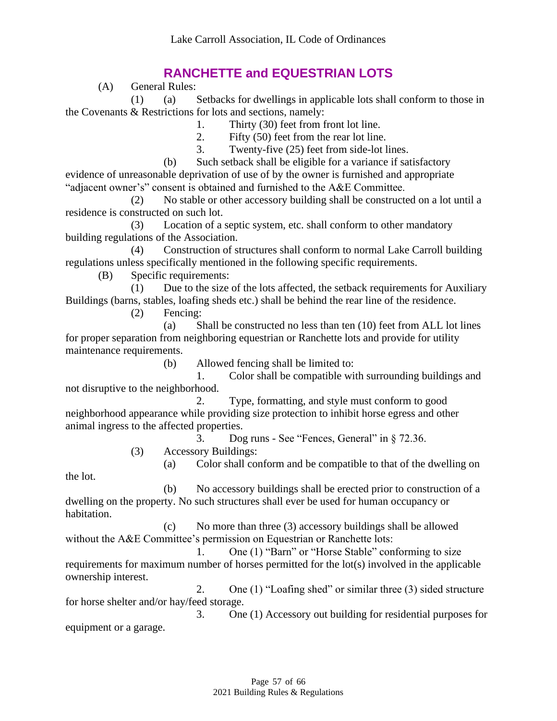# **RANCHETTE and EQUESTRIAN LOTS**

(A) General Rules:

<span id="page-56-0"></span>(1) (a) Setbacks for dwellings in applicable lots shall conform to those in the Covenants & Restrictions for lots and sections, namely:

1. Thirty (30) feet from front lot line.

2. Fifty (50) feet from the rear lot line.

3. Twenty-five (25) feet from side-lot lines.

(b) Such setback shall be eligible for a variance if satisfactory evidence of unreasonable deprivation of use of by the owner is furnished and appropriate "adjacent owner's" consent is obtained and furnished to the A&E Committee.

(2) No stable or other accessory building shall be constructed on a lot until a residence is constructed on such lot.

(3) Location of a septic system, etc. shall conform to other mandatory building regulations of the Association.

(4) Construction of structures shall conform to normal Lake Carroll building regulations unless specifically mentioned in the following specific requirements.

(B) Specific requirements:

(1) Due to the size of the lots affected, the setback requirements for Auxiliary Buildings (barns, stables, loafing sheds etc.) shall be behind the rear line of the residence.

(2) Fencing:

(a) Shall be constructed no less than ten (10) feet from ALL lot lines for proper separation from neighboring equestrian or Ranchette lots and provide for utility maintenance requirements.

(b) Allowed fencing shall be limited to:

1. Color shall be compatible with surrounding buildings and not disruptive to the neighborhood.

2. Type, formatting, and style must conform to good neighborhood appearance while providing size protection to inhibit horse egress and other animal ingress to the affected properties.

3. Dog runs - See "Fences, General" in § 72.36.

(3) Accessory Buildings:

(a) Color shall conform and be compatible to that of the dwelling on

the lot.

(b) No accessory buildings shall be erected prior to construction of a dwelling on the property. No such structures shall ever be used for human occupancy or habitation.

(c) No more than three (3) accessory buildings shall be allowed without the A&E Committee's permission on Equestrian or Ranchette lots:

1. One (1) "Barn" or "Horse Stable" conforming to size requirements for maximum number of horses permitted for the lot(s) involved in the applicable ownership interest.

2. One (1) "Loafing shed" or similar three (3) sided structure for horse shelter and/or hay/feed storage.

3. One (1) Accessory out building for residential purposes for equipment or a garage.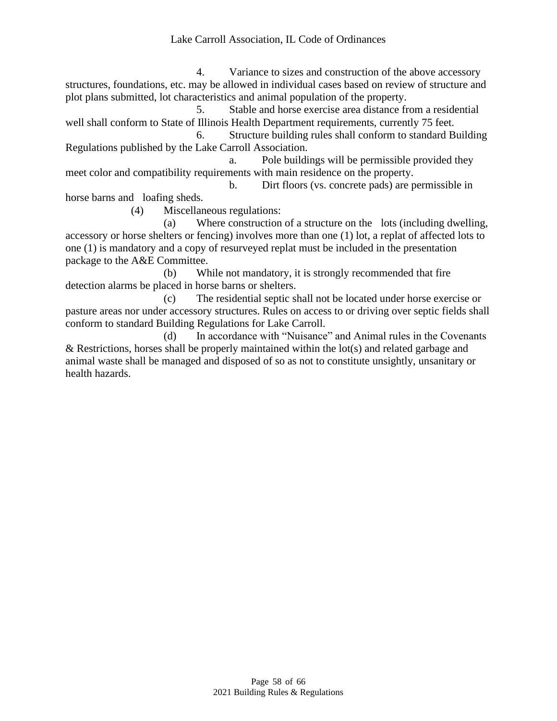#### Lake Carroll Association, IL Code of Ordinances

4. Variance to sizes and construction of the above accessory structures, foundations, etc. may be allowed in individual cases based on review of structure and plot plans submitted, lot characteristics and animal population of the property.

5. Stable and horse exercise area distance from a residential well shall conform to State of Illinois Health Department requirements, currently 75 feet.

6. Structure building rules shall conform to standard Building Regulations published by the Lake Carroll Association.

a. Pole buildings will be permissible provided they meet color and compatibility requirements with main residence on the property.

b. Dirt floors (vs. concrete pads) are permissible in horse barns and loafing sheds.

(4) Miscellaneous regulations:

(a) Where construction of a structure on the lots (including dwelling, accessory or horse shelters or fencing) involves more than one (1) lot, a replat of affected lots to one (1) is mandatory and a copy of resurveyed replat must be included in the presentation package to the A&E Committee.

(b) While not mandatory, it is strongly recommended that fire detection alarms be placed in horse barns or shelters.

(c) The residential septic shall not be located under horse exercise or pasture areas nor under accessory structures. Rules on access to or driving over septic fields shall conform to standard Building Regulations for Lake Carroll.

(d) In accordance with "Nuisance" and Animal rules in the Covenants & Restrictions, horses shall be properly maintained within the  $lot(s)$  and related garbage and animal waste shall be managed and disposed of so as not to constitute unsightly, unsanitary or health hazards.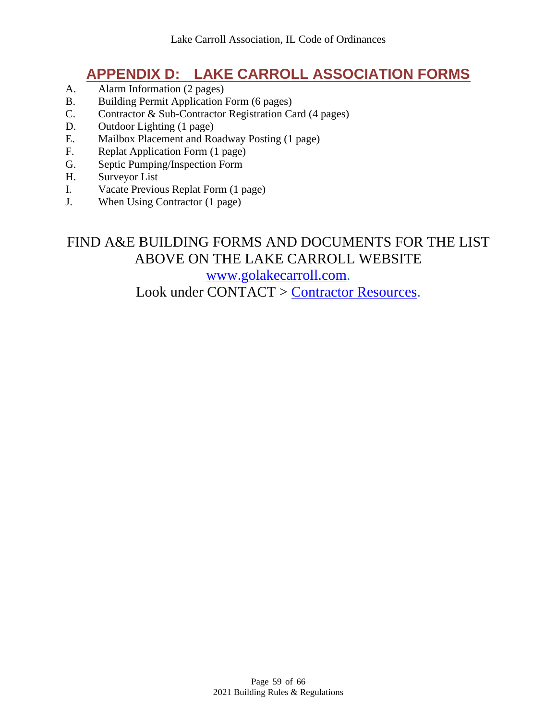# **APPENDIX D: LAKE CARROLL ASSOCIATION FORMS**

- <span id="page-58-0"></span>A. Alarm Information (2 pages)
- B. Building Permit Application Form (6 pages)
- C. Contractor & Sub-Contractor Registration Card (4 pages)
- D. Outdoor Lighting (1 page)
- E. Mailbox Placement and Roadway Posting (1 page)
- F. Replat Application Form (1 page)
- G. Septic Pumping/Inspection Form
- H. Surveyor List
- I. Vacate Previous Replat Form (1 page)
- J. When Using Contractor (1 page)

# FIND A&E BUILDING FORMS AND DOCUMENTS FOR THE LIST ABOVE ON THE LAKE CARROLL WEBSITE [www.golakecarroll.com.](http://www.golakecarroll.com/) Look under CONTACT > [Contractor Resources.](https://www.golakecarroll.com/imis0/LCA/Contact/Contractor_Resources/LCA_Main/Contact/Contractors.aspx?hkey=a354b97b-7de5-44f6-9804-d598c98e2165)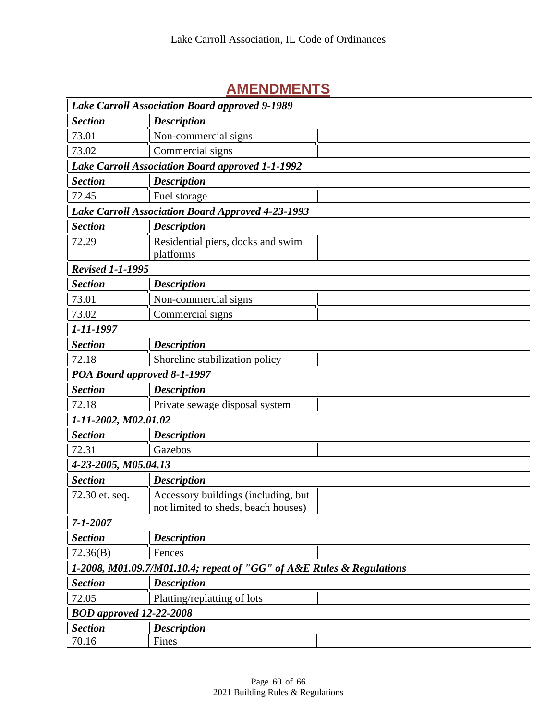# <span id="page-59-0"></span>**AMENDMENTS**

| <b>Lake Carroll Association Board approved 9-1989</b>                |                                                                            |  |
|----------------------------------------------------------------------|----------------------------------------------------------------------------|--|
| <b>Section</b>                                                       | <b>Description</b>                                                         |  |
| 73.01                                                                | Non-commercial signs                                                       |  |
| 73.02                                                                | Commercial signs                                                           |  |
|                                                                      | <b>Lake Carroll Association Board approved 1-1-1992</b>                    |  |
| <b>Section</b>                                                       | <b>Description</b>                                                         |  |
| 72.45                                                                | Fuel storage                                                               |  |
|                                                                      | Lake Carroll Association Board Approved 4-23-1993                          |  |
| <b>Section</b>                                                       | <b>Description</b>                                                         |  |
| 72.29                                                                | Residential piers, docks and swim<br>platforms                             |  |
| <b>Revised 1-1-1995</b>                                              |                                                                            |  |
| <b>Section</b>                                                       | <b>Description</b>                                                         |  |
| 73.01                                                                | Non-commercial signs                                                       |  |
| 73.02                                                                | Commercial signs                                                           |  |
| 1-11-1997                                                            |                                                                            |  |
| <b>Section</b>                                                       | <b>Description</b>                                                         |  |
| 72.18                                                                | Shoreline stabilization policy                                             |  |
| POA Board approved 8-1-1997                                          |                                                                            |  |
| <b>Section</b>                                                       | <b>Description</b>                                                         |  |
| 72.18                                                                | Private sewage disposal system                                             |  |
| 1-11-2002, M02.01.02                                                 |                                                                            |  |
| <b>Section</b>                                                       | <b>Description</b>                                                         |  |
| 72.31                                                                | Gazebos                                                                    |  |
| 4-23-2005, M05.04.13                                                 |                                                                            |  |
| <b>Section</b>                                                       | <b>Description</b>                                                         |  |
| 72.30 et. seq.                                                       | Accessory buildings (including, but<br>not limited to sheds, beach houses) |  |
| $7 - 1 - 2007$                                                       |                                                                            |  |
| <b>Section</b>                                                       | <b>Description</b>                                                         |  |
| 72.36(B)                                                             | Fences                                                                     |  |
| 1-2008, M01.09.7/M01.10.4; repeat of "GG" of A&E Rules & Regulations |                                                                            |  |
| <b>Section</b>                                                       | <b>Description</b>                                                         |  |
| 72.05                                                                | Platting/replatting of lots                                                |  |
| <b>BOD</b> approved 12-22-2008                                       |                                                                            |  |
| <b>Section</b>                                                       | <b>Description</b>                                                         |  |
| 70.16                                                                | Fines                                                                      |  |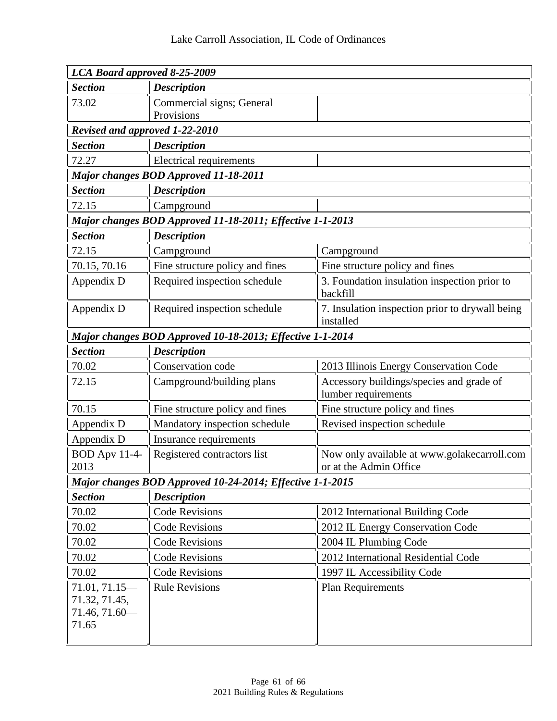| LCA Board approved 8-25-2009                                   |                                                           |                                                                       |
|----------------------------------------------------------------|-----------------------------------------------------------|-----------------------------------------------------------------------|
| <b>Section</b><br><b>Description</b>                           |                                                           |                                                                       |
| 73.02                                                          | Commercial signs; General                                 |                                                                       |
|                                                                | Provisions                                                |                                                                       |
| Revised and approved 1-22-2010                                 |                                                           |                                                                       |
| <b>Section</b>                                                 | <b>Description</b>                                        |                                                                       |
| 72.27                                                          | <b>Electrical requirements</b>                            |                                                                       |
| <b>Major changes BOD Approved 11-18-2011</b>                   |                                                           |                                                                       |
| <b>Section</b>                                                 | <b>Description</b>                                        |                                                                       |
| 72.15                                                          | Campground                                                |                                                                       |
|                                                                | Major changes BOD Approved 11-18-2011; Effective 1-1-2013 |                                                                       |
| <b>Description</b><br><b>Section</b>                           |                                                           |                                                                       |
| 72.15                                                          | Campground                                                | Campground                                                            |
| 70.15, 70.16                                                   | Fine structure policy and fines                           | Fine structure policy and fines                                       |
| Appendix D                                                     | Required inspection schedule                              | 3. Foundation insulation inspection prior to<br>backfill              |
| Appendix D                                                     | Required inspection schedule                              | 7. Insulation inspection prior to drywall being<br>installed          |
| Major changes BOD Approved 10-18-2013; Effective 1-1-2014      |                                                           |                                                                       |
| <b>Section</b>                                                 | <b>Description</b>                                        |                                                                       |
| 70.02                                                          | Conservation code                                         | 2013 Illinois Energy Conservation Code                                |
| 72.15                                                          | Campground/building plans                                 | Accessory buildings/species and grade of<br>lumber requirements       |
| 70.15                                                          | Fine structure policy and fines                           | Fine structure policy and fines                                       |
| Appendix D                                                     | Mandatory inspection schedule                             | Revised inspection schedule                                           |
| Appendix D                                                     | Insurance requirements                                    |                                                                       |
| <b>BOD Apv 11-4-</b><br>2013                                   | Registered contractors list                               | Now only available at www.golakecarroll.com<br>or at the Admin Office |
| Major changes BOD Approved 10-24-2014; Effective 1-1-2015      |                                                           |                                                                       |
| <b>Section</b>                                                 | <b>Description</b>                                        |                                                                       |
| 70.02                                                          | <b>Code Revisions</b>                                     | 2012 International Building Code                                      |
| 70.02                                                          | <b>Code Revisions</b>                                     | 2012 IL Energy Conservation Code                                      |
| 70.02                                                          | <b>Code Revisions</b>                                     | 2004 IL Plumbing Code                                                 |
| 70.02                                                          | <b>Code Revisions</b>                                     | 2012 International Residential Code                                   |
| 70.02                                                          | <b>Code Revisions</b>                                     | 1997 IL Accessibility Code                                            |
| $71.01, 71.15 -$<br>71.32, 71.45,<br>$71.46, 71.60$ -<br>71.65 | <b>Rule Revisions</b>                                     | <b>Plan Requirements</b>                                              |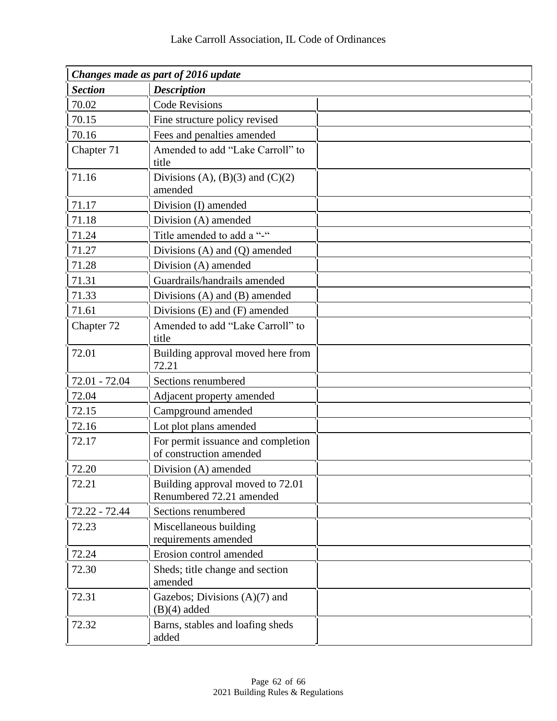| Changes made as part of 2016 update |                                                               |  |
|-------------------------------------|---------------------------------------------------------------|--|
| <b>Section</b>                      | <b>Description</b>                                            |  |
| 70.02                               | <b>Code Revisions</b>                                         |  |
| 70.15                               | Fine structure policy revised                                 |  |
| 70.16                               | Fees and penalties amended                                    |  |
| Chapter 71                          | Amended to add "Lake Carroll" to<br>title                     |  |
| 71.16                               | Divisions (A), $(B)(3)$ and $(C)(2)$<br>amended               |  |
| 71.17                               | Division (I) amended                                          |  |
| 71.18                               | Division (A) amended                                          |  |
| 71.24                               | Title amended to add a "-"                                    |  |
| 71.27                               | Divisions $(A)$ and $(Q)$ amended                             |  |
| 71.28                               | Division (A) amended                                          |  |
| 71.31                               | Guardrails/handrails amended                                  |  |
| 71.33                               | Divisions $(A)$ and $(B)$ amended                             |  |
| 71.61                               | Divisions $(E)$ and $(F)$ amended                             |  |
| Chapter 72                          | Amended to add "Lake Carroll" to<br>title                     |  |
| 72.01                               | Building approval moved here from<br>72.21                    |  |
| 72.01 - 72.04                       | Sections renumbered                                           |  |
| 72.04                               | Adjacent property amended                                     |  |
| 72.15                               | Campground amended                                            |  |
| 72.16                               | Lot plot plans amended                                        |  |
| 72.17                               | For permit issuance and completion<br>of construction amended |  |
| 72.20                               | Division (A) amended                                          |  |
| 72.21                               | Building approval moved to 72.01<br>Renumbered 72.21 amended  |  |
| 72.22 - 72.44                       | Sections renumbered                                           |  |
| 72.23                               | Miscellaneous building<br>requirements amended                |  |
| 72.24                               | Erosion control amended                                       |  |
| 72.30                               | Sheds; title change and section<br>amended                    |  |
| 72.31                               | Gazebos; Divisions $(A)(7)$ and<br>$(B)(4)$ added             |  |
| 72.32                               | Barns, stables and loafing sheds<br>added                     |  |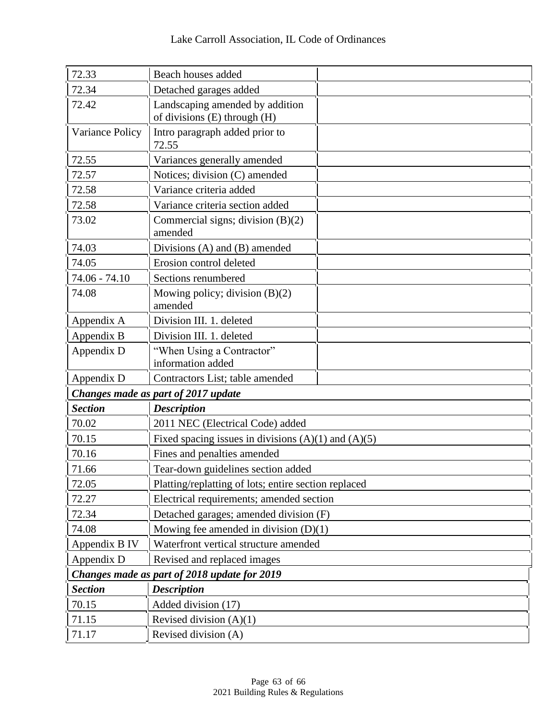| 72.33                                        | Beach houses added                                              |  |
|----------------------------------------------|-----------------------------------------------------------------|--|
| 72.34                                        | Detached garages added                                          |  |
| 72.42                                        | Landscaping amended by addition<br>of divisions (E) through (H) |  |
| Variance Policy                              | Intro paragraph added prior to<br>72.55                         |  |
| 72.55                                        | Variances generally amended                                     |  |
| 72.57                                        | Notices; division (C) amended                                   |  |
| 72.58                                        | Variance criteria added                                         |  |
| 72.58                                        | Variance criteria section added                                 |  |
| 73.02                                        | Commercial signs; division (B)(2)<br>amended                    |  |
| 74.03                                        | Divisions (A) and (B) amended                                   |  |
| 74.05                                        | Erosion control deleted                                         |  |
| 74.06 - 74.10                                | Sections renumbered                                             |  |
| 74.08                                        | Mowing policy; division $(B)(2)$<br>amended                     |  |
| Appendix A                                   | Division III. 1. deleted                                        |  |
| Appendix B                                   | Division III. 1. deleted                                        |  |
| Appendix D                                   | "When Using a Contractor"                                       |  |
|                                              | information added                                               |  |
| Appendix D                                   | Contractors List; table amended                                 |  |
|                                              | Changes made as part of 2017 update                             |  |
| <b>Section</b>                               | <b>Description</b>                                              |  |
| 70.02                                        | 2011 NEC (Electrical Code) added                                |  |
| 70.15                                        | Fixed spacing issues in divisions $(A)(1)$ and $(A)(5)$         |  |
| 70.16                                        | Fines and penalties amended                                     |  |
| 71.66                                        | Tear-down guidelines section added                              |  |
| 72.05                                        | Platting/replatting of lots; entire section replaced            |  |
| 72.27                                        | Electrical requirements; amended section                        |  |
| 72.34                                        | Detached garages; amended division (F)                          |  |
| 74.08                                        | Mowing fee amended in division $(D)(1)$                         |  |
| Appendix B IV                                | Waterfront vertical structure amended                           |  |
| Appendix D                                   | Revised and replaced images                                     |  |
| Changes made as part of 2018 update for 2019 |                                                                 |  |
| <b>Section</b>                               | <b>Description</b>                                              |  |
| 70.15                                        | Added division (17)                                             |  |
| 71.15                                        | Revised division $(A)(1)$                                       |  |
| 71.17                                        | Revised division (A)                                            |  |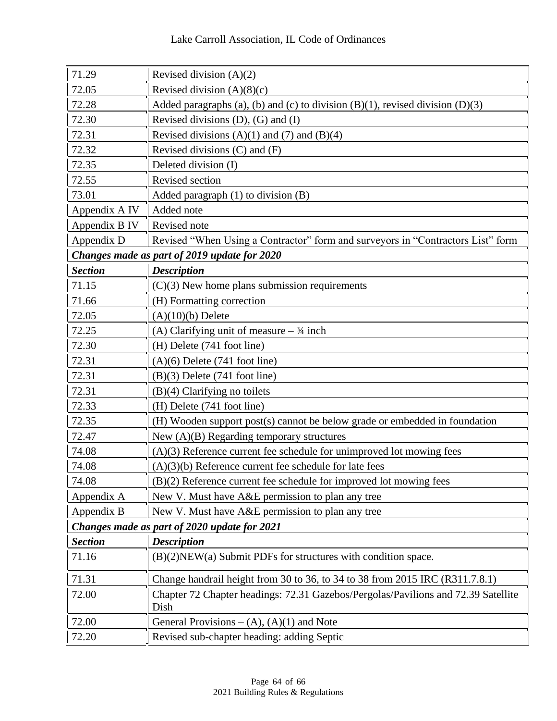| 71.29                                        | Revised division $(A)(2)$                                                                 |  |
|----------------------------------------------|-------------------------------------------------------------------------------------------|--|
| 72.05                                        | Revised division $(A)(8)(c)$                                                              |  |
| 72.28                                        | Added paragraphs (a), (b) and (c) to division $(B)(1)$ , revised division $(D)(3)$        |  |
| 72.30                                        | Revised divisions $(D)$ , $(G)$ and $(I)$                                                 |  |
| 72.31                                        | Revised divisions $(A)(1)$ and $(7)$ and $(B)(4)$                                         |  |
| 72.32                                        | Revised divisions $(C)$ and $(F)$                                                         |  |
| 72.35                                        | Deleted division (I)                                                                      |  |
| 72.55                                        | Revised section                                                                           |  |
| 73.01                                        | Added paragraph $(1)$ to division $(B)$                                                   |  |
| Appendix A IV                                | Added note                                                                                |  |
| Appendix B IV                                | Revised note                                                                              |  |
| Appendix D                                   | Revised "When Using a Contractor" form and surveyors in "Contractors List" form           |  |
|                                              | Changes made as part of 2019 update for 2020                                              |  |
| <b>Section</b>                               | <b>Description</b>                                                                        |  |
| 71.15                                        | $(C)(3)$ New home plans submission requirements                                           |  |
| 71.66                                        | (H) Formatting correction                                                                 |  |
| 72.05                                        | $(A)(10)(b)$ Delete                                                                       |  |
| 72.25                                        | (A) Clarifying unit of measure $-3/4$ inch                                                |  |
| 72.30                                        | (H) Delete (741 foot line)                                                                |  |
| 72.31                                        | $(A)(6)$ Delete (741 foot line)                                                           |  |
| 72.31                                        | $(B)(3)$ Delete (741 foot line)                                                           |  |
| 72.31                                        | $(B)(4)$ Clarifying no toilets                                                            |  |
| 72.33                                        | (H) Delete (741 foot line)                                                                |  |
| 72.35                                        | (H) Wooden support post(s) cannot be below grade or embedded in foundation                |  |
| 72.47                                        | New $(A)(B)$ Regarding temporary structures                                               |  |
| 74.08                                        | $(A)(3)$ Reference current fee schedule for unimproved lot mowing fees                    |  |
| 74.08                                        | $(A)(3)(b)$ Reference current fee schedule for late fees                                  |  |
| 74.08                                        | (B)(2) Reference current fee schedule for improved lot mowing fees                        |  |
| Appendix A                                   | New V. Must have A&E permission to plan any tree                                          |  |
| Appendix B                                   | New V. Must have A&E permission to plan any tree                                          |  |
| Changes made as part of 2020 update for 2021 |                                                                                           |  |
| <b>Section</b>                               | <b>Description</b>                                                                        |  |
| 71.16                                        | $(B)(2)$ NEW $(a)$ Submit PDFs for structures with condition space.                       |  |
| 71.31                                        | Change handrail height from 30 to 36, to 34 to 38 from 2015 IRC (R311.7.8.1)              |  |
| 72.00                                        | Chapter 72 Chapter headings: 72.31 Gazebos/Pergolas/Pavilions and 72.39 Satellite<br>Dish |  |
| 72.00                                        | General Provisions $-(A)$ , $(A)(1)$ and Note                                             |  |
| 72.20                                        | Revised sub-chapter heading: adding Septic                                                |  |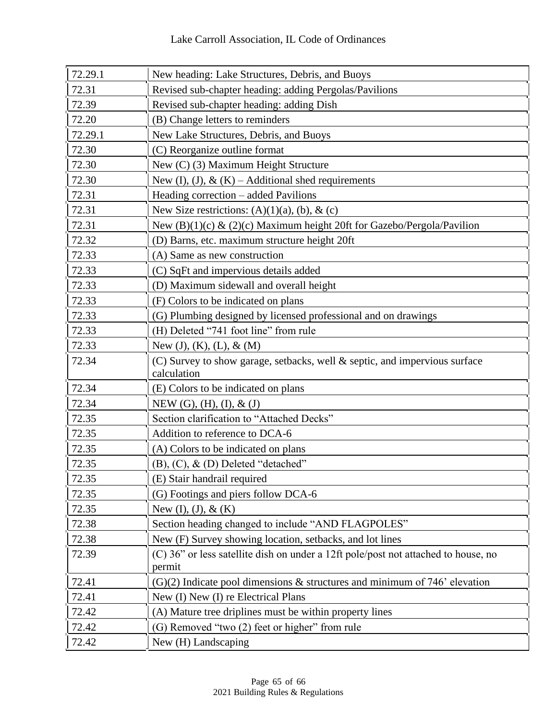| 72.29.1 | New heading: Lake Structures, Debris, and Buoys                                           |
|---------|-------------------------------------------------------------------------------------------|
| 72.31   | Revised sub-chapter heading: adding Pergolas/Pavilions                                    |
| 72.39   | Revised sub-chapter heading: adding Dish                                                  |
| 72.20   | (B) Change letters to reminders                                                           |
| 72.29.1 | New Lake Structures, Debris, and Buoys                                                    |
| 72.30   | (C) Reorganize outline format                                                             |
| 72.30   | New (C) (3) Maximum Height Structure                                                      |
| 72.30   | New (I), (J), & (K) – Additional shed requirements                                        |
| 72.31   | Heading correction - added Pavilions                                                      |
| 72.31   | New Size restrictions: $(A)(1)(a)$ , $(b)$ , $\&c)$                                       |
| 72.31   | New (B)(1)(c) & (2)(c) Maximum height 20ft for Gazebo/Pergola/Pavilion                    |
| 72.32   | (D) Barns, etc. maximum structure height 20ft                                             |
| 72.33   | (A) Same as new construction                                                              |
| 72.33   | (C) SqFt and impervious details added                                                     |
| 72.33   | (D) Maximum sidewall and overall height                                                   |
| 72.33   | (F) Colors to be indicated on plans                                                       |
| 72.33   | (G) Plumbing designed by licensed professional and on drawings                            |
| 72.33   | (H) Deleted "741 foot line" from rule                                                     |
| 72.33   | New $(J)$ , $(K)$ , $(L)$ , $\&$ $(M)$                                                    |
| 72.34   | (C) Survey to show garage, setbacks, well & septic, and impervious surface<br>calculation |
| 72.34   | (E) Colors to be indicated on plans                                                       |
| 72.34   | NEW $(G)$ , $(H)$ , $(I)$ , $\&$ $(J)$                                                    |
| 72.35   | Section clarification to "Attached Decks"                                                 |
| 72.35   | Addition to reference to DCA-6                                                            |
| 72.35   | (A) Colors to be indicated on plans                                                       |
| 72.35   | $(B)$ , $(C)$ , $\&$ $(D)$ Deleted "detached"                                             |
| 72.35   | (E) Stair handrail required                                                               |
| 72.35   | (G) Footings and piers follow DCA-6                                                       |
| 72.35   | New (I), (J), $&$ (K)                                                                     |
| 72.38   | Section heading changed to include "AND FLAGPOLES"                                        |
| 72.38   | New (F) Survey showing location, setbacks, and lot lines                                  |
| 72.39   | (C) 36" or less satellite dish on under a 12ft pole/post not attached to house, no        |
|         | permit                                                                                    |
| 72.41   | $(G)(2)$ Indicate pool dimensions & structures and minimum of 746' elevation              |
| 72.41   | New (I) New (I) re Electrical Plans                                                       |
| 72.42   | (A) Mature tree driplines must be within property lines                                   |
| 72.42   | (G) Removed "two (2) feet or higher" from rule                                            |
| 72.42   | New (H) Landscaping                                                                       |